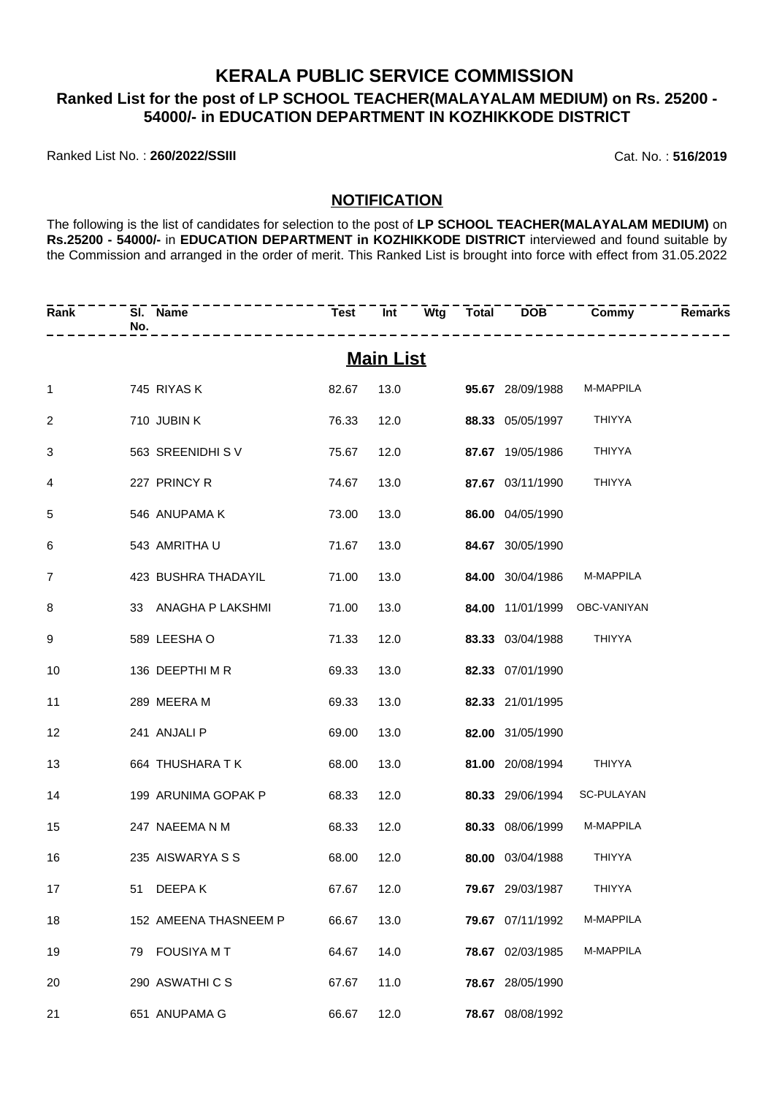### **KERALA PUBLIC SERVICE COMMISSION Ranked List for the post of LP SCHOOL TEACHER(MALAYALAM MEDIUM) on Rs. 25200 - 54000/- in EDUCATION DEPARTMENT IN KOZHIKKODE DISTRICT**

Ranked List No. : **260/2022/SSIII** Cat. No. : **516/2019**

#### **NOTIFICATION**

The following is the list of candidates for selection to the post of **LP SCHOOL TEACHER(MALAYALAM MEDIUM)** on **Rs.25200 - 54000/-** in **EDUCATION DEPARTMENT in KOZHIKKODE DISTRICT** interviewed and found suitable by the Commission and arranged in the order of merit. This Ranked List is brought into force with effect from 31.05.2022

| Rank           | SI. Name<br>No.       |       |                  |                              |                                 | <b>Remarks</b> |
|----------------|-----------------------|-------|------------------|------------------------------|---------------------------------|----------------|
|                |                       |       | <b>Main List</b> |                              |                                 |                |
| $\mathbf{1}$   | 745 RIYAS K           | 82.67 |                  |                              | 13.0 95.67 28/09/1988 M-MAPPILA |                |
| 2              | 710 JUBIN K           | 76.33 | 12.0             | <b>88.33</b> 05/05/1997      | <b>THIYYA</b>                   |                |
| 3              | 563 SREENIDHI SV      | 75.67 | 12.0             | <b>87.67</b> 19/05/1986      | <b>THIYYA</b>                   |                |
| 4              | 227 PRINCY R          | 74.67 | 13.0             | 87.67 03/11/1990             | <b>THIYYA</b>                   |                |
| 5              | 546 ANUPAMA K         | 73.00 | 13.0             | 86.00 04/05/1990             |                                 |                |
| 6              | 543 AMRITHA U         | 71.67 | 13.0             | 84.67 30/05/1990             |                                 |                |
| $\overline{7}$ | 423 BUSHRA THADAYIL   | 71.00 |                  | 13.0 <b>84.00</b> 30/04/1986 | M-MAPPILA                       |                |
| 8              | 33 ANAGHA P LAKSHMI   | 71.00 | 13.0             |                              | 84.00 11/01/1999 OBC-VANIYAN    |                |
| 9              | 589 LEESHA O          | 71.33 | 12.0             | 83.33 03/04/1988             | <b>THIYYA</b>                   |                |
| 10             | 136 DEEPTHI M R       | 69.33 | 13.0             | 82.33 07/01/1990             |                                 |                |
| 11             | 289 MEERA M           | 69.33 | 13.0             | 82.33 21/01/1995             |                                 |                |
| 12             | 241 ANJALI P          | 69.00 | 13.0             | 82.00 31/05/1990             |                                 |                |
| 13             | 664 THUSHARA T K      | 68.00 | 13.0             | 81.00 20/08/1994             | THIYYA                          |                |
| 14             | 199 ARUNIMA GOPAK P   | 68.33 | 12.0             |                              | 80.33 29/06/1994 SC-PULAYAN     |                |
| 15             | 247 NAEEMA N M        | 68.33 | 12.0             | 80.33 08/06/1999             | M-MAPPILA                       |                |
| 16             | 235 AISWARYA S S      | 68.00 | 12.0             | 80.00 03/04/1988             | <b>THIYYA</b>                   |                |
| 17             | 51 DEEPAK             | 67.67 | 12.0             | 79.67 29/03/1987             | THIYYA                          |                |
| 18             | 152 AMEENA THASNEEM P | 66.67 | 13.0             | 79.67 07/11/1992             | M-MAPPILA                       |                |
| 19             | 79 FOUSIYA M T        | 64.67 | 14.0             | 78.67 02/03/1985             | M-MAPPILA                       |                |
| 20             | 290 ASWATHICS         | 67.67 | 11.0             | 78.67 28/05/1990             |                                 |                |
| 21             | 651 ANUPAMA G         | 66.67 | 12.0             | 78.67 08/08/1992             |                                 |                |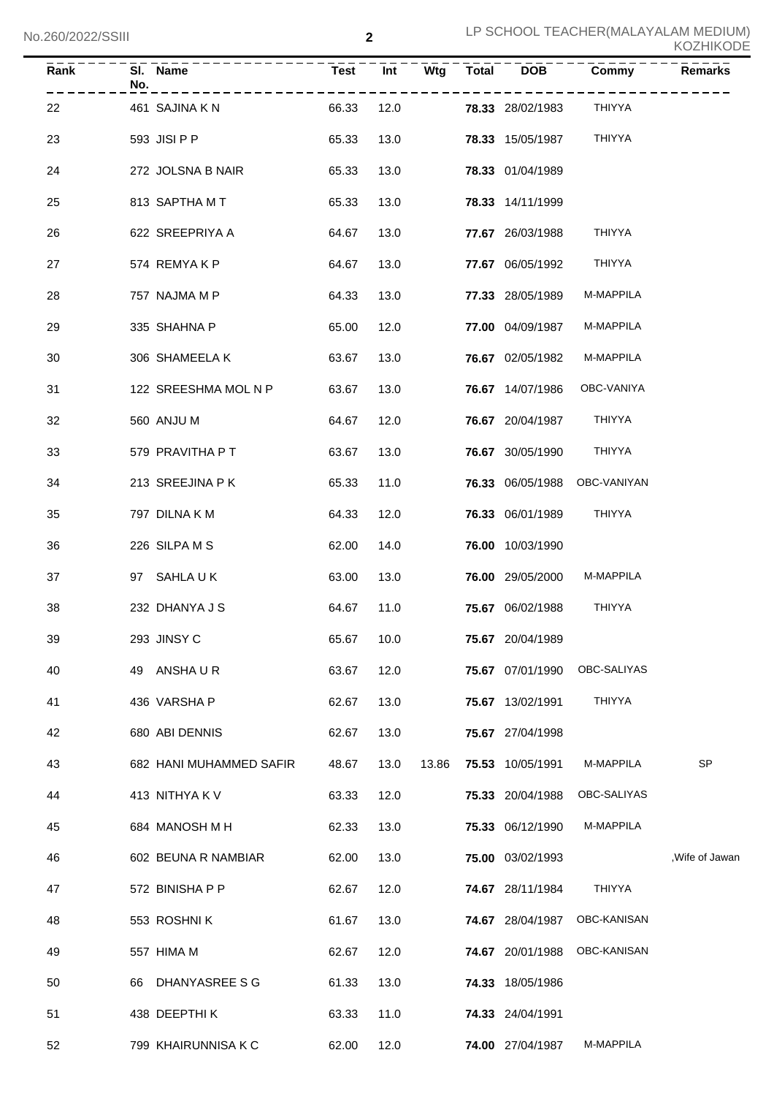| Rank | SI. Name<br>No.         | <b>Test</b> | Int        | Wtg   | <b>Total</b> | <b>DOB</b>              | Commy                        | <b>Remarks</b>             |
|------|-------------------------|-------------|------------|-------|--------------|-------------------------|------------------------------|----------------------------|
| 22   | 461 SAJINA K N          | 66.33       |            | 12.0  |              | <b>78.33</b> 28/02/1983 | THIYYA                       |                            |
| 23   | 593 JISI P P            | 65.33       | 13.0       |       |              | <b>78.33</b> 15/05/1987 | THIYYA                       |                            |
| 24   | 272 JOLSNA B NAIR       | 65.33       | 13.0       |       |              | 78.33 01/04/1989        |                              |                            |
| 25   | 813 SAPTHA M T          | 65.33       | 13.0       |       |              | 78.33 14/11/1999        |                              |                            |
| 26   | 622 SREEPRIYA A         | 64.67       | 13.0       |       |              | 77.67 26/03/1988        | <b>THIYYA</b>                |                            |
| 27   | 574 REMYAKP             | 64.67       | 13.0       |       |              | <b>77.67</b> 06/05/1992 | THIYYA                       |                            |
| 28   | 757 NAJMA M P           | 64.33       | 13.0       |       |              | 77.33 28/05/1989        | M-MAPPILA                    |                            |
| 29   | 335 SHAHNA P            | 65.00       | 12.0       |       |              | <b>77.00</b> 04/09/1987 | M-MAPPILA                    |                            |
| 30   | 306 SHAMEELA K          | 63.67       | 13.0       |       |              | 76.67 02/05/1982        | M-MAPPILA                    |                            |
| 31   | 122 SREESHMA MOL N P    | 63.67       | 13.0       |       |              |                         | 76.67 14/07/1986 OBC-VANIYA  |                            |
| 32   | 560 ANJU M              | 64.67       | 12.0       |       |              | <b>76.67</b> 20/04/1987 | THIYYA                       |                            |
| 33   | 579 PRAVITHA P T        | 63.67       | 13.0       |       |              | <b>76.67</b> 30/05/1990 | THIYYA                       |                            |
| 34   | 213 SREEJINA P K        | 65.33       | 11.0       |       |              |                         | 76.33 06/05/1988 OBC-VANIYAN |                            |
| 35   | 797 DILNA K M           | 64.33       | 12.0       |       |              | <b>76.33</b> 06/01/1989 | THIYYA                       |                            |
| 36   | 226 SILPA M S           | 62.00       | 14.0       |       |              | <b>76.00</b> 10/03/1990 |                              |                            |
| 37   | 97 SAHLAUK              | 63.00       | 13.0       |       |              | 76.00 29/05/2000        | M-MAPPILA                    |                            |
| 38   | 232 DHANYA J S          | 64.67       | 11.0       |       |              | 75.67 06/02/1988        | <b>THIYYA</b>                |                            |
| 39   | 293 JINSY C             |             | 65.67 10.0 |       |              | 75.67 20/04/1989        |                              |                            |
| 40   | 49 ANSHAUR              | 63.67       | 12.0       |       |              | 75.67 07/01/1990        | OBC-SALIYAS                  |                            |
| 41   | 436 VARSHA P            | 62.67       | 13.0       |       |              | 75.67 13/02/1991        | <b>THIYYA</b>                |                            |
| 42   | 680 ABI DENNIS          | 62.67       | 13.0       |       |              | 75.67 27/04/1998        |                              |                            |
| 43   | 682 HANI MUHAMMED SAFIR | 48.67       | 13.0       | 13.86 |              | 75.53 10/05/1991        | M-MAPPILA                    | $\ensuremath{\mathsf{SP}}$ |
| 44   | 413 NITHYA K V          | 63.33       | 12.0       |       |              | 75.33 20/04/1988        | OBC-SALIYAS                  |                            |
| 45   | 684 MANOSH M H          | 62.33       | 13.0       |       |              | 75.33 06/12/1990        | M-MAPPILA                    |                            |
| 46   | 602 BEUNA R NAMBIAR     | 62.00       | 13.0       |       |              | 75.00 03/02/1993        |                              | Wife of Jawan              |
| 47   | 572 BINISHA P P         | 62.67       | 12.0       |       |              | 74.67 28/11/1984        | <b>THIYYA</b>                |                            |
| 48   | 553 ROSHNIK             | 61.67       | 13.0       |       |              | 74.67 28/04/1987        | OBC-KANISAN                  |                            |
| 49   | 557 HIMA M              | 62.67       | 12.0       |       |              | 74.67 20/01/1988        | OBC-KANISAN                  |                            |
| 50   | 66 DHANYASREE S G       | 61.33       | 13.0       |       |              | 74.33 18/05/1986        |                              |                            |
| 51   | 438 DEEPTHIK            | 63.33       | 11.0       |       |              | 74.33 24/04/1991        |                              |                            |
| 52   | 799 KHAIRUNNISA K C     | 62.00       | 12.0       |       |              | 74.00 27/04/1987        | M-MAPPILA                    |                            |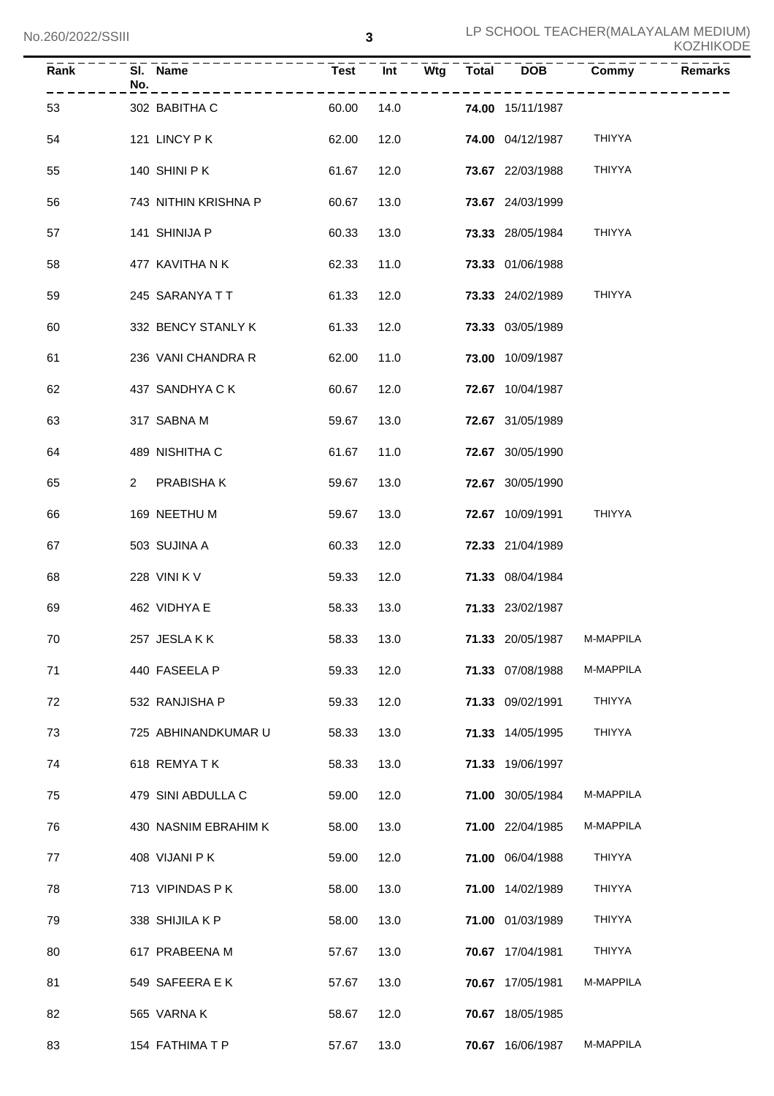| <b>Rank</b> | No.          | SI. Name             | <b>Test</b> | Int  | Wtg | $\overline{\text{Total}}$ | <b>DOB</b>              | Commy                      | <b>Remarks</b> |
|-------------|--------------|----------------------|-------------|------|-----|---------------------------|-------------------------|----------------------------|----------------|
| 53          |              | 302 BABITHA C        | 60.00       | 14.0 |     |                           | 74.00 15/11/1987        |                            |                |
| 54          |              | 121 LINCY PK         | 62.00       | 12.0 |     |                           | <b>74.00 04/12/1987</b> | THIYYA                     |                |
| 55          |              | 140 SHINI P K        | 61.67       | 12.0 |     |                           | 73.67 22/03/1988        | <b>THIYYA</b>              |                |
| 56          |              | 743 NITHIN KRISHNA P | 60.67       | 13.0 |     |                           | 73.67 24/03/1999        |                            |                |
| 57          |              | 141 SHINIJA P        | 60.33       | 13.0 |     |                           | 73.33 28/05/1984        | <b>THIYYA</b>              |                |
| 58          |              | 477 KAVITHA N K      | 62.33       | 11.0 |     |                           | 73.33 01/06/1988        |                            |                |
| 59          |              | 245 SARANYA T T      | 61.33       | 12.0 |     |                           | 73.33 24/02/1989        | <b>THIYYA</b>              |                |
| 60          |              | 332 BENCY STANLY K   | 61.33       | 12.0 |     |                           | 73.33 03/05/1989        |                            |                |
| 61          |              | 236 VANI CHANDRA R   | 62.00       | 11.0 |     |                           | 73.00 10/09/1987        |                            |                |
| 62          |              | 437 SANDHYA C K      | 60.67       | 12.0 |     |                           | 72.67 10/04/1987        |                            |                |
| 63          |              | 317 SABNA M          | 59.67       | 13.0 |     |                           | 72.67 31/05/1989        |                            |                |
| 64          |              | 489 NISHITHA C       | 61.67       | 11.0 |     |                           | 72.67 30/05/1990        |                            |                |
| 65          | $\mathbf{2}$ | PRABISHA K           | 59.67       | 13.0 |     |                           | 72.67 30/05/1990        |                            |                |
| 66          |              | 169 NEETHU M         | 59.67       | 13.0 |     |                           | 72.67 10/09/1991        | <b>THIYYA</b>              |                |
| 67          |              | 503 SUJINA A         | 60.33       | 12.0 |     |                           | 72.33 21/04/1989        |                            |                |
| 68          |              | 228 VINI K V         | 59.33       | 12.0 |     |                           | 71.33 08/04/1984        |                            |                |
| 69          |              | 462 VIDHYA E         | 58.33       | 13.0 |     |                           | 71.33 23/02/1987        |                            |                |
| 70          |              | 257 JESLAKK          | 58.33       | 13.0 |     |                           |                         | 71.33 20/05/1987 M-MAPPILA |                |
| 71          |              | 440 FASEELA P        | 59.33       | 12.0 |     |                           | 71.33 07/08/1988        | M-MAPPILA                  |                |
| 72          |              | 532 RANJISHA P       | 59.33       | 12.0 |     |                           | 71.33 09/02/1991        | THIYYA                     |                |
| 73          |              | 725 ABHINANDKUMAR U  | 58.33       | 13.0 |     |                           | 71.33 14/05/1995        | THIYYA                     |                |
| 74          |              | 618 REMYATK          | 58.33       | 13.0 |     |                           | 71.33 19/06/1997        |                            |                |
| 75          |              | 479 SINI ABDULLA C   | 59.00       | 12.0 |     |                           | 71.00 30/05/1984        | M-MAPPILA                  |                |
| 76          |              | 430 NASNIM EBRAHIM K | 58.00       | 13.0 |     |                           | 71.00 22/04/1985        | M-MAPPILA                  |                |
| 77          |              | 408 VIJANI P K       | 59.00       | 12.0 |     |                           | 71.00 06/04/1988        | THIYYA                     |                |
| 78          |              | 713 VIPINDAS P K     | 58.00       | 13.0 |     |                           | 71.00 14/02/1989        | THIYYA                     |                |
| 79          |              | 338 SHIJILA K P      | 58.00       | 13.0 |     |                           | 71.00 01/03/1989        | THIYYA                     |                |
| 80          |              | 617 PRABEENA M       | 57.67       | 13.0 |     |                           | 70.67 17/04/1981        | THIYYA                     |                |
| 81          |              | 549 SAFEERA E K      | 57.67       | 13.0 |     |                           | 70.67 17/05/1981        | M-MAPPILA                  |                |
| 82          |              | 565 VARNA K          | 58.67       | 12.0 |     |                           | 70.67 18/05/1985        |                            |                |
| 83          |              | 154 FATHIMA T P      | 57.67       | 13.0 |     |                           | 70.67 16/06/1987        | M-MAPPILA                  |                |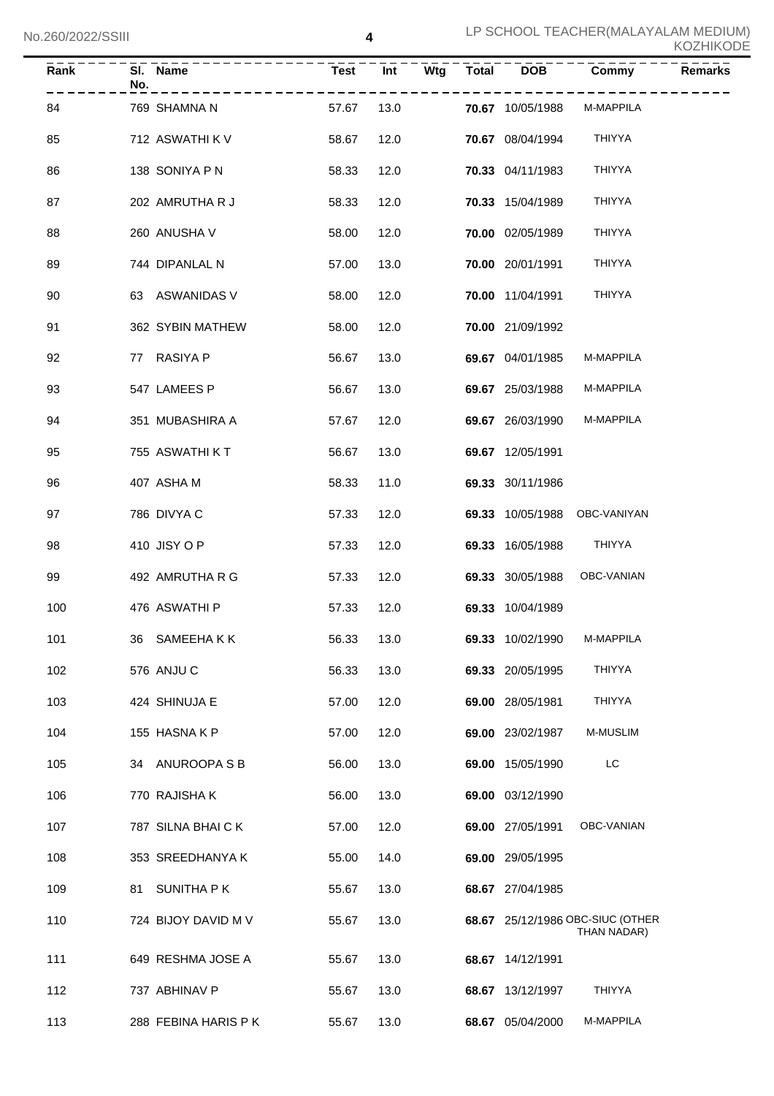| Rank | No. | SI. Name                     | <b>Test</b> | Int  | Wtg  | <b>Total</b> | <b>DOB</b>              | Commy                                           | <b>Remarks</b> |
|------|-----|------------------------------|-------------|------|------|--------------|-------------------------|-------------------------------------------------|----------------|
| 84   |     | 769 SHAMNA N                 | 57.67       |      | 13.0 |              | 70.67 10/05/1988        | M-MAPPILA                                       |                |
| 85   |     | 712 ASWATHI K V              | 58.67       |      | 12.0 |              | <b>70.67</b> 08/04/1994 | THIYYA                                          |                |
| 86   |     | 138 SONIYA P N               | 58.33       | 12.0 |      |              | <b>70.33</b> 04/11/1983 | THIYYA                                          |                |
| 87   |     | 202 AMRUTHA R J              | 58.33       | 12.0 |      |              | <b>70.33</b> 15/04/1989 | THIYYA                                          |                |
| 88   |     | 260 ANUSHA V                 | 58.00       | 12.0 |      |              | 70.00 02/05/1989        | THIYYA                                          |                |
| 89   |     | 744 DIPANLAL N               | 57.00       | 13.0 |      |              | 70.00 20/01/1991        | THIYYA                                          |                |
| 90   |     | 63 ASWANIDAS V               | 58.00       | 12.0 |      |              | 70.00 11/04/1991        | THIYYA                                          |                |
| 91   |     | 362 SYBIN MATHEW             | 58.00       | 12.0 |      |              | 70.00 21/09/1992        |                                                 |                |
| 92   |     | 77 RASIYA P                  | 56.67       | 13.0 |      |              | 69.67 04/01/1985        | M-MAPPILA                                       |                |
| 93   |     | 547 LAMEES P                 | 56.67       | 13.0 |      |              | 69.67 25/03/1988        | M-MAPPILA                                       |                |
| 94   |     | 351 MUBASHIRA A              | 57.67       | 12.0 |      |              | 69.67 26/03/1990        | M-MAPPILA                                       |                |
| 95   |     | 755 ASWATHI K T              | 56.67       | 13.0 |      |              | 69.67 12/05/1991        |                                                 |                |
| 96   |     | 407 ASHA M                   | 58.33       | 11.0 |      |              | 69.33 30/11/1986        |                                                 |                |
| 97   |     | 786 DIVYA C                  | 57.33       | 12.0 |      |              |                         | 69.33 10/05/1988 OBC-VANIYAN                    |                |
| 98   |     | 410 JISY O P                 | 57.33       | 12.0 |      |              | 69.33 16/05/1988 THIYYA |                                                 |                |
| 99   |     | 492 AMRUTHA R G              | 57.33       | 12.0 |      |              |                         | 69.33 30/05/1988 OBC-VANIAN                     |                |
| 100  |     | 476 ASWATHI P                | 57.33       | 12.0 |      |              | 69.33 10/04/1989        |                                                 |                |
| 101  |     | 36 SAMEEHAKK<br>$56.33$ 13.0 |             |      |      |              | 69.33 10/02/1990        | M-MAPPILA                                       |                |
| 102  |     | 576 ANJU C                   | 56.33       | 13.0 |      |              | 69.33 20/05/1995        | THIYYA                                          |                |
| 103  |     | 424 SHINUJA E                | 57.00       | 12.0 |      |              | 69.00 28/05/1981        | THIYYA                                          |                |
| 104  |     | 155 HASNAKP                  | 57.00       | 12.0 |      |              | 69.00 23/02/1987        | M-MUSLIM                                        |                |
| 105  |     | 34 ANUROOPA S B              | 56.00       | 13.0 |      |              | 69.00 15/05/1990        | LC                                              |                |
| 106  |     | 770 RAJISHA K                | 56.00       | 13.0 |      |              | 69.00 03/12/1990        |                                                 |                |
| 107  |     | 787 SILNA BHAI CK            | 57.00       | 12.0 |      |              | 69.00 27/05/1991        | OBC-VANIAN                                      |                |
| 108  |     | 353 SREEDHANYA K             | 55.00       | 14.0 |      |              | 69.00 29/05/1995        |                                                 |                |
| 109  |     | 81 SUNITHA PK                | 55.67       | 13.0 |      |              | 68.67 27/04/1985        |                                                 |                |
| 110  |     | 724 BIJOY DAVID M V          | 55.67       | 13.0 |      |              |                         | 68.67 25/12/1986 OBC-SIUC (OTHER<br>THAN NADAR) |                |
| 111  |     | 649 RESHMA JOSE A            | 55.67       | 13.0 |      |              | 68.67 14/12/1991        |                                                 |                |
| 112  |     | 737 ABHINAV P                | 55.67       | 13.0 |      |              | 68.67 13/12/1997        | THIYYA                                          |                |
| 113  |     | 288 FEBINA HARIS P K         | 55.67       | 13.0 |      |              | 68.67 05/04/2000        | M-MAPPILA                                       |                |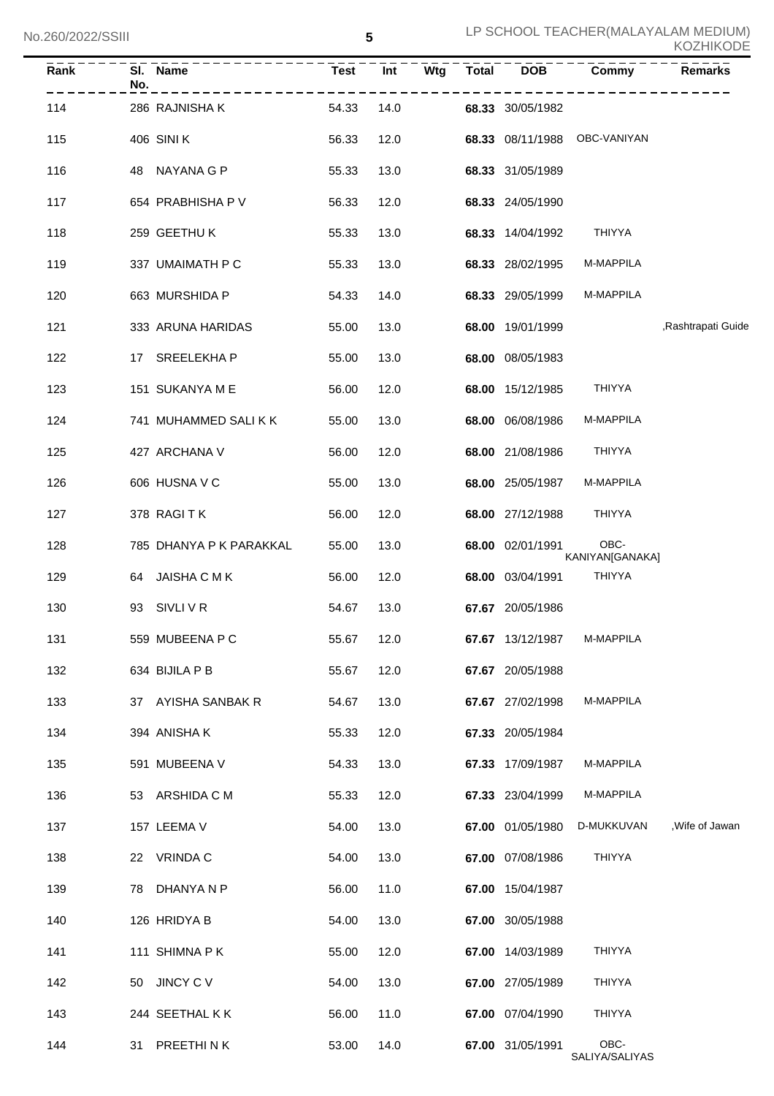| <b>KOZHIKODE</b> |  |
|------------------|--|
|------------------|--|

| Rank | No. | SI. Name                | <b>Test</b> | Wtg<br>Int | <b>Total</b> | <b>DOB</b>       | Commy                        | <b>Remarks</b>     |
|------|-----|-------------------------|-------------|------------|--------------|------------------|------------------------------|--------------------|
| 114  |     | 286 RAJNISHA K          | 54.33       | 14.0       |              | 68.33 30/05/1982 |                              |                    |
| 115  |     | 406 SINI K              | 56.33       | 12.0       |              |                  | 68.33 08/11/1988 OBC-VANIYAN |                    |
| 116  |     | 48 NAYANA G P           | 55.33       | 13.0       |              | 68.33 31/05/1989 |                              |                    |
| 117  |     | 654 PRABHISHA P V       | 56.33       | 12.0       |              | 68.33 24/05/1990 |                              |                    |
| 118  |     | 259 GEETHU K            | 55.33       | 13.0       |              | 68.33 14/04/1992 | <b>THIYYA</b>                |                    |
| 119  |     | 337 UMAIMATH P C        | 55.33       | 13.0       |              | 68.33 28/02/1995 | M-MAPPILA                    |                    |
| 120  |     | 663 MURSHIDA P          | 54.33       | 14.0       |              | 68.33 29/05/1999 | M-MAPPILA                    |                    |
| 121  |     | 333 ARUNA HARIDAS       | 55.00       | 13.0       |              | 68.00 19/01/1999 |                              | ,Rashtrapati Guide |
| 122  |     | 17 SREELEKHA P          | 55.00       | 13.0       |              | 68.00 08/05/1983 |                              |                    |
| 123  |     | 151 SUKANYA M E         | 56.00       | 12.0       |              | 68.00 15/12/1985 | THIYYA                       |                    |
| 124  |     | 741 MUHAMMED SALIKK     | 55.00       | 13.0       |              | 68.00 06/08/1986 | M-MAPPILA                    |                    |
| 125  |     | 427 ARCHANA V           | 56.00       | 12.0       |              | 68.00 21/08/1986 | THIYYA                       |                    |
| 126  |     | 606 HUSNA V C           | 55.00       | 13.0       |              | 68.00 25/05/1987 | M-MAPPILA                    |                    |
| 127  |     | 378 RAGITK              | 56.00       | 12.0       |              | 68.00 27/12/1988 | <b>THIYYA</b>                |                    |
| 128  |     | 785 DHANYA P K PARAKKAL | 55.00       | 13.0       |              | 68.00 02/01/1991 | OBC-<br>KANIYAN[GANAKA]      |                    |
| 129  |     | 64 JAISHA C M K         | 56.00       | 12.0       |              | 68.00 03/04/1991 | THIYYA                       |                    |
| 130  |     | 93 SIVLI V R            | 54.67       | 13.0       |              | 67.67 20/05/1986 |                              |                    |
| 131  |     | 559 MUBEENA P C         | 55.67       | 12.0       |              | 67.67 13/12/1987 | M-MAPPILA                    |                    |
| 132  |     | 634 BIJILA P B          | 55.67       | 12.0       |              | 67.67 20/05/1988 |                              |                    |
| 133  |     | 37 AYISHA SANBAK R      | 54.67       | 13.0       |              | 67.67 27/02/1998 | M-MAPPILA                    |                    |
| 134  |     | 394 ANISHA K            | 55.33       | 12.0       |              | 67.33 20/05/1984 |                              |                    |
| 135  |     | 591 MUBEENA V           | 54.33       | 13.0       |              | 67.33 17/09/1987 | M-MAPPILA                    |                    |
| 136  |     | 53 ARSHIDA C M          | 55.33       | 12.0       |              | 67.33 23/04/1999 | M-MAPPILA                    |                    |
| 137  |     | 157 LEEMA V             | 54.00       | 13.0       |              | 67.00 01/05/1980 | D-MUKKUVAN                   | , Wife of Jawan    |
| 138  |     | 22 VRINDA C             | 54.00       | 13.0       |              | 67.00 07/08/1986 | THIYYA                       |                    |
| 139  |     | 78 DHANYA N P           | 56.00       | 11.0       |              | 67.00 15/04/1987 |                              |                    |
| 140  |     | 126 HRIDYA B            | 54.00       | 13.0       |              | 67.00 30/05/1988 |                              |                    |
| 141  |     | 111 SHIMNA PK           | 55.00       | 12.0       |              | 67.00 14/03/1989 | <b>THIYYA</b>                |                    |
| 142  |     | 50 JINCY C V            | 54.00       | 13.0       |              | 67.00 27/05/1989 | <b>THIYYA</b>                |                    |
| 143  |     | 244 SEETHAL K K         | 56.00       | 11.0       |              | 67.00 07/04/1990 | <b>THIYYA</b>                |                    |
| 144  |     | 31 PREETHINK            | 53.00       | 14.0       |              | 67.00 31/05/1991 | OBC-<br>SALIYA/SALIYAS       |                    |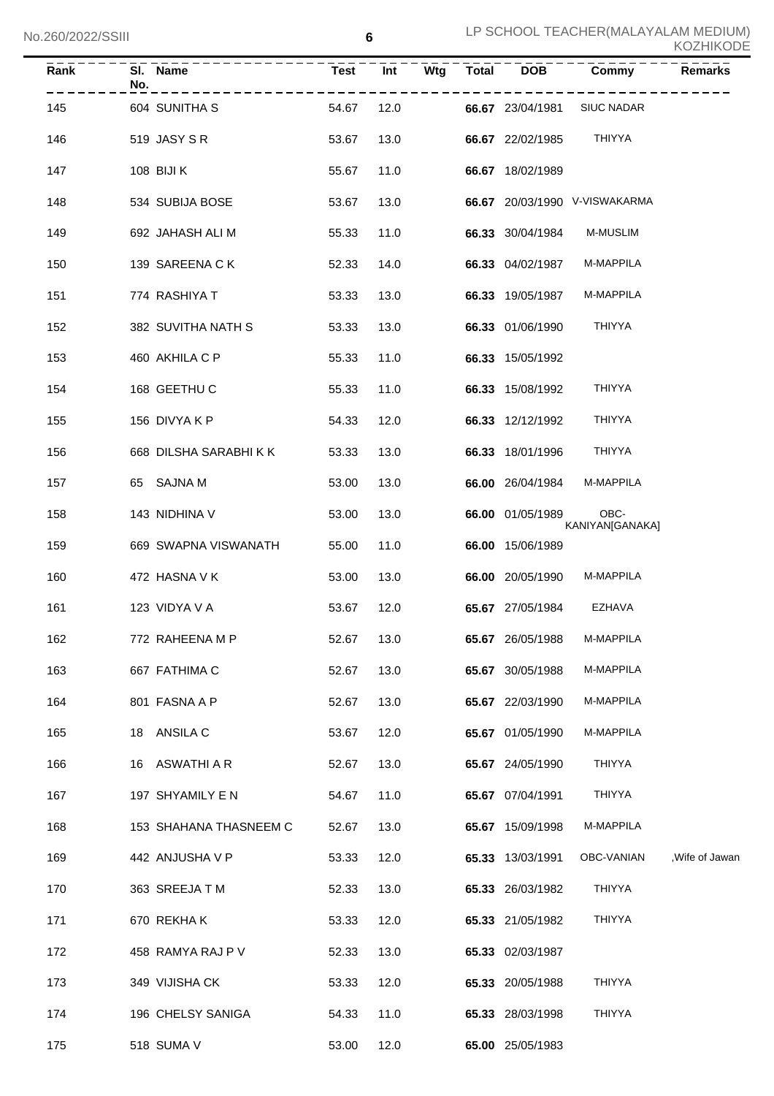| Rank | SI. Name<br>No.        | <b>Test</b> | Wtg<br>Int | <b>Total</b> | <b>DOB</b>       | Commy                         | <b>Remarks</b>  |
|------|------------------------|-------------|------------|--------------|------------------|-------------------------------|-----------------|
| 145  | 604 SUNITHA S          | 54.67       | 12.0       |              | 66.67 23/04/1981 | SIUC NADAR                    |                 |
| 146  | 519 JASY S R           | 53.67       | 13.0       |              | 66.67 22/02/1985 | <b>THIYYA</b>                 |                 |
| 147  | 108 BIJI K             | 55.67       | 11.0       |              | 66.67 18/02/1989 |                               |                 |
| 148  | 534 SUBIJA BOSE        | 53.67       | 13.0       |              |                  | 66.67 20/03/1990 V-VISWAKARMA |                 |
| 149  | 692 JAHASH ALI M       | 55.33       | 11.0       |              | 66.33 30/04/1984 | <b>M-MUSLIM</b>               |                 |
| 150  | 139 SAREENA C K        | 52.33       | 14.0       |              | 66.33 04/02/1987 | <b>M-MAPPILA</b>              |                 |
| 151  | 774 RASHIYA T          | 53.33       | 13.0       |              | 66.33 19/05/1987 | M-MAPPILA                     |                 |
| 152  | 382 SUVITHA NATH S     | 53.33       | 13.0       |              | 66.33 01/06/1990 | <b>THIYYA</b>                 |                 |
| 153  | 460 AKHILA C P         | 55.33       | 11.0       |              | 66.33 15/05/1992 |                               |                 |
| 154  | 168 GEETHU C           | 55.33       | 11.0       |              | 66.33 15/08/1992 | <b>THIYYA</b>                 |                 |
| 155  | 156 DIVYA K P          | 54.33       | 12.0       |              | 66.33 12/12/1992 | <b>THIYYA</b>                 |                 |
| 156  | 668 DILSHA SARABHI K K | 53.33       | 13.0       |              | 66.33 18/01/1996 | <b>THIYYA</b>                 |                 |
| 157  | 65 SAJNA M             | 53.00       | 13.0       |              | 66.00 26/04/1984 | M-MAPPILA                     |                 |
| 158  | 143 NIDHINA V          | 53.00       | 13.0       |              | 66.00 01/05/1989 | OBC-<br>KANIYAN[GANAKA]       |                 |
| 159  | 669 SWAPNA VISWANATH   | 55.00       | 11.0       |              | 66.00 15/06/1989 |                               |                 |
| 160  | 472 HASNA V K          | 53.00       | 13.0       |              | 66.00 20/05/1990 | M-MAPPILA                     |                 |
| 161  | 123 VIDYA V A          | 53.67       | 12.0       |              | 65.67 27/05/1984 | EZHAVA                        |                 |
| 162  | 772 RAHEENA M P        | 52.67       | 13.0       |              | 65.67 26/05/1988 | M-MAPPILA                     |                 |
| 163  | 667 FATHIMA C          | 52.67       | 13.0       |              | 65.67 30/05/1988 | M-MAPPILA                     |                 |
| 164  | 801 FASNA A P          | 52.67       | 13.0       |              | 65.67 22/03/1990 | M-MAPPILA                     |                 |
| 165  | 18 ANSILA C            | 53.67       | 12.0       |              | 65.67 01/05/1990 | M-MAPPILA                     |                 |
| 166  | 16 ASWATHI A R         | 52.67       | 13.0       |              | 65.67 24/05/1990 | <b>THIYYA</b>                 |                 |
| 167  | 197 SHYAMILY E N       | 54.67       | 11.0       |              | 65.67 07/04/1991 | <b>THIYYA</b>                 |                 |
| 168  | 153 SHAHANA THASNEEM C | 52.67       | 13.0       |              | 65.67 15/09/1998 | M-MAPPILA                     |                 |
| 169  | 442 ANJUSHA V P        | 53.33       | 12.0       |              | 65.33 13/03/1991 | OBC-VANIAN                    | , Wife of Jawan |
| 170  | 363 SREEJA T M         | 52.33       | 13.0       |              | 65.33 26/03/1982 | THIYYA                        |                 |
| 171  | 670 REKHAK             | 53.33       | 12.0       |              | 65.33 21/05/1982 | <b>THIYYA</b>                 |                 |
| 172  | 458 RAMYA RAJ P V      | 52.33       | 13.0       |              | 65.33 02/03/1987 |                               |                 |
| 173  | 349 VIJISHA CK         | 53.33       | 12.0       |              | 65.33 20/05/1988 | <b>THIYYA</b>                 |                 |
| 174  | 196 CHELSY SANIGA      | 54.33       | 11.0       |              | 65.33 28/03/1998 | <b>THIYYA</b>                 |                 |
| 175  | 518 SUMA V             | 53.00       | 12.0       |              | 65.00 25/05/1983 |                               |                 |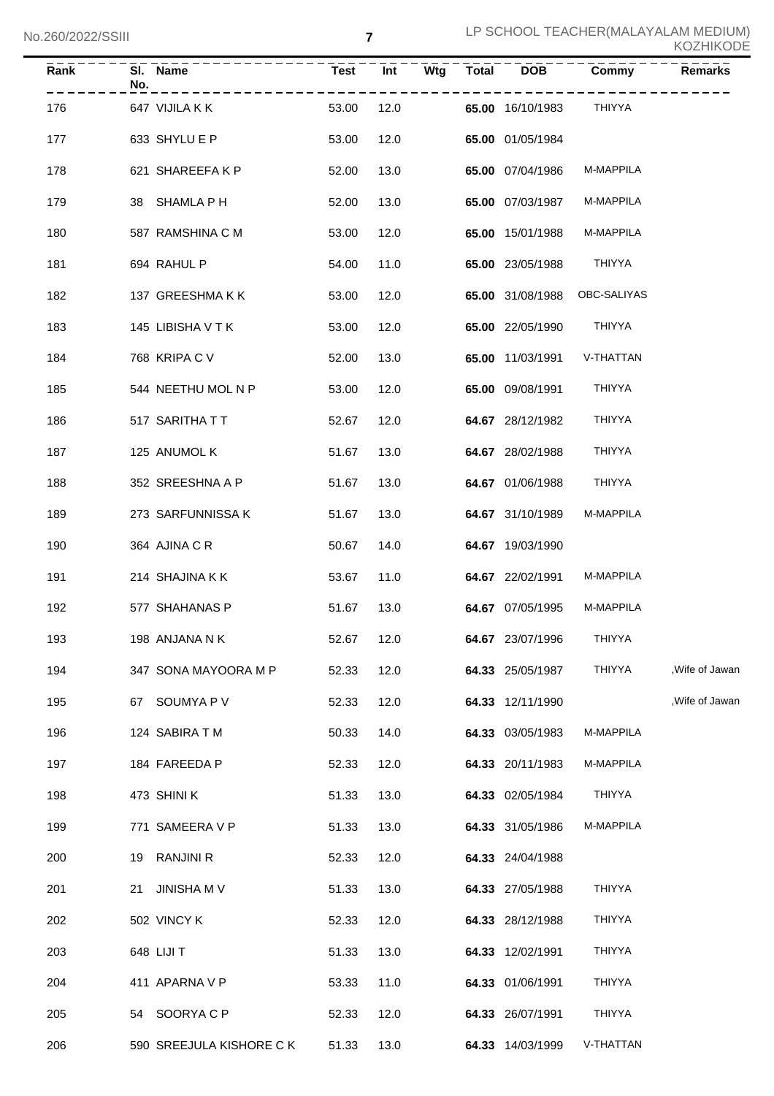| Rank      | No. | SI. Name                     | Test <sup>-</sup> | Int  |            | Wtg Total | <b>DOB</b>                   | Commy                        | Remarks         |
|-----------|-----|------------------------------|-------------------|------|------------|-----------|------------------------------|------------------------------|-----------------|
| 176 — 176 |     | 647 VIJILA K K               | 53.00             |      | ---------- |           | 12.0 65.00 16/10/1983 THIYYA |                              |                 |
| 177       |     | 633 SHYLU E P                | 53.00             | 12.0 |            |           | 65.00 01/05/1984             |                              |                 |
| 178       |     | 621 SHAREEFA K P             | 52.00             | 13.0 |            |           | <b>65.00</b> 07/04/1986      | M-MAPPILA                    |                 |
| 179       |     | 38 SHAMLA P H                | 52.00             | 13.0 |            |           | <b>65.00</b> 07/03/1987      | M-MAPPILA                    |                 |
| 180       |     | 587 RAMSHINA C M             | 53.00             | 12.0 |            |           | <b>65.00</b> 15/01/1988      | M-MAPPILA                    |                 |
| 181       |     | 694 RAHUL P                  | 54.00             | 11.0 |            |           | 65.00 23/05/1988 THIYYA      |                              |                 |
| 182       |     | 137 GREESHMA K K             | 53.00             | 12.0 |            |           |                              | 65.00 31/08/1988 OBC-SALIYAS |                 |
| 183       |     | 145 LIBISHA V T K            | 53.00             | 12.0 |            |           | 65.00 22/05/1990 THIYYA      |                              |                 |
| 184       |     | 768 KRIPA C V                | 52.00             | 13.0 |            |           |                              | 65.00 11/03/1991 V-THATTAN   |                 |
| 185       |     | 544 NEETHU MOL N P           | 53.00             | 12.0 |            |           | <b>65.00</b> 09/08/1991      | THIYYA                       |                 |
| 186       |     | 517 SARITHA T T              | 52.67             | 12.0 |            |           | 64.67 28/12/1982             | THIYYA                       |                 |
| 187       |     | 125  ANUMOL K                | 51.67             | 13.0 |            |           | 64.67 28/02/1988             | THIYYA                       |                 |
| 188       |     | 352 SREESHNA A P             | 51.67             | 13.0 |            |           | <b>64.67</b> 01/06/1988      | THIYYA                       |                 |
| 189       |     | 273 SARFUNNISSA K            | 51.67             | 13.0 |            |           | 64.67 31/10/1989             | M-MAPPILA                    |                 |
| 190       |     | 364 AJINA C R                | 50.67             | 14.0 |            |           | 64.67 19/03/1990             |                              |                 |
| 191       |     | 214 SHAJINA K K              | 53.67             | 11.0 |            |           | 64.67 22/02/1991             | <b>M-MAPPILA</b>             |                 |
| 192       |     | 577 SHAHANAS P               | 51.67             | 13.0 |            |           | 64.67 07/05/1995             | M-MAPPILA                    |                 |
| 193       |     | 52.67 12.0<br>198 ANJANA N K |                   |      |            |           | 64.67 23/07/1996             | <b>THIYYA</b>                |                 |
| 194       |     | 347 SONA MAYOORA M P         | 52.33             | 12.0 |            |           | 64.33 25/05/1987             | THIYYA                       | , Wife of Jawan |
| 195       |     | 67 SOUMYA P V                | 52.33             | 12.0 |            |           | 64.33 12/11/1990             |                              | , Wife of Jawan |
| 196       |     | 124 SABIRA T M               | 50.33             | 14.0 |            |           | 64.33 03/05/1983             | M-MAPPILA                    |                 |
| 197       |     | 184 FAREEDA P                | 52.33             | 12.0 |            |           | 64.33 20/11/1983             | M-MAPPILA                    |                 |
| 198       |     | 473 SHINI K                  | 51.33             | 13.0 |            |           | 64.33 02/05/1984             | THIYYA                       |                 |
| 199       |     | 771 SAMEERA V P              | 51.33             | 13.0 |            |           | 64.33 31/05/1986             | M-MAPPILA                    |                 |
| 200       |     | 19 RANJINI R                 | 52.33             | 12.0 |            |           | 64.33 24/04/1988             |                              |                 |
| 201       | 21  | JINISHA M V                  | 51.33             | 13.0 |            |           | 64.33 27/05/1988             | THIYYA                       |                 |
| 202       |     | 502 VINCY K                  | 52.33             | 12.0 |            |           | 64.33 28/12/1988             | THIYYA                       |                 |
| 203       |     | 648 LIJI T                   | 51.33             | 13.0 |            |           | 64.33 12/02/1991             | THIYYA                       |                 |
| 204       |     | 411 APARNA V P               | 53.33             | 11.0 |            |           | 64.33 01/06/1991             | THIYYA                       |                 |
| 205       |     | 54 SOORYACP                  | 52.33             | 12.0 |            |           | 64.33 26/07/1991             | THIYYA                       |                 |
| 206       |     | 590 SREEJULA KISHORE C K     | 51.33             | 13.0 |            |           | 64.33 14/03/1999             | V-THATTAN                    |                 |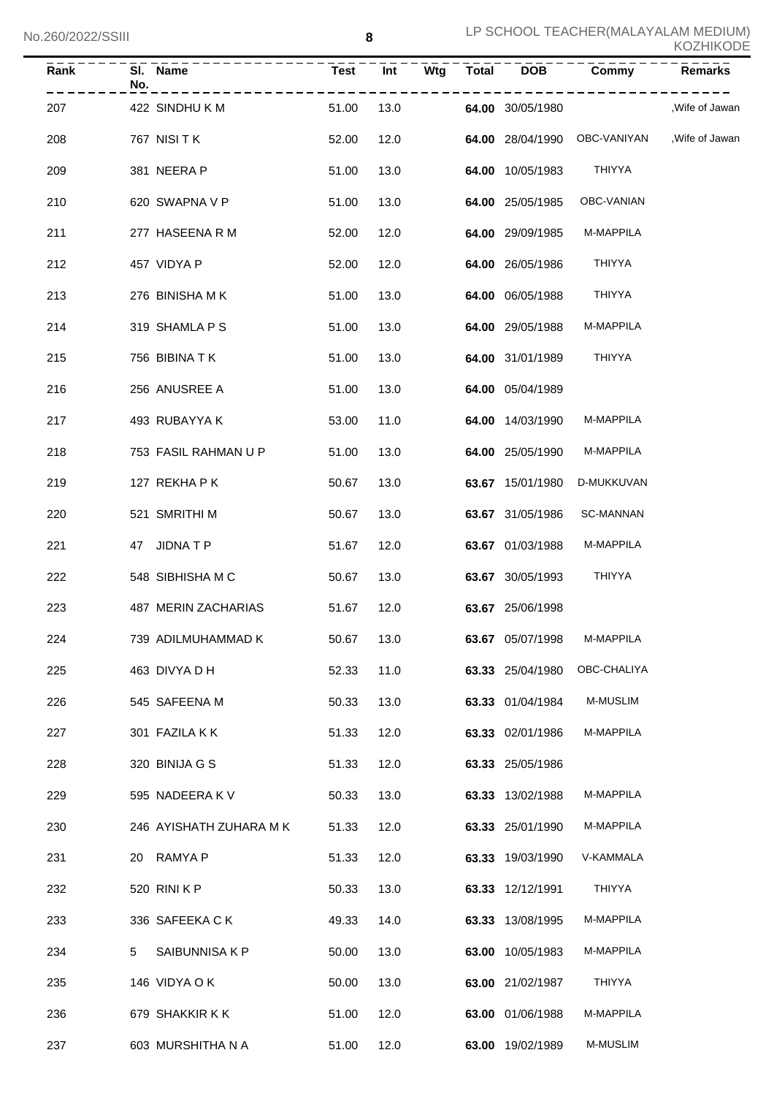| Rank | SI. Name<br>No.<br>------------- | Test Int |      | Wtg Total DOB Commy | _ _ _ _ _ _ _ _ _ _ _                        | Remarks        |
|------|----------------------------------|----------|------|---------------------|----------------------------------------------|----------------|
| 207  | 422 SINDHU K M                   | 51.00    | 13.0 | 64.00 30/05/1980    |                                              | .Wife of Jawan |
| 208  | 767 NISI T K                     | 52.00    | 12.0 |                     | 64.00 28/04/1990 OBC-VANIYAN , Wife of Jawan |                |
| 209  | 381 NEERA P                      | 51.00    | 13.0 | 64.00 10/05/1983    | THIYYA                                       |                |
| 210  | 620 SWAPNA V P                   | 51.00    | 13.0 | 64.00 25/05/1985    | OBC-VANIAN                                   |                |
| 211  | 277 HASEENA R M                  | 52.00    | 12.0 | 64.00 29/09/1985    | M-MAPPILA                                    |                |
| 212  | 457 VIDYA P                      | 52.00    | 12.0 | 64.00 26/05/1986    | THIYYA                                       |                |
| 213  | 276 BINISHA M K                  | 51.00    | 13.0 | 64.00 06/05/1988    | THIYYA                                       |                |
| 214  | 319 SHAMLA P S                   | 51.00    | 13.0 | 64.00 29/05/1988    | <b>M-MAPPILA</b>                             |                |
| 215  | 756 BIBINA T K                   | 51.00    | 13.0 | 64.00 31/01/1989    | THIYYA                                       |                |
| 216  | 256 ANUSREE A                    | 51.00    | 13.0 | 64.00 05/04/1989    |                                              |                |
| 217  | 493 RUBAYYA K                    | 53.00    | 11.0 | 64.00 14/03/1990    | M-MAPPILA                                    |                |
| 218  | 753 FASIL RAHMAN U P             | 51.00    | 13.0 | 64.00 25/05/1990    | M-MAPPILA                                    |                |
| 219  | 127 REKHA P K                    | 50.67    | 13.0 | 63.67 15/01/1980    | D-MUKKUVAN                                   |                |
| 220  | 521 SMRITHI M                    | 50.67    | 13.0 | 63.67 31/05/1986    | SC-MANNAN                                    |                |
| 221  | 47 JIDNATP                       | 51.67    | 12.0 | 63.67 01/03/1988    | M-MAPPILA                                    |                |
| 222  | 548 SIBHISHA M C                 | 50.67    | 13.0 | 63.67 30/05/1993    | THIYYA                                       |                |
| 223  | 487 MERIN ZACHARIAS              | 51.67    | 12.0 | 63.67 25/06/1998    |                                              |                |
| 224  | 739 ADILMUHAMMAD K               | 50.67    | 13.0 | 63.67 05/07/1998    | M-MAPPILA                                    |                |
| 225  | 463 DIVYA D H                    | 52.33    | 11.0 | 63.33 25/04/1980    | OBC-CHALIYA                                  |                |
| 226  | 545 SAFEENA M                    | 50.33    | 13.0 | 63.33 01/04/1984    | <b>M-MUSLIM</b>                              |                |
| 227  | 301 FAZILA K K                   | 51.33    | 12.0 | 63.33 02/01/1986    | M-MAPPILA                                    |                |
| 228  | 320 BINIJA G S                   | 51.33    | 12.0 | 63.33 25/05/1986    |                                              |                |
| 229  | 595 NADEERA K V                  | 50.33    | 13.0 | 63.33 13/02/1988    | M-MAPPILA                                    |                |
| 230  | 246 AYISHATH ZUHARA M K          | 51.33    | 12.0 | 63.33 25/01/1990    | M-MAPPILA                                    |                |
| 231  | <b>RAMYA P</b><br>20             | 51.33    | 12.0 | 63.33 19/03/1990    | V-KAMMALA                                    |                |
| 232  | 520 RINI K P                     | 50.33    | 13.0 | 63.33 12/12/1991    | THIYYA                                       |                |
| 233  | 336 SAFEEKA C K                  | 49.33    | 14.0 | 63.33 13/08/1995    | M-MAPPILA                                    |                |
| 234  | 5<br>SAIBUNNISA K P              | 50.00    | 13.0 | 63.00 10/05/1983    | M-MAPPILA                                    |                |
| 235  | 146 VIDYA O K                    | 50.00    | 13.0 | 63.00 21/02/1987    | THIYYA                                       |                |
| 236  | 679 SHAKKIR K K                  | 51.00    | 12.0 | 63.00 01/06/1988    | M-MAPPILA                                    |                |
| 237  | 603 MURSHITHA N A                | 51.00    | 12.0 | 63.00 19/02/1989    | M-MUSLIM                                     |                |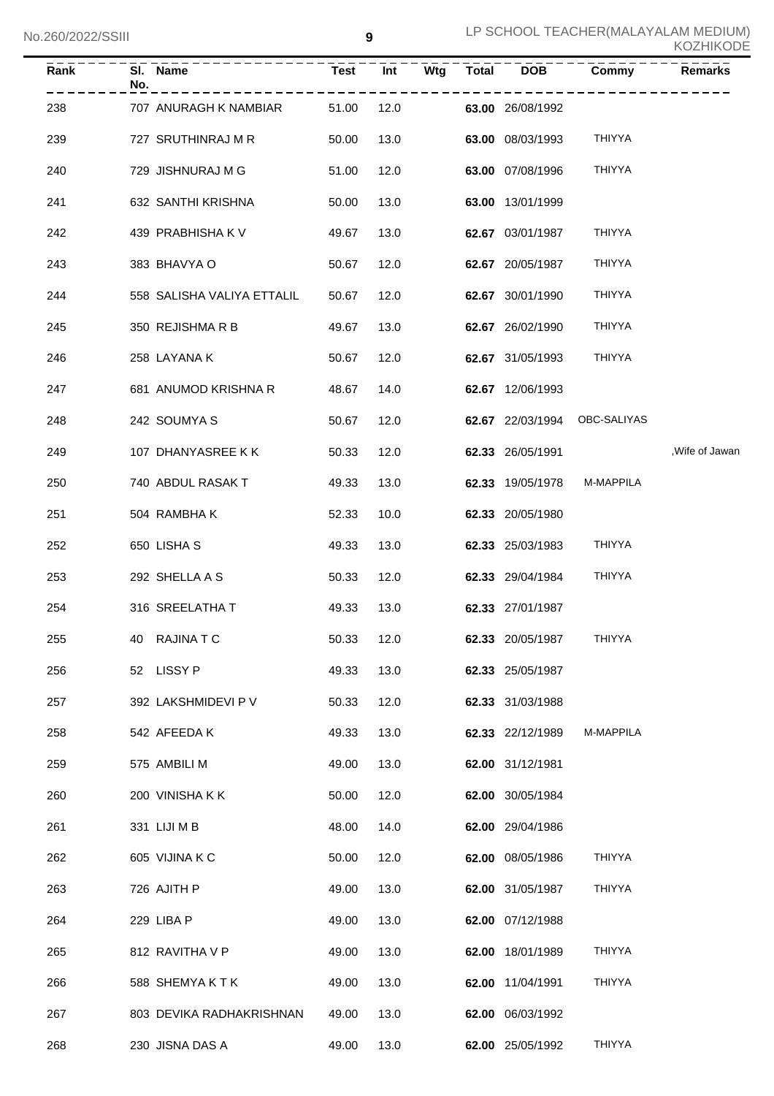| Rank | No. | SI. Name                   | <b>Test</b> | Int  | Wtg<br><b>Total</b> | <b>DOB</b>       | Commy         | Remarks         |
|------|-----|----------------------------|-------------|------|---------------------|------------------|---------------|-----------------|
| 238  |     | 707 ANURAGH K NAMBIAR      | 51.00       | 12.0 |                     | 63.00 26/08/1992 |               |                 |
| 239  |     | 727 SRUTHINRAJ M R         | 50.00       | 13.0 |                     | 63.00 08/03/1993 | <b>THIYYA</b> |                 |
| 240  |     | 729 JISHNURAJ M G          | 51.00       | 12.0 |                     | 63.00 07/08/1996 | <b>THIYYA</b> |                 |
| 241  |     | 632 SANTHI KRISHNA         | 50.00       | 13.0 |                     | 63.00 13/01/1999 |               |                 |
| 242  |     | 439 PRABHISHA K V          | 49.67       | 13.0 |                     | 62.67 03/01/1987 | <b>THIYYA</b> |                 |
| 243  |     | 383 BHAVYA O               | 50.67       | 12.0 |                     | 62.67 20/05/1987 | <b>THIYYA</b> |                 |
| 244  |     | 558 SALISHA VALIYA ETTALIL | 50.67       | 12.0 |                     | 62.67 30/01/1990 | <b>THIYYA</b> |                 |
| 245  |     | 350 REJISHMA R B           | 49.67       | 13.0 |                     | 62.67 26/02/1990 | <b>THIYYA</b> |                 |
| 246  |     | 258 LAYANA K               | 50.67       | 12.0 |                     | 62.67 31/05/1993 | <b>THIYYA</b> |                 |
| 247  |     | 681 ANUMOD KRISHNA R       | 48.67       | 14.0 |                     | 62.67 12/06/1993 |               |                 |
| 248  |     | 242 SOUMYA S               | 50.67       | 12.0 |                     | 62.67 22/03/1994 | OBC-SALIYAS   |                 |
| 249  |     | 107 DHANYASREE K K         | 50.33       | 12.0 |                     | 62.33 26/05/1991 |               | , Wife of Jawan |
| 250  |     | 740 ABDUL RASAK T          | 49.33       | 13.0 |                     | 62.33 19/05/1978 | M-MAPPILA     |                 |
| 251  |     | 504 RAMBHAK                | 52.33       | 10.0 |                     | 62.33 20/05/1980 |               |                 |
| 252  |     | 650 LISHA S                | 49.33       | 13.0 |                     | 62.33 25/03/1983 | <b>THIYYA</b> |                 |
| 253  |     | 292 SHELLA A S             | 50.33       | 12.0 |                     | 62.33 29/04/1984 | <b>THIYYA</b> |                 |
| 254  |     | 316 SREELATHA T            | 49.33       | 13.0 |                     | 62.33 27/01/1987 |               |                 |
| 255  |     | 40 RAJINATC                | 50.33       | 12.0 |                     | 62.33 20/05/1987 | THIYYA        |                 |
| 256  |     | 52 LISSY P                 | 49.33       | 13.0 |                     | 62.33 25/05/1987 |               |                 |
| 257  |     | 392 LAKSHMIDEVI P V        | 50.33       | 12.0 |                     | 62.33 31/03/1988 |               |                 |
| 258  |     | 542 AFEEDA K               | 49.33       | 13.0 |                     | 62.33 22/12/1989 | M-MAPPILA     |                 |
| 259  |     | 575 AMBILI M               | 49.00       | 13.0 |                     | 62.00 31/12/1981 |               |                 |
| 260  |     | 200 VINISHAKK              | 50.00       | 12.0 |                     | 62.00 30/05/1984 |               |                 |
| 261  |     | 331 LIJI M B               | 48.00       | 14.0 |                     | 62.00 29/04/1986 |               |                 |
| 262  |     | 605 VIJINA K C             | 50.00       | 12.0 |                     | 62.00 08/05/1986 | <b>THIYYA</b> |                 |
| 263  |     | 726 AJITH P                | 49.00       | 13.0 |                     | 62.00 31/05/1987 | <b>THIYYA</b> |                 |
| 264  |     | 229 LIBA P                 | 49.00       | 13.0 |                     | 62.00 07/12/1988 |               |                 |
| 265  |     | 812 RAVITHA V P            | 49.00       | 13.0 |                     | 62.00 18/01/1989 | <b>THIYYA</b> |                 |
| 266  |     | 588 SHEMYAKTK              | 49.00       | 13.0 |                     | 62.00 11/04/1991 | <b>THIYYA</b> |                 |
| 267  |     | 803 DEVIKA RADHAKRISHNAN   | 49.00       | 13.0 |                     | 62.00 06/03/1992 |               |                 |
| 268  |     | 230 JISNA DAS A            | 49.00       | 13.0 |                     | 62.00 25/05/1992 | <b>THIYYA</b> |                 |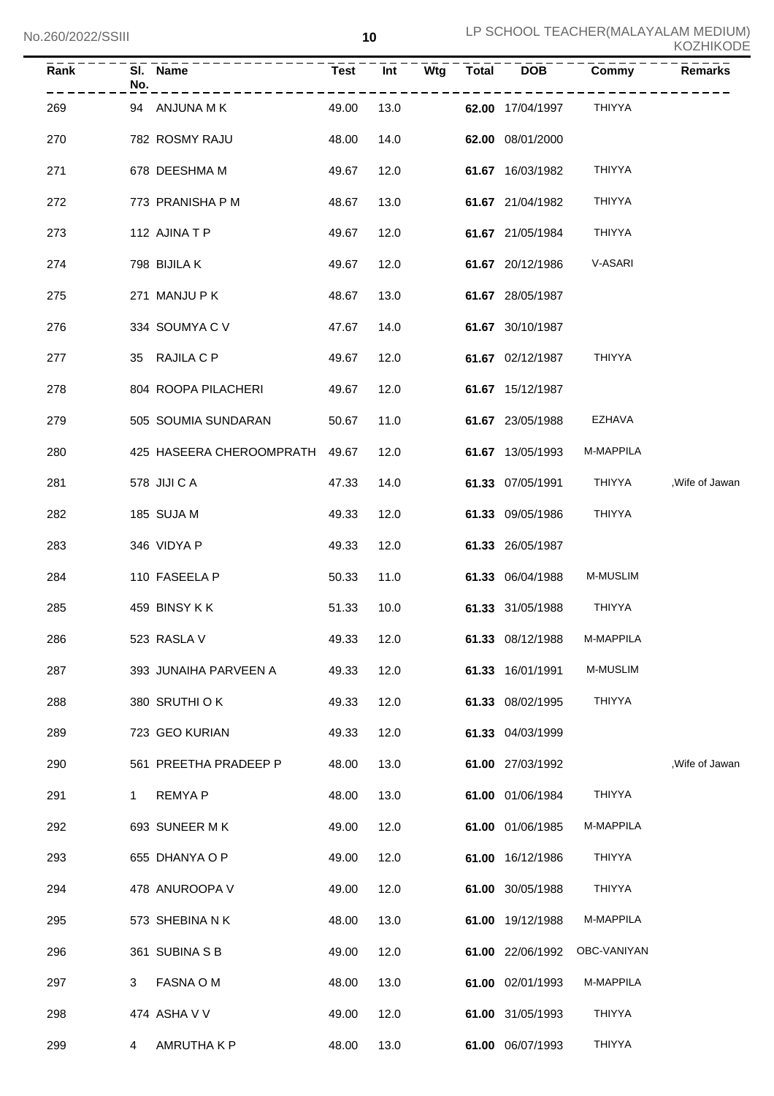| Rank | SI.<br><b>Name</b><br>No. | <b>Test</b> | <b>Wtg</b><br>Int | <b>Total</b> | DOB              | Commy         | <b>Remarks</b>  |
|------|---------------------------|-------------|-------------------|--------------|------------------|---------------|-----------------|
| 269  | ANJUNA M K<br>94          | 49.00       | 13.0              |              | 62.00 17/04/1997 | THIYYA        |                 |
| 270  | 782 ROSMY RAJU            | 48.00       | 14.0              |              | 62.00 08/01/2000 |               |                 |
| 271  | 678 DEESHMA M             | 49.67       | 12.0              |              | 61.67 16/03/1982 | <b>THIYYA</b> |                 |
| 272  | 773 PRANISHA P M          | 48.67       | 13.0              |              | 61.67 21/04/1982 | <b>THIYYA</b> |                 |
| 273  | 112 AJINATP               | 49.67       | 12.0              |              | 61.67 21/05/1984 | <b>THIYYA</b> |                 |
| 274  | 798 BIJILA K              | 49.67       | 12.0              |              | 61.67 20/12/1986 | V-ASARI       |                 |
| 275  | 271 MANJU P K             | 48.67       | 13.0              |              | 61.67 28/05/1987 |               |                 |
| 276  | 334 SOUMYA C V            | 47.67       | 14.0              |              | 61.67 30/10/1987 |               |                 |
| 277  | 35 RAJILA C P             | 49.67       | 12.0              |              | 61.67 02/12/1987 | <b>THIYYA</b> |                 |
| 278  | 804 ROOPA PILACHERI       | 49.67       | 12.0              |              | 61.67 15/12/1987 |               |                 |
| 279  | 505 SOUMIA SUNDARAN       | 50.67       | 11.0              |              | 61.67 23/05/1988 | EZHAVA        |                 |
| 280  | 425 HASEERA CHEROOMPRATH  | 49.67       | 12.0              |              | 61.67 13/05/1993 | M-MAPPILA     |                 |
| 281  | 578 JIJI C A              | 47.33       | 14.0              |              | 61.33 07/05/1991 | <b>THIYYA</b> | , Wife of Jawan |
| 282  | 185 SUJA M                | 49.33       | 12.0              |              | 61.33 09/05/1986 | <b>THIYYA</b> |                 |
| 283  | 346 VIDYA P               | 49.33       | 12.0              |              | 61.33 26/05/1987 |               |                 |
| 284  | 110 FASEELA P             | 50.33       | 11.0              |              | 61.33 06/04/1988 | M-MUSLIM      |                 |
| 285  | 459 BINSY KK              | 51.33       | 10.0              |              | 61.33 31/05/1988 | <b>THIYYA</b> |                 |
| 286  | 523 RASLA V               | 49.33       | 12.0              |              | 61.33 08/12/1988 | M-MAPPILA     |                 |
| 287  | 393 JUNAIHA PARVEEN A     | 49.33       | 12.0              |              | 61.33 16/01/1991 | M-MUSLIM      |                 |
| 288  | 380 SRUTHI OK             | 49.33       | 12.0              |              | 61.33 08/02/1995 | <b>THIYYA</b> |                 |
| 289  | 723 GEO KURIAN            | 49.33       | 12.0              |              | 61.33 04/03/1999 |               |                 |
| 290  | 561 PREETHA PRADEEP P     | 48.00       | 13.0              |              | 61.00 27/03/1992 |               | , Wife of Jawan |
| 291  | <b>REMYAP</b><br>1        | 48.00       | 13.0              |              | 61.00 01/06/1984 | <b>THIYYA</b> |                 |
| 292  | 693 SUNEER MK             | 49.00       | 12.0              |              | 61.00 01/06/1985 | M-MAPPILA     |                 |
| 293  | 655 DHANYA O P            | 49.00       | 12.0              |              | 61.00 16/12/1986 | <b>THIYYA</b> |                 |
| 294  | 478 ANUROOPA V            | 49.00       | 12.0              |              | 61.00 30/05/1988 | <b>THIYYA</b> |                 |
| 295  | 573 SHEBINA N K           | 48.00       | 13.0              |              | 61.00 19/12/1988 | M-MAPPILA     |                 |
| 296  | 361 SUBINA S B            | 49.00       | 12.0              |              | 61.00 22/06/1992 | OBC-VANIYAN   |                 |
| 297  | FASNA O M<br>3            | 48.00       | 13.0              |              | 61.00 02/01/1993 | M-MAPPILA     |                 |
| 298  | 474 ASHA V V              | 49.00       | 12.0              |              | 61.00 31/05/1993 | <b>THIYYA</b> |                 |
| 299  | AMRUTHA K P<br>4          | 48.00       | 13.0              |              | 61.00 06/07/1993 | <b>THIYYA</b> |                 |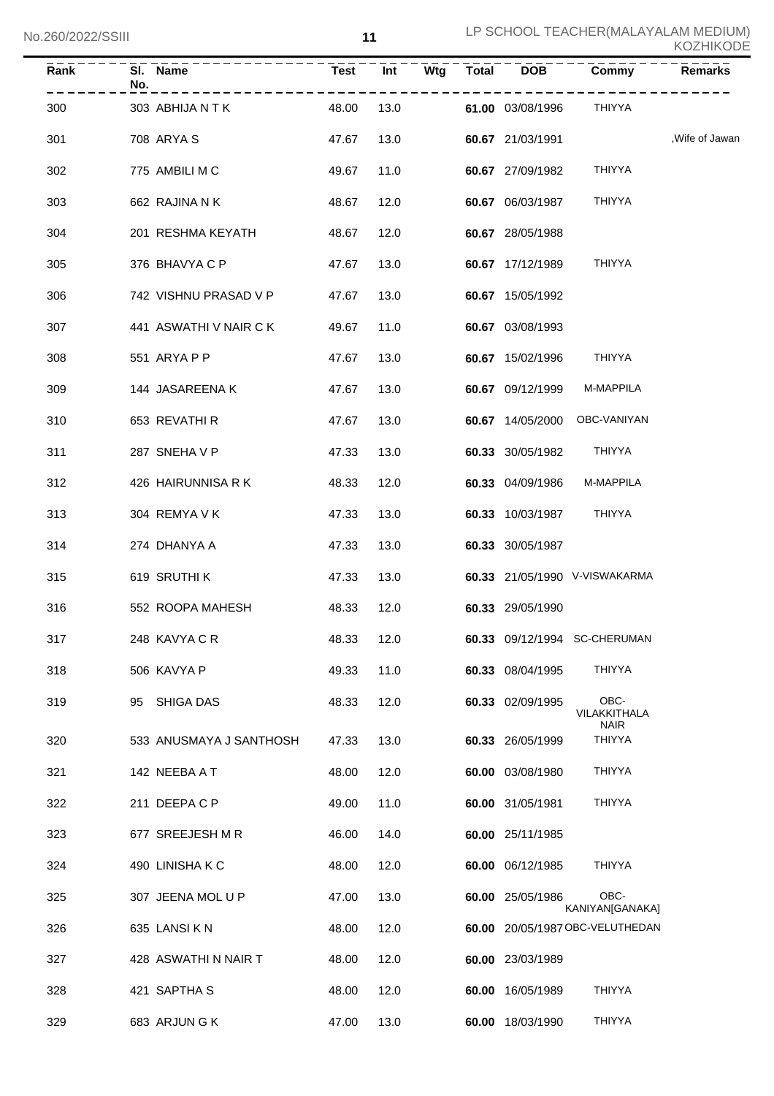| KOZHIKODE |  |
|-----------|--|
|-----------|--|

| Rank | SI. Name<br>No.         | <b>Test</b> | Int<br>Wtg | <b>Total</b> | <b>DOB</b>              | Commy                         | Remarks         |
|------|-------------------------|-------------|------------|--------------|-------------------------|-------------------------------|-----------------|
| 300  | 303 ABHIJA N T K        | 48.00       | 13.0       |              | <b>61.00</b> 03/08/1996 | THIYYA                        |                 |
| 301  | 708 ARYA S              | 47.67       | 13.0       |              | 60.67 21/03/1991        |                               | , Wife of Jawan |
| 302  | 775 AMBILI M C          | 49.67       | 11.0       |              | 60.67 27/09/1982        | THIYYA                        |                 |
| 303  | 662 RAJINA N K          | 48.67       | 12.0       |              | 60.67 06/03/1987        | THIYYA                        |                 |
| 304  | 201 RESHMA KEYATH       | 48.67       | 12.0       |              | 60.67 28/05/1988        |                               |                 |
| 305  | 376 BHAVYA C P          | 47.67       | 13.0       |              | 60.67 17/12/1989        | THIYYA                        |                 |
| 306  | 742 VISHNU PRASAD V P   | 47.67       | 13.0       |              | 60.67 15/05/1992        |                               |                 |
| 307  | 441 ASWATHI V NAIR C K  | 49.67       | 11.0       |              | 60.67 03/08/1993        |                               |                 |
| 308  | 551 ARYA P P            | 47.67       | 13.0       |              | 60.67 15/02/1996        | THIYYA                        |                 |
| 309  | 144 JASAREENA K         | 47.67       | 13.0       |              | 60.67 09/12/1999        | M-MAPPILA                     |                 |
| 310  | 653 REVATHI R           | 47.67       | 13.0       |              |                         | 60.67 14/05/2000 OBC-VANIYAN  |                 |
| 311  | 287 SNEHAVP             | 47.33       | 13.0       |              | 60.33 30/05/1982 THIYYA |                               |                 |
| 312  | 426 HAIRUNNISA R K      | 48.33       | 12.0       |              | 60.33 04/09/1986        | M-MAPPILA                     |                 |
| 313  | 304 REMYA V K           | 47.33       | 13.0       |              | 60.33 10/03/1987 THIYYA |                               |                 |
| 314  | 274 DHANYA A            | 47.33       | 13.0       |              | 60.33 30/05/1987        |                               |                 |
| 315  | 619 SRUTHI K            | 47.33       | 13.0       |              |                         | 60.33 21/05/1990 V-VISWAKARMA |                 |
| 316  | 552 ROOPA MAHESH        | 48.33       | 12.0       |              | 60.33 29/05/1990        |                               |                 |
| 317  | 248 KAVYA C R           | 48.33       | 12.0       |              |                         | 60.33 09/12/1994 SC-CHERUMAN  |                 |
| 318  | 506 KAVYA P             | 49.33       | 11.0       |              | 60.33 08/04/1995        | <b>THIYYA</b>                 |                 |
| 319  | SHIGA DAS<br>95         | 48.33       | 12.0       |              | 60.33 02/09/1995        | OBC-<br>VILAKKITHALA          |                 |
| 320  | 533 ANUSMAYA J SANTHOSH | 47.33       | 13.0       |              | 60.33 26/05/1999        | <b>NAIR</b><br><b>THIYYA</b>  |                 |
| 321  | 142 NEEBA A T           | 48.00       | 12.0       |              | 60.00 03/08/1980        | <b>THIYYA</b>                 |                 |
| 322  | 211 DEEPACP             | 49.00       | 11.0       |              | 60.00 31/05/1981        | <b>THIYYA</b>                 |                 |
| 323  | 677 SREEJESH M R        | 46.00       | 14.0       |              | 60.00 25/11/1985        |                               |                 |
| 324  | 490 LINISHAKC           | 48.00       | 12.0       |              | 60.00 06/12/1985        | <b>THIYYA</b>                 |                 |
| 325  | 307 JEENA MOL U P       | 47.00       | 13.0       |              | 60.00 25/05/1986        | OBC-<br>KANIYAN[GANAKA]       |                 |
| 326  | 635 LANSIKN             | 48.00       | 12.0       | 60.00        |                         | 20/05/1987 OBC-VELUTHEDAN     |                 |
| 327  | 428 ASWATHI N NAIR T    | 48.00       | 12.0       |              | 60.00 23/03/1989        |                               |                 |
| 328  | 421 SAPTHA S            | 48.00       | 12.0       |              | 60.00 16/05/1989        | <b>THIYYA</b>                 |                 |
| 329  | 683 ARJUN G K           | 47.00       | 13.0       |              | 60.00 18/03/1990        | <b>THIYYA</b>                 |                 |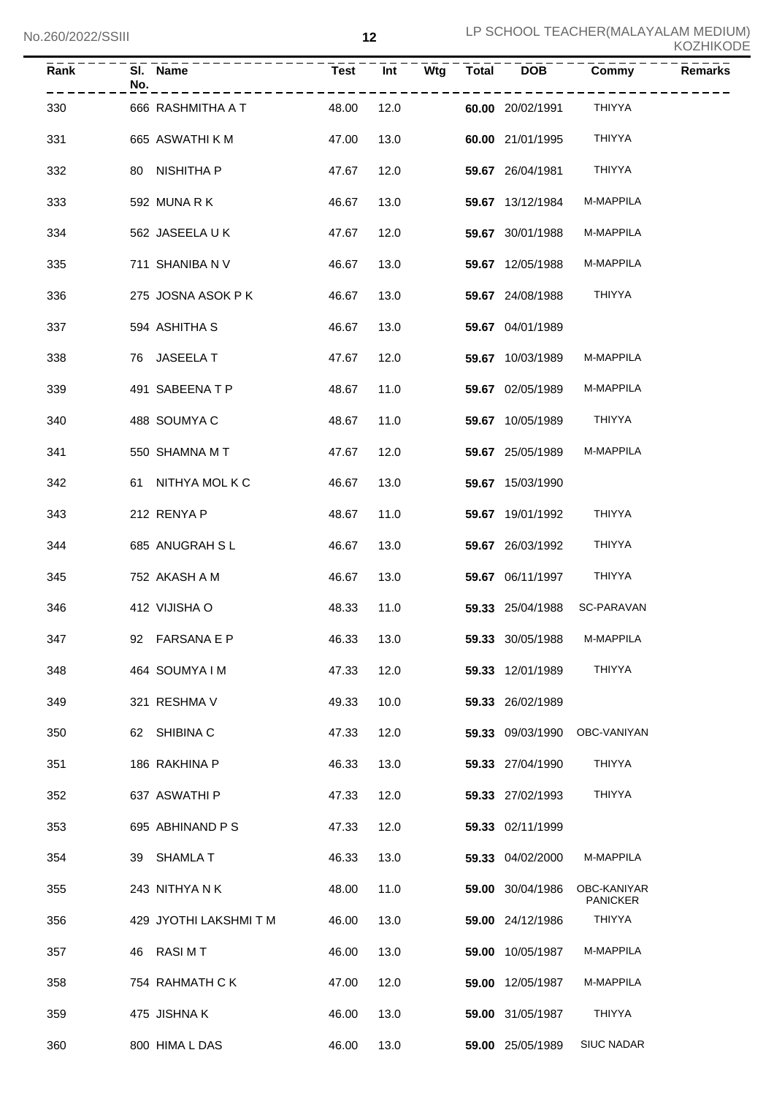| <b>Rank</b> | No. | SI. Name               | Test       |      |  | Int Wtg Total DOB | Commy                          | <b>Remarks</b> |
|-------------|-----|------------------------|------------|------|--|-------------------|--------------------------------|----------------|
| 330         |     | 666 RASHMITHA A T      | 48.00      | 12.0 |  | 60.00 20/02/1991  | THIYYA                         |                |
| 331         |     | 665 ASWATHI K M        | 47.00      | 13.0 |  | 60.00 21/01/1995  | <b>THIYYA</b>                  |                |
| 332         |     | 80 NISHITHA P          | 47.67      | 12.0 |  | 59.67 26/04/1981  | THIYYA                         |                |
| 333         |     | 592 MUNARK             | 46.67      | 13.0 |  | 59.67 13/12/1984  | M-MAPPILA                      |                |
| 334         |     | 562 JASEELA UK         | 47.67      | 12.0 |  | 59.67 30/01/1988  | M-MAPPILA                      |                |
| 335         |     | 711 SHANIBA N V        | 46.67      | 13.0 |  | 59.67 12/05/1988  | M-MAPPILA                      |                |
| 336         |     | 275 JOSNA ASOK PK      | 46.67      | 13.0 |  | 59.67 24/08/1988  | THIYYA                         |                |
| 337         |     | 594 ASHITHA S          | 46.67      | 13.0 |  | 59.67 04/01/1989  |                                |                |
| 338         |     | 76 JASEELA T           | 47.67      | 12.0 |  | 59.67 10/03/1989  | M-MAPPILA                      |                |
| 339         |     | 491 SABEENA T P        | 48.67      | 11.0 |  | 59.67 02/05/1989  | M-MAPPILA                      |                |
| 340         |     | 488 SOUMYA C           | 48.67      | 11.0 |  | 59.67 10/05/1989  | THIYYA                         |                |
| 341         |     | 550 SHAMNA M T         | 47.67      | 12.0 |  | 59.67 25/05/1989  | M-MAPPILA                      |                |
| 342         |     | 61 NITHYA MOL K C      | 46.67      | 13.0 |  | 59.67 15/03/1990  |                                |                |
| 343         |     | 212 RENYA P            | 48.67      | 11.0 |  | 59.67 19/01/1992  | <b>THIYYA</b>                  |                |
| 344         |     | 685 ANUGRAH SL         | 46.67      | 13.0 |  | 59.67 26/03/1992  | <b>THIYYA</b>                  |                |
| 345         |     | 752 AKASH A M          | 46.67      | 13.0 |  | 59.67 06/11/1997  | THIYYA                         |                |
| 346         |     | 412 VIJISHA O          | 48.33      | 11.0 |  | 59.33 25/04/1988  | <b>SC-PARAVAN</b>              |                |
| 347         |     | 92 FARSANA E P         | 46.33 13.0 |      |  | 59.33 30/05/1988  | M-MAPPILA                      |                |
| 348         |     | 464 SOUMYA I M         | 47.33      | 12.0 |  | 59.33 12/01/1989  | <b>THIYYA</b>                  |                |
| 349         |     | 321 RESHMA V           | 49.33      | 10.0 |  | 59.33 26/02/1989  |                                |                |
| 350         |     | 62 SHIBINA C           | 47.33      | 12.0 |  | 59.33 09/03/1990  | OBC-VANIYAN                    |                |
| 351         |     | 186 RAKHINA P          | 46.33      | 13.0 |  | 59.33 27/04/1990  | <b>THIYYA</b>                  |                |
| 352         |     | 637 ASWATHI P          | 47.33      | 12.0 |  | 59.33 27/02/1993  | <b>THIYYA</b>                  |                |
| 353         |     | 695 ABHINAND P S       | 47.33      | 12.0 |  | 59.33 02/11/1999  |                                |                |
| 354         |     | 39 SHAMLA T            | 46.33      | 13.0 |  | 59.33 04/02/2000  | M-MAPPILA                      |                |
| 355         |     | 243 NITHYANK           | 48.00      | 11.0 |  | 59.00 30/04/1986  | OBC-KANIYAR<br><b>PANICKER</b> |                |
| 356         |     | 429 JYOTHI LAKSHMI T M | 46.00      | 13.0 |  | 59.00 24/12/1986  | THIYYA                         |                |
| 357         |     | 46 RASIMT              | 46.00      | 13.0 |  | 59.00 10/05/1987  | M-MAPPILA                      |                |
| 358         |     | 754 RAHMATH C K        | 47.00      | 12.0 |  | 59.00 12/05/1987  | M-MAPPILA                      |                |
| 359         |     | 475 JISHNA K           | 46.00      | 13.0 |  | 59.00 31/05/1987  | THIYYA                         |                |
| 360         |     | 800 HIMA L DAS         | 46.00      | 13.0 |  | 59.00 25/05/1989  | <b>SIUC NADAR</b>              |                |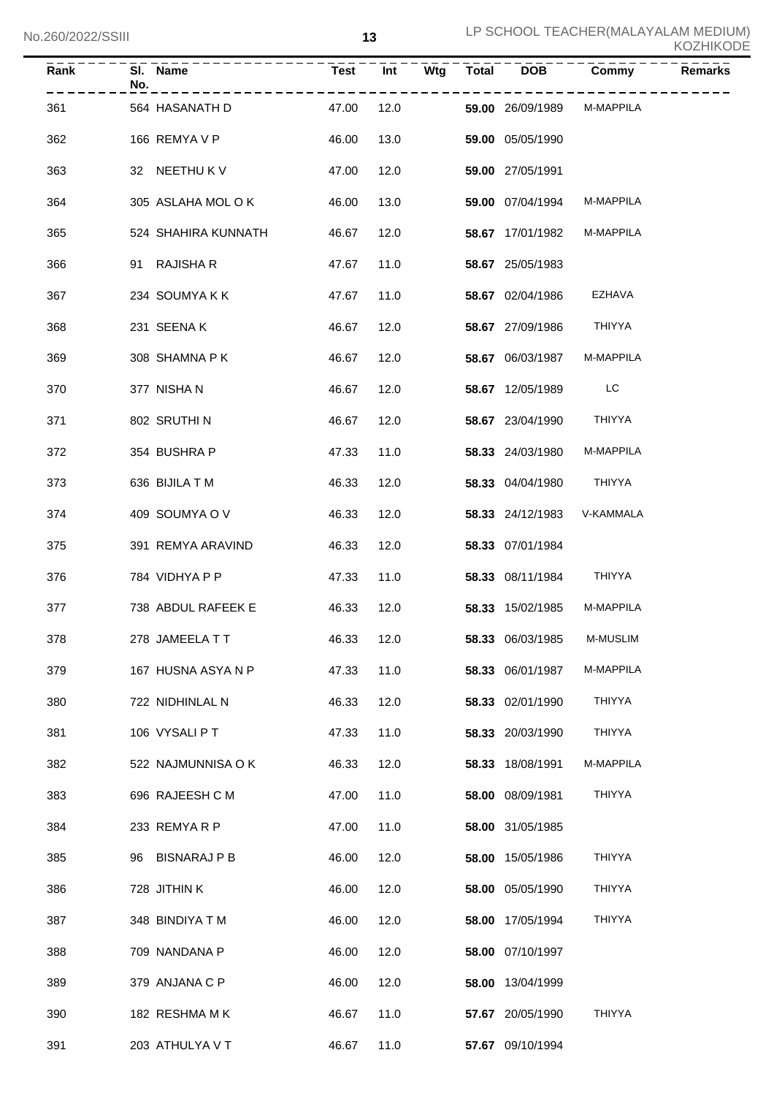| KOZHIKODE |
|-----------|
|-----------|

| Rank | SI.<br>No. | Name                | <b>Test</b> | Int  | Wtg | <b>Total</b> | <b>DOB</b>       | Commy         | <b>Remarks</b> |
|------|------------|---------------------|-------------|------|-----|--------------|------------------|---------------|----------------|
| 361  |            | 564 HASANATH D      | 47.00       | 12.0 |     |              | 59.00 26/09/1989 | M-MAPPILA     |                |
| 362  |            | 166 REMYA V P       | 46.00       | 13.0 |     |              | 59.00 05/05/1990 |               |                |
| 363  |            | 32 NEETHU K V       | 47.00       | 12.0 |     |              | 59.00 27/05/1991 |               |                |
| 364  |            | 305 ASLAHA MOL O K  | 46.00       | 13.0 |     |              | 59.00 07/04/1994 | M-MAPPILA     |                |
| 365  |            | 524 SHAHIRA KUNNATH | 46.67       | 12.0 |     |              | 58.67 17/01/1982 | M-MAPPILA     |                |
| 366  | 91         | <b>RAJISHA R</b>    | 47.67       | 11.0 |     |              | 58.67 25/05/1983 |               |                |
| 367  |            | 234 SOUMYAKK        | 47.67       | 11.0 |     |              | 58.67 02/04/1986 | <b>EZHAVA</b> |                |
| 368  |            | 231 SEENAK          | 46.67       | 12.0 |     |              | 58.67 27/09/1986 | THIYYA        |                |
| 369  |            | 308 SHAMNA P K      | 46.67       | 12.0 |     |              | 58.67 06/03/1987 | M-MAPPILA     |                |
| 370  |            | 377 NISHA N         | 46.67       | 12.0 |     |              | 58.67 12/05/1989 | LC            |                |
| 371  |            | 802 SRUTHIN         | 46.67       | 12.0 |     |              | 58.67 23/04/1990 | THIYYA        |                |
| 372  |            | 354 BUSHRA P        | 47.33       | 11.0 |     |              | 58.33 24/03/1980 | M-MAPPILA     |                |
| 373  |            | 636 BIJILA T M      | 46.33       | 12.0 |     |              | 58.33 04/04/1980 | THIYYA        |                |
| 374  |            | 409 SOUMYA O V      | 46.33       | 12.0 |     |              | 58.33 24/12/1983 | V-KAMMALA     |                |
| 375  |            | 391 REMYA ARAVIND   | 46.33       | 12.0 |     |              | 58.33 07/01/1984 |               |                |
| 376  |            | 784 VIDHYA P P      | 47.33       | 11.0 |     |              | 58.33 08/11/1984 | THIYYA        |                |
| 377  |            | 738 ABDUL RAFEEK E  | 46.33       | 12.0 |     |              | 58.33 15/02/1985 | M-MAPPILA     |                |
| 378  |            | 278 JAMEELATT       | 46.33       | 12.0 |     |              | 58.33 06/03/1985 | M-MUSLIM      |                |
| 379  |            | 167 HUSNA ASYA N P  | 47.33       | 11.0 |     |              | 58.33 06/01/1987 | M-MAPPILA     |                |
| 380  |            | 722 NIDHINLAL N     | 46.33       | 12.0 |     |              | 58.33 02/01/1990 | THIYYA        |                |
| 381  |            | 106 VYSALI PT       | 47.33       | 11.0 |     |              | 58.33 20/03/1990 | THIYYA        |                |
| 382  |            | 522 NAJMUNNISA O K  | 46.33       | 12.0 |     |              | 58.33 18/08/1991 | M-MAPPILA     |                |
| 383  |            | 696 RAJEESH C M     | 47.00       | 11.0 |     |              | 58.00 08/09/1981 | THIYYA        |                |
| 384  |            | 233 REMYARP         | 47.00       | 11.0 |     |              | 58.00 31/05/1985 |               |                |
| 385  |            | 96 BISNARAJ P B     | 46.00       | 12.0 |     |              | 58.00 15/05/1986 | <b>THIYYA</b> |                |
| 386  |            | 728 JITHIN K        | 46.00       | 12.0 |     |              | 58.00 05/05/1990 | <b>THIYYA</b> |                |
| 387  |            | 348 BINDIYA T M     | 46.00       | 12.0 |     |              | 58.00 17/05/1994 | <b>THIYYA</b> |                |
| 388  |            | 709 NANDANA P       | 46.00       | 12.0 |     |              | 58.00 07/10/1997 |               |                |
| 389  |            | 379 ANJANA C P      | 46.00       | 12.0 |     |              | 58.00 13/04/1999 |               |                |
| 390  |            | 182 RESHMA MK       | 46.67       | 11.0 |     |              | 57.67 20/05/1990 | THIYYA        |                |
| 391  |            | 203 ATHULYA V T     | 46.67       | 11.0 |     |              | 57.67 09/10/1994 |               |                |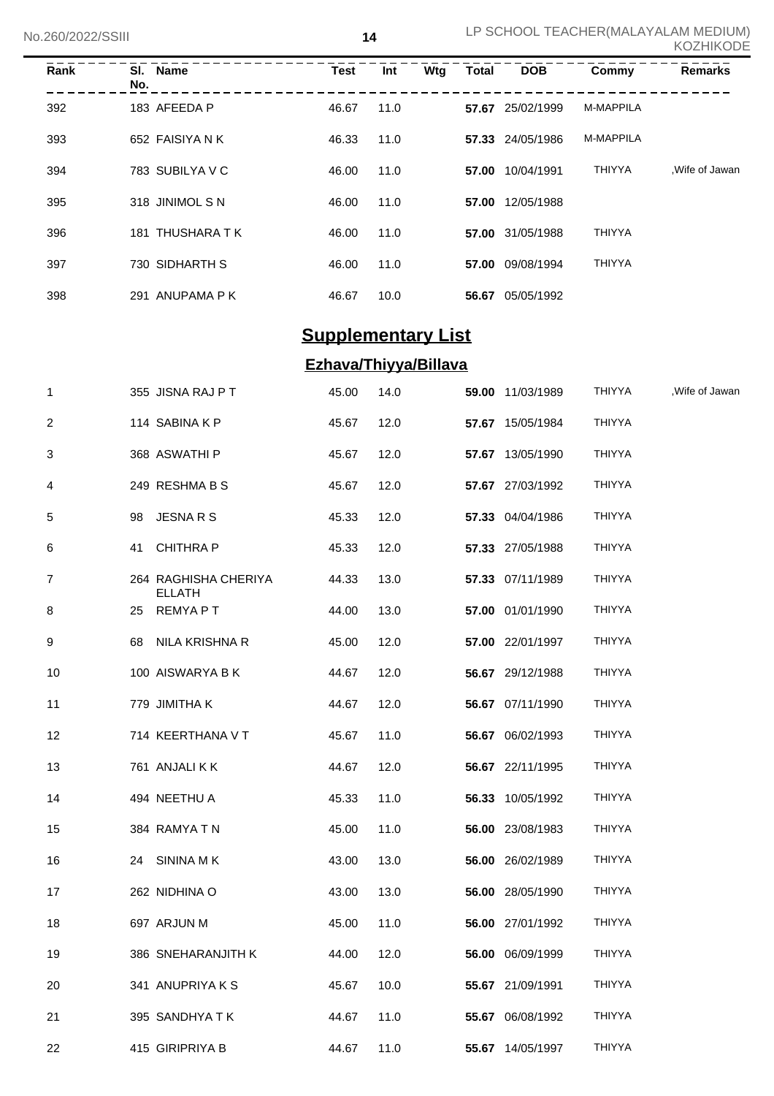| Rank | No. | SI. Name         | Test  | Int  | Wtg | <b>Total</b> | <b>DOB</b>       | Commy            | <b>Remarks</b> |
|------|-----|------------------|-------|------|-----|--------------|------------------|------------------|----------------|
| 392  |     | 183 AFEEDA P     | 46.67 | 11.0 |     |              | 57.67 25/02/1999 | M-MAPPILA        |                |
| 393  |     | 652 FAISIYA N K  | 46.33 | 11.0 |     |              | 57.33 24/05/1986 | <b>M-MAPPILA</b> |                |
| 394  |     | 783 SUBILYA V C  | 46.00 | 11.0 |     | 57.00        | 10/04/1991       | <b>THIYYA</b>    | Wife of Jawan  |
| 395  |     | 318 JINIMOL S N  | 46.00 | 11.0 |     | 57.00        | 12/05/1988       |                  |                |
| 396  |     | 181 THUSHARA T K | 46.00 | 11.0 |     |              | 57.00 31/05/1988 | <b>THIYYA</b>    |                |
| 397  |     | 730 SIDHARTH S   | 46.00 | 11.0 |     | 57.00        | 09/08/1994       | <b>THIYYA</b>    |                |
| 398  |     | 291 ANUPAMA P K  | 46.67 | 10.0 |     | 56.67        | 05/05/1992       |                  |                |

## **Supplementary List**

### **Ezhava/Thiyya/Billava**

| $\mathbf{1}$ | 355 JISNA RAJ P T                     | 45.00 | 14.0 | 59.00 11/03/1989 | THIYYA        | Wife of Jawan |
|--------------|---------------------------------------|-------|------|------------------|---------------|---------------|
| 2            | 114 SABINA K P                        | 45.67 | 12.0 | 57.67 15/05/1984 | <b>THIYYA</b> |               |
| 3            | 368 ASWATHI P                         | 45.67 | 12.0 | 57.67 13/05/1990 | <b>THIYYA</b> |               |
| 4            | 249 RESHMA B S                        | 45.67 | 12.0 | 57.67 27/03/1992 | <b>THIYYA</b> |               |
| 5            | JESNA R S<br>98                       | 45.33 | 12.0 | 57.33 04/04/1986 | <b>THIYYA</b> |               |
| 6            | 41 CHITHRA P                          | 45.33 | 12.0 | 57.33 27/05/1988 | THIYYA        |               |
| 7            | 264 RAGHISHA CHERIYA<br><b>ELLATH</b> | 44.33 | 13.0 | 57.33 07/11/1989 | <b>THIYYA</b> |               |
| 8            | <b>REMYAPT</b><br>25                  | 44.00 | 13.0 | 57.00 01/01/1990 | <b>THIYYA</b> |               |
| 9            | NILA KRISHNA R<br>68                  | 45.00 | 12.0 | 57.00 22/01/1997 | <b>THIYYA</b> |               |
| 10           | 100 AISWARYA B K                      | 44.67 | 12.0 | 56.67 29/12/1988 | THIYYA        |               |
| 11           | 779 JIMITHA K                         | 44.67 | 12.0 | 56.67 07/11/1990 | <b>THIYYA</b> |               |
| 12           | 714 KEERTHANA V T                     | 45.67 | 11.0 | 56.67 06/02/1993 | <b>THIYYA</b> |               |
| 13           | 761 ANJALI K K                        | 44.67 | 12.0 | 56.67 22/11/1995 | <b>THIYYA</b> |               |
| 14           | 494 NEETHU A                          | 45.33 | 11.0 | 56.33 10/05/1992 | <b>THIYYA</b> |               |
| 15           | 384 RAMYA T N                         | 45.00 | 11.0 | 56.00 23/08/1983 | THIYYA        |               |
| 16           | 24 SININA M K                         | 43.00 | 13.0 | 56.00 26/02/1989 | THIYYA        |               |
| 17           | 262 NIDHINA O                         | 43.00 | 13.0 | 56.00 28/05/1990 | <b>THIYYA</b> |               |
| 18           | 697 ARJUN M                           | 45.00 | 11.0 | 56.00 27/01/1992 | THIYYA        |               |
| 19           | 386 SNEHARANJITH K                    | 44.00 | 12.0 | 56.00 06/09/1999 | THIYYA        |               |
| 20           | 341 ANUPRIYA K S                      | 45.67 | 10.0 | 55.67 21/09/1991 | <b>THIYYA</b> |               |
| 21           | 395 SANDHYA T K                       | 44.67 | 11.0 | 55.67 06/08/1992 | <b>THIYYA</b> |               |
| 22           | 415 GIRIPRIYA B                       | 44.67 | 11.0 | 55.67 14/05/1997 | <b>THIYYA</b> |               |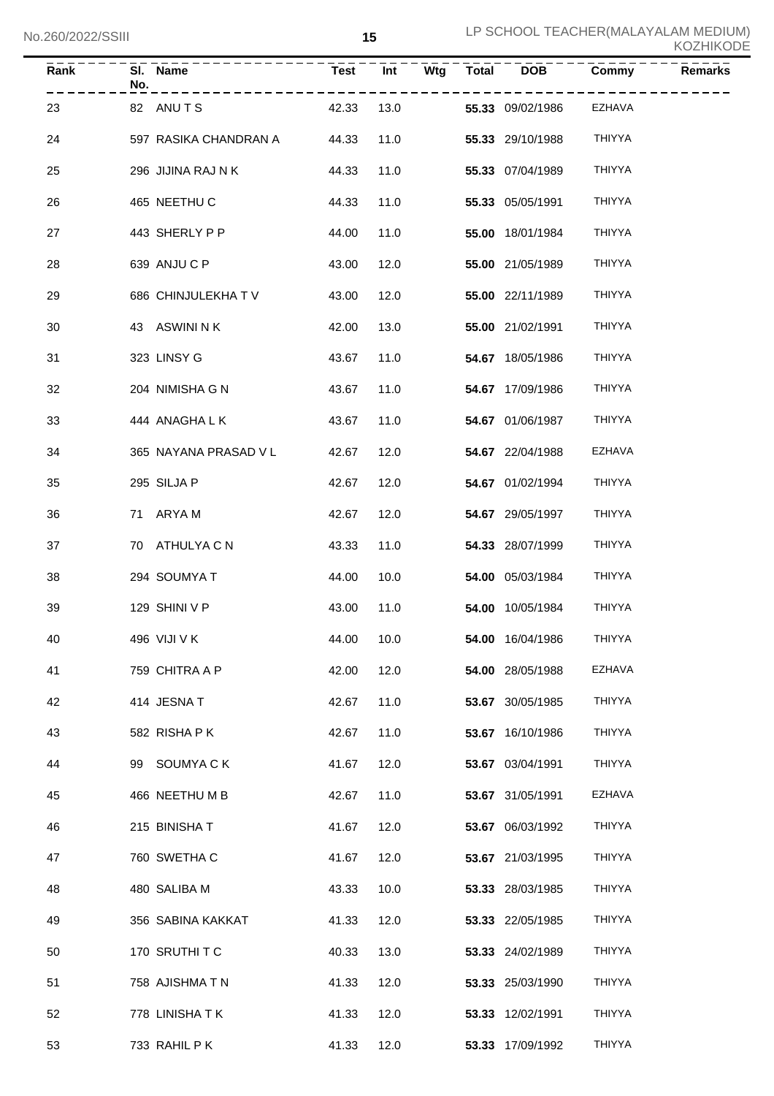| Rank | No. | SI. Name              | <b>Test</b> | Int  | Wtg | <b>Total</b> | <b>DOB</b>       | Commy         | <b>Remarks</b> |
|------|-----|-----------------------|-------------|------|-----|--------------|------------------|---------------|----------------|
| 23   |     | 82 ANUTS              | 42.33       | 13.0 |     |              | 55.33 09/02/1986 | EZHAVA        |                |
| 24   |     | 597 RASIKA CHANDRAN A | 44.33       | 11.0 |     |              | 55.33 29/10/1988 | <b>THIYYA</b> |                |
| 25   |     | 296 JIJINA RAJ N K    | 44.33       | 11.0 |     |              | 55.33 07/04/1989 | THIYYA        |                |
| 26   |     | 465 NEETHU C          | 44.33       | 11.0 |     |              | 55.33 05/05/1991 | <b>THIYYA</b> |                |
| 27   |     | 443 SHERLY P P        | 44.00       | 11.0 |     |              | 55.00 18/01/1984 | <b>THIYYA</b> |                |
| 28   |     | 639 ANJU C P          | 43.00       | 12.0 |     |              | 55.00 21/05/1989 | <b>THIYYA</b> |                |
| 29   |     | 686 CHINJULEKHA TV    | 43.00       | 12.0 |     |              | 55.00 22/11/1989 | <b>THIYYA</b> |                |
| 30   |     | 43 ASWINI N K         | 42.00       | 13.0 |     |              | 55.00 21/02/1991 | <b>THIYYA</b> |                |
| 31   |     | 323 LINSY G           | 43.67       | 11.0 |     |              | 54.67 18/05/1986 | <b>THIYYA</b> |                |
| 32   |     | 204 NIMISHA G N       | 43.67       | 11.0 |     |              | 54.67 17/09/1986 | <b>THIYYA</b> |                |
| 33   |     | 444 ANAGHA L K        | 43.67       | 11.0 |     |              | 54.67 01/06/1987 | THIYYA        |                |
| 34   |     | 365 NAYANA PRASAD V L | 42.67       | 12.0 |     |              | 54.67 22/04/1988 | <b>EZHAVA</b> |                |
| 35   |     | 295 SILJA P           | 42.67       | 12.0 |     |              | 54.67 01/02/1994 | <b>THIYYA</b> |                |
| 36   |     | 71 ARYA M             | 42.67       | 12.0 |     |              | 54.67 29/05/1997 | <b>THIYYA</b> |                |
| 37   |     | 70 ATHULYA C N        | 43.33       | 11.0 |     |              | 54.33 28/07/1999 | <b>THIYYA</b> |                |
| 38   |     | 294 SOUMYA T          | 44.00       | 10.0 |     |              | 54.00 05/03/1984 | <b>THIYYA</b> |                |
| 39   |     | 129 SHINI V P         | 43.00       | 11.0 |     |              | 54.00 10/05/1984 | <b>THIYYA</b> |                |
| 40   |     | 496 VIJI V K          | 44.00 10.0  |      |     |              | 54.00 16/04/1986 | <b>THIYYA</b> |                |
| 41   |     | 759 CHITRA A P        | 42.00       | 12.0 |     |              | 54.00 28/05/1988 | EZHAVA        |                |
| 42   |     | 414 JESNAT            | 42.67       | 11.0 |     |              | 53.67 30/05/1985 | THIYYA        |                |
| 43   |     | 582 RISHAPK           | 42.67       | 11.0 |     |              | 53.67 16/10/1986 | THIYYA        |                |
| 44   |     | 99 SOUMYACK           | 41.67       | 12.0 |     |              | 53.67 03/04/1991 | THIYYA        |                |
| 45   |     | 466 NEETHU M B        | 42.67       | 11.0 |     |              | 53.67 31/05/1991 | EZHAVA        |                |
| 46   |     | 215 BINISHAT          | 41.67       | 12.0 |     |              | 53.67 06/03/1992 | THIYYA        |                |
| 47   |     | 760 SWETHA C          | 41.67       | 12.0 |     |              | 53.67 21/03/1995 | THIYYA        |                |
| 48   |     | 480 SALIBA M          | 43.33       | 10.0 |     |              | 53.33 28/03/1985 | THIYYA        |                |
| 49   |     | 356 SABINA KAKKAT     | 41.33       | 12.0 |     |              | 53.33 22/05/1985 | THIYYA        |                |
| 50   |     | 170 SRUTHITC          | 40.33       | 13.0 |     |              | 53.33 24/02/1989 | THIYYA        |                |
| 51   |     | 758 AJISHMA T N       | 41.33       | 12.0 |     |              | 53.33 25/03/1990 | THIYYA        |                |
| 52   |     | 778 LINISHATK         | 41.33       | 12.0 |     |              | 53.33 12/02/1991 | THIYYA        |                |
| 53   |     | 733 RAHIL P K         | 41.33       | 12.0 |     |              | 53.33 17/09/1992 | THIYYA        |                |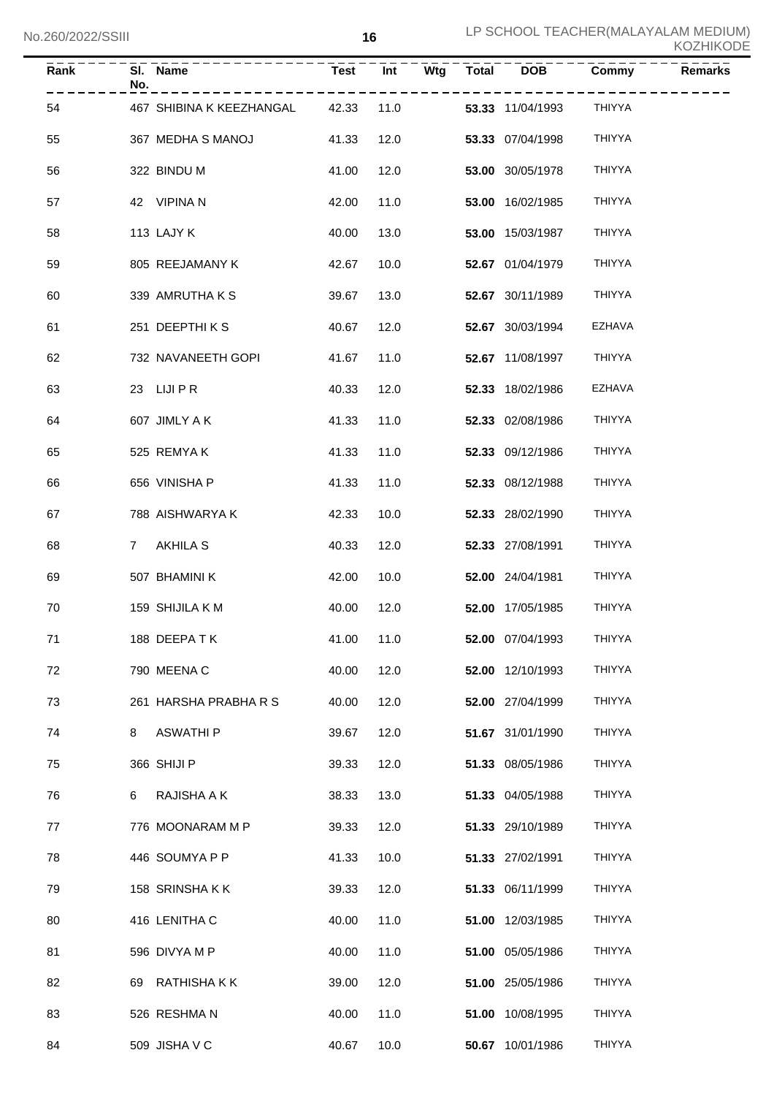| Rank | No. | SI. Name                       | <b>Test</b> | Int  |      | $Wtg$ Total DOB         | Commy         | <b>Remarks</b> |
|------|-----|--------------------------------|-------------|------|------|-------------------------|---------------|----------------|
| 54   |     | 467 SHIBINA K KEEZHANGAL 42.33 |             |      | 11.0 | <b>53.33</b> 11/04/1993 | THIYYA        |                |
| 55   |     | 367 MEDHA S MANOJ              | 41.33       | 12.0 |      | 53.33 07/04/1998        | <b>THIYYA</b> |                |
| 56   |     | 322 BINDU M                    | 41.00       | 12.0 |      | 53.00 30/05/1978        | <b>THIYYA</b> |                |
| 57   |     | 42 VIPINA N                    | 42.00       | 11.0 |      | 53.00 16/02/1985        | <b>THIYYA</b> |                |
| 58   |     | 113 LAJY K                     | 40.00       | 13.0 |      | 53.00 15/03/1987        | <b>THIYYA</b> |                |
| 59   |     | 805 REEJAMANY K                | 42.67       | 10.0 |      | 52.67 01/04/1979        | <b>THIYYA</b> |                |
| 60   |     | 339 AMRUTHAKS                  | 39.67       | 13.0 |      | 52.67 30/11/1989        | <b>THIYYA</b> |                |
| 61   |     | 251 DEEPTHIKS                  | 40.67       | 12.0 |      | 52.67 30/03/1994        | EZHAVA        |                |
| 62   |     | 732 NAVANEETH GOPI             | 41.67       | 11.0 |      | 52.67 11/08/1997        | THIYYA        |                |
| 63   |     | 23 LIJI P R                    | 40.33       | 12.0 |      | 52.33 18/02/1986        | <b>EZHAVA</b> |                |
| 64   |     | 607 JIMLY A K                  | 41.33       | 11.0 |      | 52.33 02/08/1986        | <b>THIYYA</b> |                |
| 65   |     | 525 REMYAK                     | 41.33       | 11.0 |      | 52.33 09/12/1986        | <b>THIYYA</b> |                |
| 66   |     | 656 VINISHA P                  | 41.33       | 11.0 |      | 52.33 08/12/1988        | <b>THIYYA</b> |                |
| 67   |     | 788 AISHWARYA K                | 42.33       | 10.0 |      | 52.33 28/02/1990        | <b>THIYYA</b> |                |
| 68   |     | 7 AKHILA S                     | 40.33       | 12.0 |      | 52.33 27/08/1991        | <b>THIYYA</b> |                |
| 69   |     | 507 BHAMINI K                  | 42.00       | 10.0 |      | 52.00 24/04/1981        | <b>THIYYA</b> |                |
| 70   |     | 159 SHIJILA K M                | 40.00       | 12.0 |      | 52.00 17/05/1985        | <b>THIYYA</b> |                |
| $71$ |     | 188 DEEPATK                    | 41.00 11.0  |      |      | 52.00 07/04/1993        | <b>THIYYA</b> |                |
| 72   |     | 790 MEENA C                    | 40.00       | 12.0 |      | 52.00 12/10/1993        | <b>THIYYA</b> |                |
| 73   |     | 261 HARSHA PRABHA R S          | 40.00       | 12.0 |      | 52.00 27/04/1999        | <b>THIYYA</b> |                |
| 74   | 8   | <b>ASWATHI P</b>               | 39.67       | 12.0 |      | 51.67 31/01/1990        | <b>THIYYA</b> |                |
| 75   |     | 366 SHIJI P                    | 39.33       | 12.0 |      | 51.33 08/05/1986        | <b>THIYYA</b> |                |
| 76   | 6   | RAJISHA A K                    | 38.33       | 13.0 |      | 51.33 04/05/1988        | <b>THIYYA</b> |                |
| 77   |     | 776 MOONARAM M P               | 39.33       | 12.0 |      | 51.33 29/10/1989        | THIYYA        |                |
| 78   |     | 446 SOUMYA P P                 | 41.33       | 10.0 |      | 51.33 27/02/1991        | THIYYA        |                |
| 79   |     | 158 SRINSHAKK                  | 39.33       | 12.0 |      | 51.33 06/11/1999        | THIYYA        |                |
| 80   |     | 416 LENITHA C                  | 40.00       | 11.0 |      | 51.00 12/03/1985        | THIYYA        |                |
| 81   |     | 596 DIVYA M P                  | 40.00       | 11.0 |      | 51.00 05/05/1986        | THIYYA        |                |
| 82   |     | 69 RATHISHAKK                  | 39.00       | 12.0 |      | 51.00 25/05/1986        | THIYYA        |                |
| 83   |     | 526 RESHMAN                    | 40.00       | 11.0 |      | 51.00 10/08/1995        | THIYYA        |                |
| 84   |     | 509 JISHA V C                  | 40.67       | 10.0 |      | 50.67 10/01/1986        | THIYYA        |                |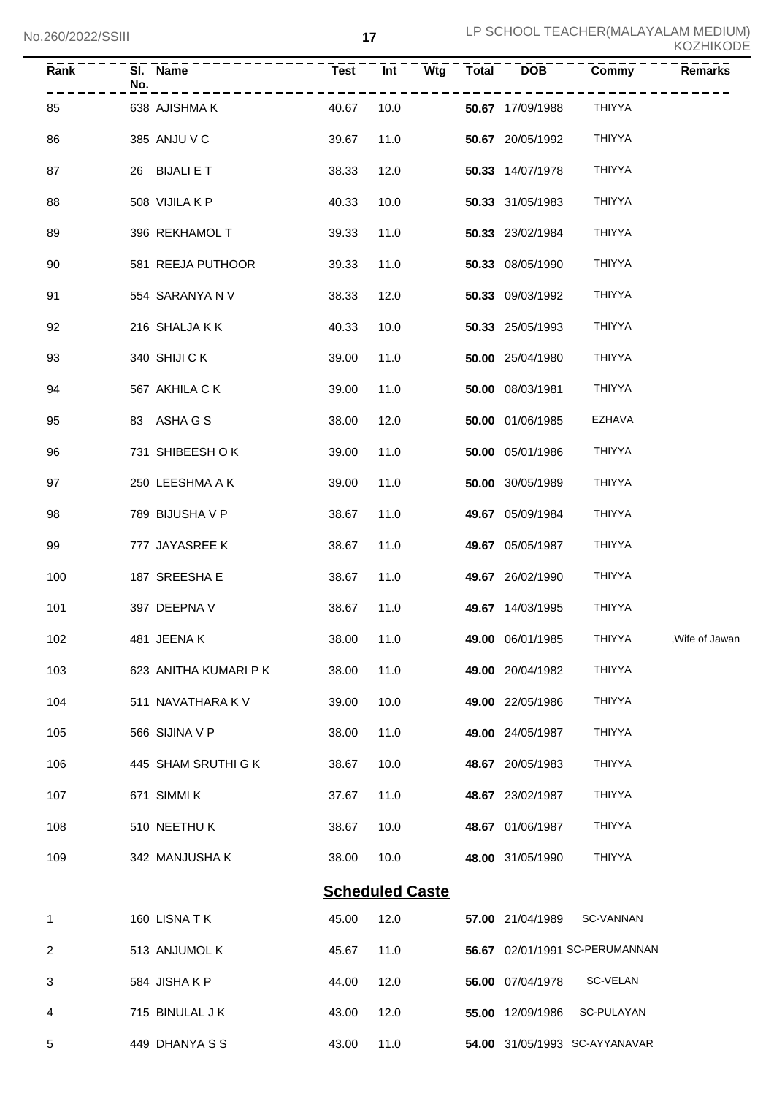| Rank           | No. | SI. Name              | <b>Test</b> | Int                    | Wtg | <b>Total</b> | <b>DOB</b>       | Commy                          | <b>Remarks</b>  |
|----------------|-----|-----------------------|-------------|------------------------|-----|--------------|------------------|--------------------------------|-----------------|
| 85             |     | 638 AJISHMA K         | 40.67       | 10.0                   |     |              | 50.67 17/09/1988 | <b>THIYYA</b>                  |                 |
| 86             |     | 385 ANJU V C          | 39.67       | 11.0                   |     |              | 50.67 20/05/1992 | <b>THIYYA</b>                  |                 |
| 87             |     | 26 BIJALI E T         | 38.33       | 12.0                   |     |              | 50.33 14/07/1978 | <b>THIYYA</b>                  |                 |
| 88             |     | 508 VIJILA K P        | 40.33       | 10.0                   |     |              | 50.33 31/05/1983 | <b>THIYYA</b>                  |                 |
| 89             |     | 396 REKHAMOL T        | 39.33       | 11.0                   |     |              | 50.33 23/02/1984 | <b>THIYYA</b>                  |                 |
| 90             |     | 581 REEJA PUTHOOR     | 39.33       | 11.0                   |     |              | 50.33 08/05/1990 | <b>THIYYA</b>                  |                 |
| 91             |     | 554 SARANYA N V       | 38.33       | 12.0                   |     |              | 50.33 09/03/1992 | <b>THIYYA</b>                  |                 |
| 92             |     | 216 SHALJA K K        | 40.33       | 10.0                   |     |              | 50.33 25/05/1993 | <b>THIYYA</b>                  |                 |
| 93             |     | 340 SHIJI CK          | 39.00       | 11.0                   |     |              | 50.00 25/04/1980 | <b>THIYYA</b>                  |                 |
| 94             |     | 567 AKHILA C K        | 39.00       | 11.0                   |     |              | 50.00 08/03/1981 | <b>THIYYA</b>                  |                 |
| 95             |     | 83 ASHAGS             | 38.00       | 12.0                   |     |              | 50.00 01/06/1985 | EZHAVA                         |                 |
| 96             |     | 731 SHIBEESH OK       | 39.00       | 11.0                   |     |              | 50.00 05/01/1986 | <b>THIYYA</b>                  |                 |
| 97             |     | 250 LEESHMA A K       | 39.00       | 11.0                   |     |              | 50.00 30/05/1989 | <b>THIYYA</b>                  |                 |
| 98             |     | 789 BIJUSHA V P       | 38.67       | 11.0                   |     |              | 49.67 05/09/1984 | <b>THIYYA</b>                  |                 |
| 99             |     | 777 JAYASREE K        | 38.67       | 11.0                   |     |              | 49.67 05/05/1987 | <b>THIYYA</b>                  |                 |
| 100            |     | 187 SREESHA E         | 38.67       | 11.0                   |     |              | 49.67 26/02/1990 | <b>THIYYA</b>                  |                 |
| 101            |     | 397 DEEPNA V          | 38.67       | 11.0                   |     |              | 49.67 14/03/1995 | <b>THIYYA</b>                  |                 |
| 102            |     | 481 JEENAK            | 38.00 11.0  |                        |     |              | 49.00 06/01/1985 | THIYYA                         | , Wife of Jawan |
| 103            |     | 623 ANITHA KUMARI P K | 38.00       | 11.0                   |     |              | 49.00 20/04/1982 | THIYYA                         |                 |
| 104            |     | 511 NAVATHARA K V     | 39.00       | 10.0                   |     |              | 49.00 22/05/1986 | <b>THIYYA</b>                  |                 |
| 105            |     | 566 SIJINA V P        | 38.00       | 11.0                   |     |              | 49.00 24/05/1987 | <b>THIYYA</b>                  |                 |
| 106            |     | 445 SHAM SRUTHI G K   | 38.67       | 10.0                   |     |              | 48.67 20/05/1983 | <b>THIYYA</b>                  |                 |
| 107            |     | 671 SIMMI K           | 37.67       | 11.0                   |     |              | 48.67 23/02/1987 | <b>THIYYA</b>                  |                 |
| 108            |     | 510 NEETHUK           | 38.67       | 10.0                   |     |              | 48.67 01/06/1987 | <b>THIYYA</b>                  |                 |
| 109            |     | 342 MANJUSHA K        | 38.00       | 10.0                   |     |              | 48.00 31/05/1990 | <b>THIYYA</b>                  |                 |
|                |     |                       |             | <b>Scheduled Caste</b> |     |              |                  |                                |                 |
| 1              |     | 160 LISNATK           | 45.00       | 12.0                   |     |              | 57.00 21/04/1989 | SC-VANNAN                      |                 |
| $\overline{2}$ |     | 513 ANJUMOL K         | 45.67       | 11.0                   |     |              |                  | 56.67 02/01/1991 SC-PERUMANNAN |                 |
| 3              |     | 584 JISHAKP           | 44.00       | 12.0                   |     |              | 56.00 07/04/1978 | SC-VELAN                       |                 |
| 4              |     | 715 BINULAL J K       | 43.00       | 12.0                   |     |              | 55.00 12/09/1986 | SC-PULAYAN                     |                 |
| 5              |     | 449 DHANYA S S        | 43.00       | 11.0                   |     |              |                  | 54.00 31/05/1993 SC-AYYANAVAR  |                 |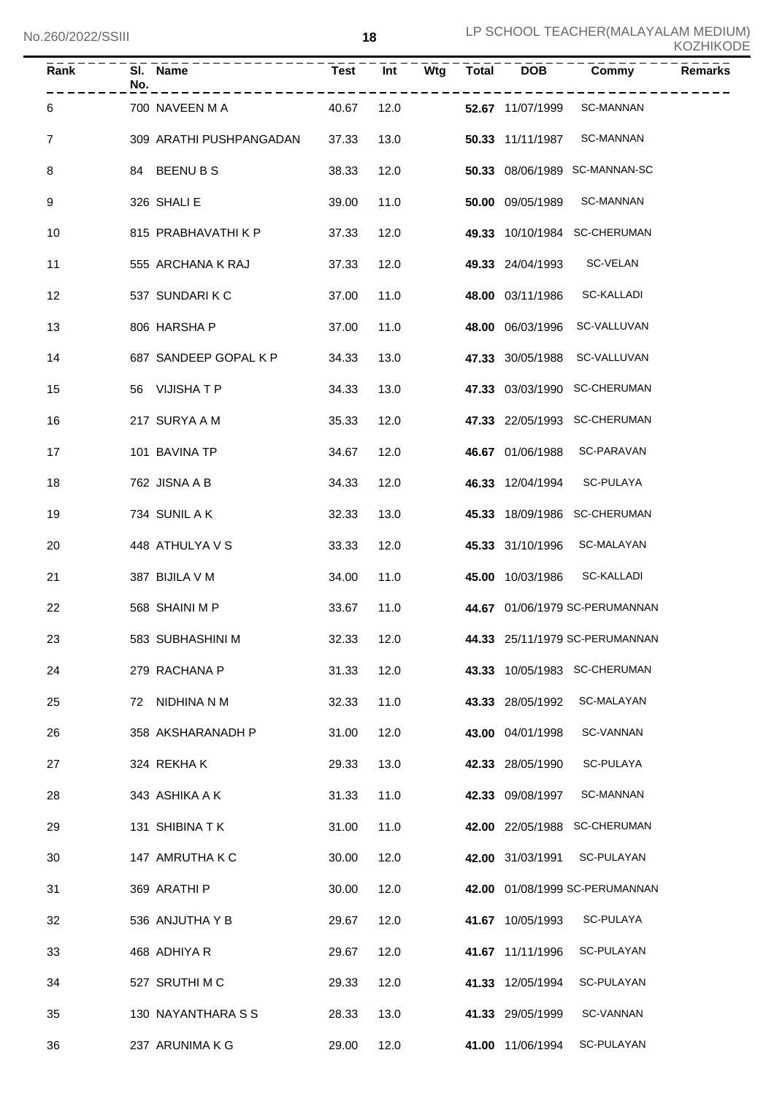| $\overline{Rank}$ | No. | SI. Name                | <b>Test</b> | $\overline{Int}$ | $\bar{W}$ tg | Total DOB        | Commy                          | <b>Remarks</b> |
|-------------------|-----|-------------------------|-------------|------------------|--------------|------------------|--------------------------------|----------------|
| 6                 |     | 700 NAVEEN M A          | 40.67       | 12.0             |              | 52.67 11/07/1999 | <b>SC-MANNAN</b>               |                |
| $\overline{7}$    |     | 309 ARATHI PUSHPANGADAN | 37.33       | 13.0             |              | 50.33 11/11/1987 | <b>SC-MANNAN</b>               |                |
| 8                 |     | 84 BEENUBS              | 38.33       | 12.0             |              |                  | 50.33 08/06/1989 SC-MANNAN-SC  |                |
| 9                 |     | 326 SHALI E             | 39.00       | 11.0             |              | 50.00 09/05/1989 | <b>SC-MANNAN</b>               |                |
| 10                |     | 815 PRABHAVATHI K P     | 37.33       | 12.0             |              |                  | 49.33 10/10/1984 SC-CHERUMAN   |                |
| 11                |     | 555 ARCHANA K RAJ       | 37.33       | 12.0             |              | 49.33 24/04/1993 | SC-VELAN                       |                |
| 12                |     | 537 SUNDARIKC           | 37.00       | 11.0             |              | 48.00 03/11/1986 | <b>SC-KALLADI</b>              |                |
| 13                |     | 806 HARSHA P            | 37.00       | 11.0             |              | 48.00 06/03/1996 | SC-VALLUVAN                    |                |
| 14                |     | 687 SANDEEP GOPAL K P   | 34.33       | 13.0             |              | 47.33 30/05/1988 | SC-VALLUVAN                    |                |
| 15                |     | 56 VIJISHATP            | 34.33       | 13.0             |              |                  | 47.33 03/03/1990 SC-CHERUMAN   |                |
| 16                |     | 217 SURYA A M           | 35.33       | 12.0             |              |                  | 47.33 22/05/1993 SC-CHERUMAN   |                |
| 17                |     | 101 BAVINA TP           | 34.67       | 12.0             |              | 46.67 01/06/1988 | SC-PARAVAN                     |                |
| 18                |     | 762 JISNA A B           | 34.33       | 12.0             |              | 46.33 12/04/1994 | SC-PULAYA                      |                |
| 19                |     | 734 SUNIL A K           | 32.33       | 13.0             |              |                  | 45.33 18/09/1986 SC-CHERUMAN   |                |
| 20                |     | 448 ATHULYA V S         | 33.33       | 12.0             |              | 45.33 31/10/1996 | SC-MALAYAN                     |                |
| 21                |     | 387 BIJILA V M          | 34.00       | 11.0             |              | 45.00 10/03/1986 | SC-KALLADI                     |                |
| 22                |     | 568 SHAINI M P          | 33.67       | 11.0             |              |                  | 44.67 01/06/1979 SC-PERUMANNAN |                |
| 23                |     | 583 SUBHASHINI M        | 32.33 12.0  |                  |              |                  | 44.33 25/11/1979 SC-PERUMANNAN |                |
| 24                |     | 279 RACHANA P           | 31.33       | 12.0             |              |                  | 43.33 10/05/1983 SC-CHERUMAN   |                |
| 25                |     | 72 NIDHINA N M          | 32.33       | 11.0             |              | 43.33 28/05/1992 | SC-MALAYAN                     |                |
| 26                |     | 358 AKSHARANADH P       | 31.00       | 12.0             |              | 43.00 04/01/1998 | <b>SC-VANNAN</b>               |                |
| 27                |     | 324 REKHAK              | 29.33       | 13.0             |              | 42.33 28/05/1990 | SC-PULAYA                      |                |
| 28                |     | 343 ASHIKA A K          | 31.33       | 11.0             |              | 42.33 09/08/1997 | SC-MANNAN                      |                |
| 29                |     | 131 SHIBINA T K         | 31.00       | 11.0             |              |                  | 42.00 22/05/1988 SC-CHERUMAN   |                |
| 30                |     | 147 AMRUTHA K C         | 30.00       | 12.0             |              | 42.00 31/03/1991 | SC-PULAYAN                     |                |
| 31                |     | 369 ARATHI P            | 30.00       | 12.0             |              |                  | 42.00 01/08/1999 SC-PERUMANNAN |                |
| 32                |     | 536 ANJUTHA Y B         | 29.67       | 12.0             |              | 41.67 10/05/1993 | SC-PULAYA                      |                |
| 33                |     | 468 ADHIYA R            | 29.67       | 12.0             |              | 41.67 11/11/1996 | SC-PULAYAN                     |                |
| 34                |     | 527 SRUTHI M C          | 29.33       | 12.0             |              | 41.33 12/05/1994 | SC-PULAYAN                     |                |
| 35                |     | 130 NAYANTHARA S S      | 28.33       | 13.0             |              | 41.33 29/05/1999 | SC-VANNAN                      |                |
| 36                |     | 237 ARUNIMA K G         | 29.00       | 12.0             |              | 41.00 11/06/1994 | SC-PULAYAN                     |                |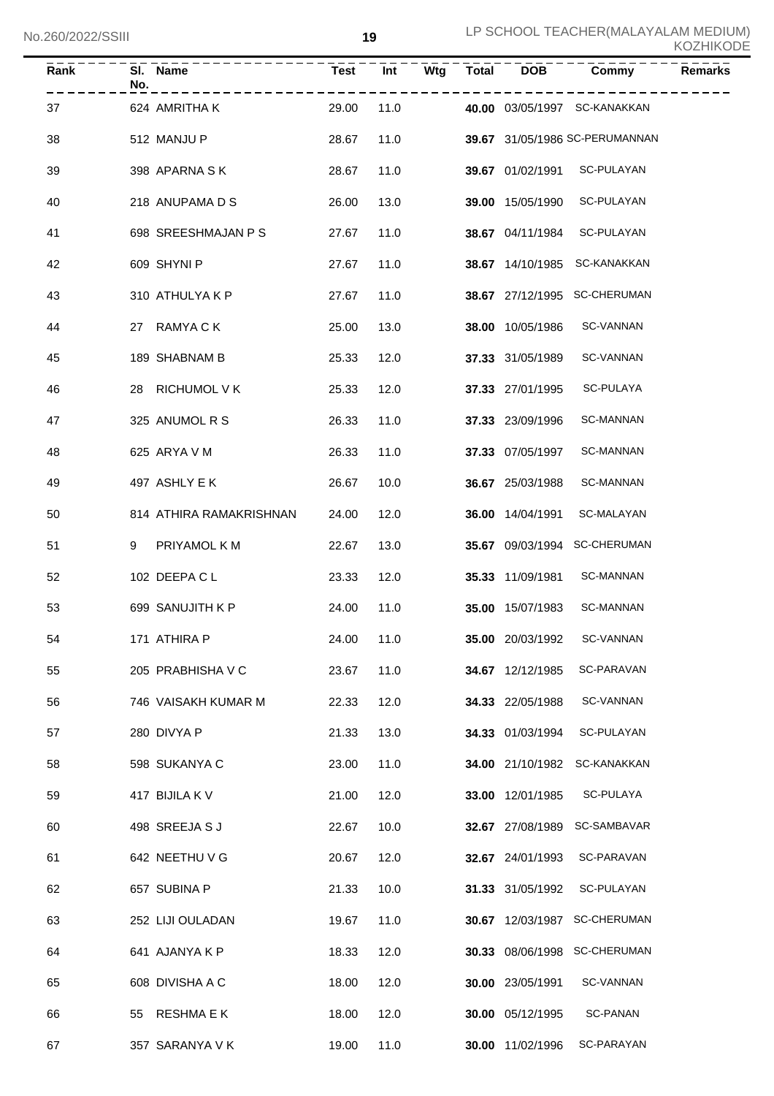| <b>KOZHIKODE</b> |
|------------------|
|------------------|

| Rank | SI. Name<br>No.           | <b>Test</b> | Wtg<br>Int | <b>Total</b> | <b>DOB</b>       | Commy                          | <b>Remarks</b> |
|------|---------------------------|-------------|------------|--------------|------------------|--------------------------------|----------------|
| 37   | 624 AMRITHA K             | 29.00       | 11.0       |              |                  | 40.00 03/05/1997 SC-KANAKKAN   |                |
| 38   | 512 MANJU P               | 28.67       | 11.0       |              |                  | 39.67 31/05/1986 SC-PERUMANNAN |                |
| 39   | 398 APARNA SK             | 28.67       | 11.0       |              | 39.67 01/02/1991 | SC-PULAYAN                     |                |
| 40   | 218 ANUPAMA D S           | 26.00       | 13.0       |              | 39.00 15/05/1990 | SC-PULAYAN                     |                |
| 41   | 698 SREESHMAJAN P S       | 27.67       | 11.0       |              | 38.67 04/11/1984 | SC-PULAYAN                     |                |
| 42   | 609 SHYNI P               | 27.67       | 11.0       |              | 38.67 14/10/1985 | SC-KANAKKAN                    |                |
| 43   | 310 ATHULYA K P           | 27.67       | 11.0       |              |                  | 38.67 27/12/1995 SC-CHERUMAN   |                |
| 44   | RAMYA C K<br>27           | 25.00       | 13.0       |              | 38.00 10/05/1986 | SC-VANNAN                      |                |
| 45   | 189 SHABNAM B             | 25.33       | 12.0       |              | 37.33 31/05/1989 | SC-VANNAN                      |                |
| 46   | <b>RICHUMOL V K</b><br>28 | 25.33       | 12.0       |              | 37.33 27/01/1995 | SC-PULAYA                      |                |
| 47   | 325 ANUMOL R S            | 26.33       | 11.0       |              | 37.33 23/09/1996 | SC-MANNAN                      |                |
| 48   | 625 ARYA V M              | 26.33       | 11.0       |              | 37.33 07/05/1997 | SC-MANNAN                      |                |
| 49   | 497 ASHLY E K             | 26.67       | 10.0       |              | 36.67 25/03/1988 | SC-MANNAN                      |                |
| 50   | 814 ATHIRA RAMAKRISHNAN   | 24.00       | 12.0       |              | 36.00 14/04/1991 | SC-MALAYAN                     |                |
| 51   | PRIYAMOL K M<br>9         | 22.67       | 13.0       |              |                  | 35.67 09/03/1994 SC-CHERUMAN   |                |
| 52   | 102 DEEPACL               | 23.33       | 12.0       |              | 35.33 11/09/1981 | SC-MANNAN                      |                |
| 53   | 699 SANUJITH K P          | 24.00       | 11.0       |              | 35.00 15/07/1983 | <b>SC-MANNAN</b>               |                |
| 54   | 171 ATHIRA P              | 24.00       | 11.0       |              | 35.00 20/03/1992 | SC-VANNAN                      |                |
| 55   | 205 PRABHISHA V C         | 23.67       | 11.0       |              | 34.67 12/12/1985 | SC-PARAVAN                     |                |
| 56   | 746 VAISAKH KUMAR M       | 22.33       | 12.0       |              | 34.33 22/05/1988 | SC-VANNAN                      |                |
| 57   | 280 DIVYA P               | 21.33       | 13.0       |              | 34.33 01/03/1994 | SC-PULAYAN                     |                |
| 58   | 598 SUKANYA C             | 23.00       | 11.0       |              | 34.00 21/10/1982 | SC-KANAKKAN                    |                |
| 59   | 417 BIJILA K V            | 21.00       | 12.0       |              | 33.00 12/01/1985 | SC-PULAYA                      |                |
| 60   | 498 SREEJA S J            | 22.67       | 10.0       |              | 32.67 27/08/1989 | SC-SAMBAVAR                    |                |
| 61   | 642 NEETHU V G            | 20.67       | 12.0       |              | 32.67 24/01/1993 | SC-PARAVAN                     |                |
| 62   | 657 SUBINA P              | 21.33       | 10.0       |              | 31.33 31/05/1992 | SC-PULAYAN                     |                |
| 63   | 252 LIJI OULADAN          | 19.67       | 11.0       |              | 30.67 12/03/1987 | <b>SC-CHERUMAN</b>             |                |
| 64   | 641 AJANYA K P            | 18.33       | 12.0       |              | 30.33 08/06/1998 | <b>SC-CHERUMAN</b>             |                |
| 65   | 608 DIVISHA A C           | 18.00       | 12.0       |              | 30.00 23/05/1991 | <b>SC-VANNAN</b>               |                |
| 66   | RESHMA E K<br>55          | 18.00       | 12.0       |              | 30.00 05/12/1995 | <b>SC-PANAN</b>                |                |
| 67   | 357 SARANYA V K           | 19.00       | 11.0       |              | 30.00 11/02/1996 | SC-PARAYAN                     |                |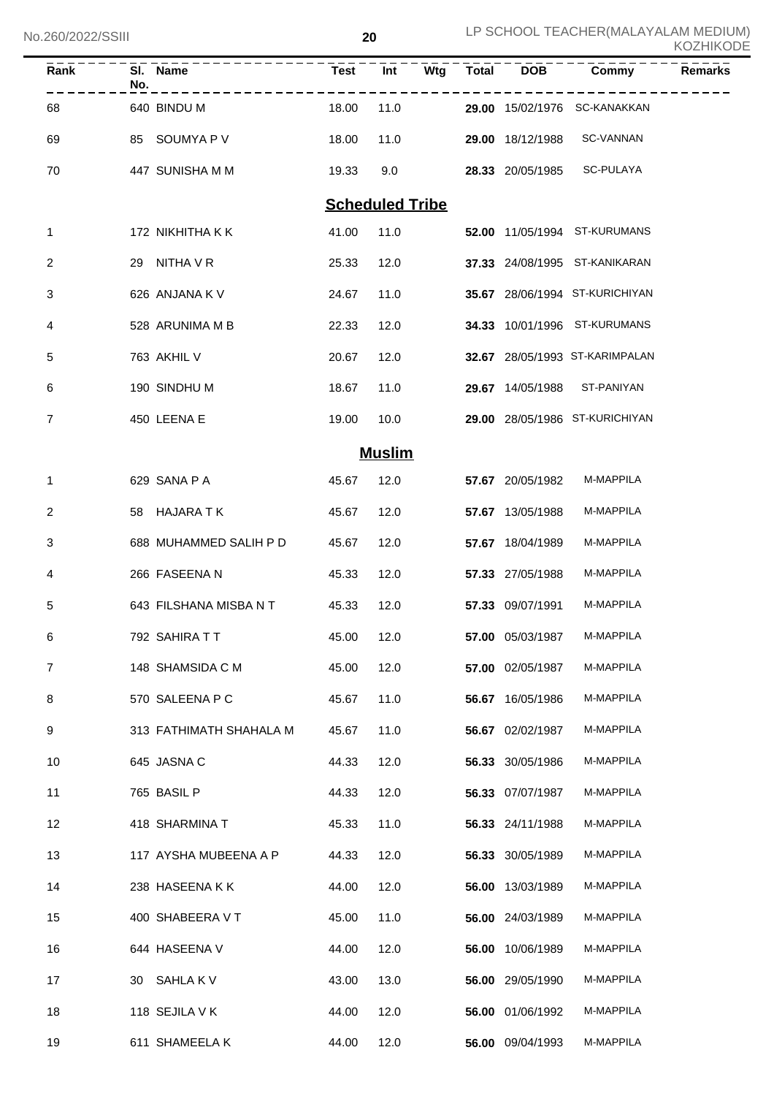| Rank           | No. | SI. Name                | <b>Test</b>            | Int           | Wtg | Total | <b>DOB</b>       | Commy                          | <b>Remarks</b> |
|----------------|-----|-------------------------|------------------------|---------------|-----|-------|------------------|--------------------------------|----------------|
| 68             |     | 640 BINDU M             | 18.00                  | 11.0          |     |       |                  | 29.00 15/02/1976 SC-KANAKKAN   |                |
| 69             |     | 85 SOUMYA P V           | 18.00                  | 11.0          |     |       | 29.00 18/12/1988 | SC-VANNAN                      |                |
| 70             |     | 447 SUNISHA M M         | 19.33                  | 9.0           |     |       | 28.33 20/05/1985 | SC-PULAYA                      |                |
|                |     |                         | <b>Scheduled Tribe</b> |               |     |       |                  |                                |                |
| 1              |     | 172 NIKHITHA K K        | 41.00                  | 11.0          |     |       |                  | 52.00 11/05/1994 ST-KURUMANS   |                |
| 2              |     | 29 NITHA V R            | 25.33                  | 12.0          |     |       |                  | 37.33 24/08/1995 ST-KANIKARAN  |                |
| 3              |     | 626 ANJANA K V          | 24.67                  | 11.0          |     |       |                  | 35.67 28/06/1994 ST-KURICHIYAN |                |
| 4              |     | 528 ARUNIMA M B         | 22.33                  | 12.0          |     |       |                  | 34.33 10/01/1996 ST-KURUMANS   |                |
| 5              |     | 763 AKHIL V             | 20.67                  | 12.0          |     |       |                  | 32.67 28/05/1993 ST-KARIMPALAN |                |
| 6              |     | 190 SINDHU M            | 18.67                  | 11.0          |     |       |                  | 29.67 14/05/1988 ST-PANIYAN    |                |
| 7              |     | 450 LEENA E             | 19.00                  | 10.0          |     |       |                  | 29.00 28/05/1986 ST-KURICHIYAN |                |
|                |     |                         |                        | <b>Muslim</b> |     |       |                  |                                |                |
| 1              |     | 629 SANA P A            | 45.67                  | 12.0          |     |       | 57.67 20/05/1982 | M-MAPPILA                      |                |
| 2              |     | 58 HAJARA TK            | 45.67                  | 12.0          |     |       | 57.67 13/05/1988 | M-MAPPILA                      |                |
| 3              |     | 688 MUHAMMED SALIH P D  | 45.67                  | 12.0          |     |       | 57.67 18/04/1989 | M-MAPPILA                      |                |
| 4              |     | 266 FASEENA N           | 45.33                  | 12.0          |     |       | 57.33 27/05/1988 | M-MAPPILA                      |                |
| 5              |     | 643 FILSHANA MISBA N T  | 45.33                  | 12.0          |     |       | 57.33 09/07/1991 | M-MAPPILA                      |                |
| 6              |     | 792 SAHIRA T T          | 45.00                  | 12.0          |     |       | 57.00 05/03/1987 | M-MAPPILA                      |                |
| $\overline{7}$ |     | 148 SHAMSIDA C M        | 45.00                  | 12.0          |     |       | 57.00 02/05/1987 | M-MAPPILA                      |                |
| 8              |     | 570 SALEENA P C         | 45.67                  | 11.0          |     |       | 56.67 16/05/1986 | M-MAPPILA                      |                |
| 9              |     | 313 FATHIMATH SHAHALA M | 45.67                  | 11.0          |     |       | 56.67 02/02/1987 | M-MAPPILA                      |                |
| 10             |     | 645 JASNA C             | 44.33                  | 12.0          |     |       | 56.33 30/05/1986 | M-MAPPILA                      |                |
| 11             |     | 765 BASIL P             | 44.33                  | 12.0          |     |       | 56.33 07/07/1987 | M-MAPPILA                      |                |
| 12             |     | 418 SHARMINA T          | 45.33                  | 11.0          |     |       | 56.33 24/11/1988 | M-MAPPILA                      |                |
| 13             |     | 117 AYSHA MUBEENA A P   | 44.33                  | 12.0          |     |       | 56.33 30/05/1989 | M-MAPPILA                      |                |
| 14             |     | 238 HASEENAKK           | 44.00                  | 12.0          |     |       | 56.00 13/03/1989 | M-MAPPILA                      |                |
| 15             |     | 400 SHABEERA V T        | 45.00                  | 11.0          |     |       | 56.00 24/03/1989 | M-MAPPILA                      |                |
| 16             |     | 644 HASEENA V           | 44.00                  | 12.0          |     |       | 56.00 10/06/1989 | M-MAPPILA                      |                |
| 17             |     | 30 SAHLAK V             | 43.00                  | 13.0          |     |       | 56.00 29/05/1990 | M-MAPPILA                      |                |
| 18             |     | 118 SEJILA V K          | 44.00                  | 12.0          |     |       | 56.00 01/06/1992 | M-MAPPILA                      |                |
| 19             |     | 611 SHAMEELA K          | 44.00                  | 12.0          |     |       | 56.00 09/04/1993 | M-MAPPILA                      |                |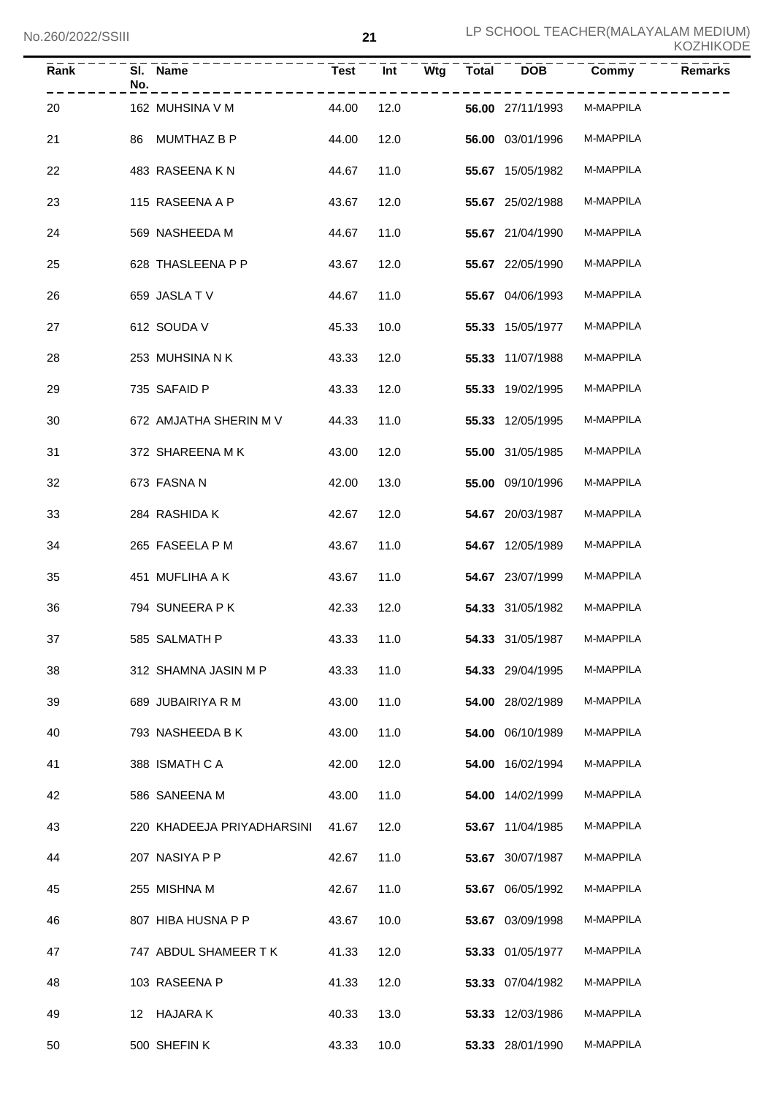| Rank | No. | SI. Name                   | <b>Test</b> | Int  | Wtg | <b>Total</b> | <b>DOB</b>       | Commy     | <b>Remarks</b> |
|------|-----|----------------------------|-------------|------|-----|--------------|------------------|-----------|----------------|
| 20   |     | 162 MUHSINA V M            | 44.00       | 12.0 |     |              | 56.00 27/11/1993 | M-MAPPILA |                |
| 21   | 86  | MUMTHAZ B P                | 44.00       | 12.0 |     |              | 56.00 03/01/1996 | M-MAPPILA |                |
| 22   |     | 483 RASEENAKN              | 44.67       | 11.0 |     |              | 55.67 15/05/1982 | M-MAPPILA |                |
| 23   |     | 115 RASEENA A P            | 43.67       | 12.0 |     |              | 55.67 25/02/1988 | M-MAPPILA |                |
| 24   |     | 569 NASHEEDA M             | 44.67       | 11.0 |     |              | 55.67 21/04/1990 | M-MAPPILA |                |
| 25   |     | 628 THASLEENA P P          | 43.67       | 12.0 |     |              | 55.67 22/05/1990 | M-MAPPILA |                |
| 26   |     | 659 JASLATV                | 44.67       | 11.0 |     |              | 55.67 04/06/1993 | M-MAPPILA |                |
| 27   |     | 612 SOUDA V                | 45.33       | 10.0 |     |              | 55.33 15/05/1977 | M-MAPPILA |                |
| 28   |     | 253 MUHSINA N K            | 43.33       | 12.0 |     |              | 55.33 11/07/1988 | M-MAPPILA |                |
| 29   |     | 735 SAFAID P               | 43.33       | 12.0 |     |              | 55.33 19/02/1995 | M-MAPPILA |                |
| 30   |     | 672 AMJATHA SHERIN M V     | 44.33       | 11.0 |     |              | 55.33 12/05/1995 | M-MAPPILA |                |
| 31   |     | 372 SHAREENA MK            | 43.00       | 12.0 |     |              | 55.00 31/05/1985 | M-MAPPILA |                |
| 32   |     | 673 FASNA N                | 42.00       | 13.0 |     |              | 55.00 09/10/1996 | M-MAPPILA |                |
| 33   |     | 284 RASHIDA K              | 42.67       | 12.0 |     |              | 54.67 20/03/1987 | M-MAPPILA |                |
| 34   |     | 265 FASEELA P M            | 43.67       | 11.0 |     |              | 54.67 12/05/1989 | M-MAPPILA |                |
| 35   |     | 451 MUFLIHA A K            | 43.67       | 11.0 |     |              | 54.67 23/07/1999 | M-MAPPILA |                |
| 36   |     | 794 SUNEERA PK             | 42.33       | 12.0 |     |              | 54.33 31/05/1982 | M-MAPPILA |                |
| 37   |     | 585 SALMATH P              | 43.33 11.0  |      |     |              | 54.33 31/05/1987 | M-MAPPILA |                |
| 38   |     | 312 SHAMNA JASIN M P       | 43.33       | 11.0 |     |              | 54.33 29/04/1995 | M-MAPPILA |                |
| 39   |     | 689 JUBAIRIYA R M          | 43.00       | 11.0 |     |              | 54.00 28/02/1989 | M-MAPPILA |                |
| 40   |     | 793 NASHEEDA B K           | 43.00       | 11.0 |     |              | 54.00 06/10/1989 | M-MAPPILA |                |
| 41   |     | 388 ISMATH C A             | 42.00       | 12.0 |     |              | 54.00 16/02/1994 | M-MAPPILA |                |
| 42   |     | 586 SANEENA M              | 43.00       | 11.0 |     |              | 54.00 14/02/1999 | M-MAPPILA |                |
| 43   |     | 220 KHADEEJA PRIYADHARSINI | 41.67       | 12.0 |     |              | 53.67 11/04/1985 | M-MAPPILA |                |
| 44   |     | 207 NASIYA P P             | 42.67       | 11.0 |     |              | 53.67 30/07/1987 | M-MAPPILA |                |
| 45   |     | 255 MISHNA M               | 42.67       | 11.0 |     |              | 53.67 06/05/1992 | M-MAPPILA |                |
| 46   |     | 807 HIBA HUSNA P P         | 43.67       | 10.0 |     |              | 53.67 03/09/1998 | M-MAPPILA |                |
| 47   |     | 747 ABDUL SHAMEER T K      | 41.33       | 12.0 |     |              | 53.33 01/05/1977 | M-MAPPILA |                |
| 48   |     | 103 RASEENA P              | 41.33       | 12.0 |     |              | 53.33 07/04/1982 | M-MAPPILA |                |
| 49   |     | 12 HAJARA K                | 40.33       | 13.0 |     |              | 53.33 12/03/1986 | M-MAPPILA |                |
| 50   |     | 500 SHEFINK                | 43.33       | 10.0 |     |              | 53.33 28/01/1990 | M-MAPPILA |                |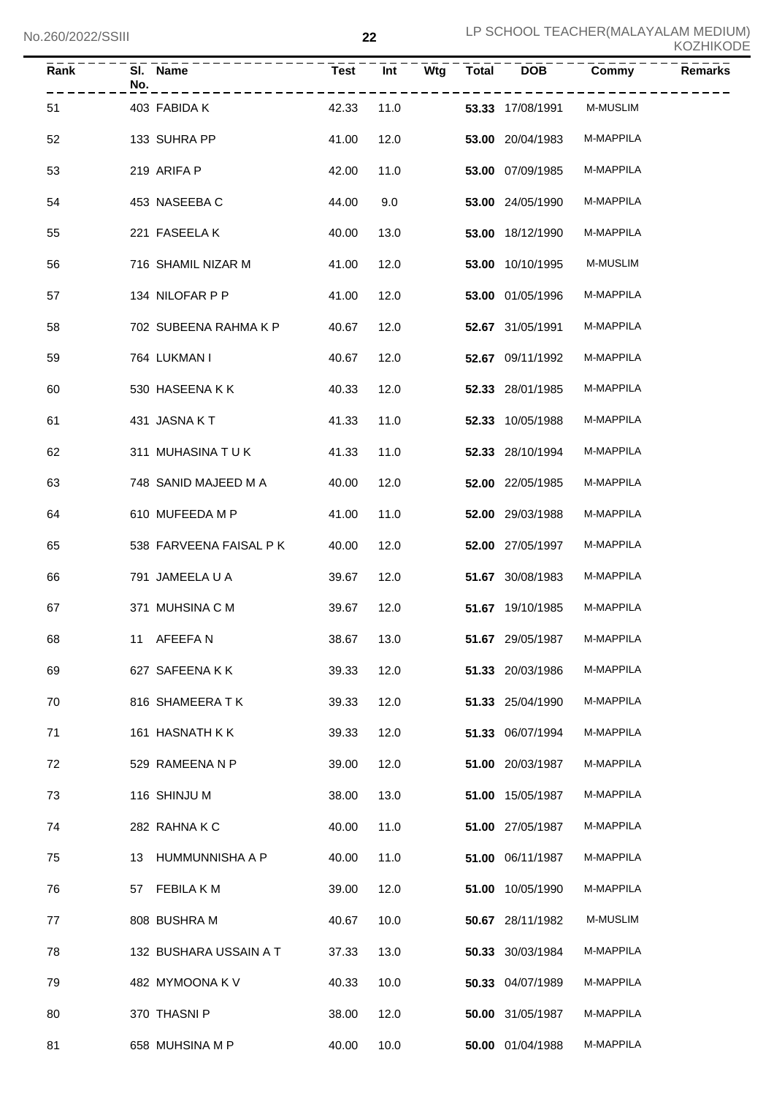| Rank | No. | SI. Name                | <b>Test</b> | Int  | Wtg | <b>Total</b> | <b>DOB</b>       | Commy     | <b>Remarks</b> |
|------|-----|-------------------------|-------------|------|-----|--------------|------------------|-----------|----------------|
| 51   |     | 403 FABIDA K            | 42.33       | 11.0 |     |              | 53.33 17/08/1991 | M-MUSLIM  |                |
| 52   |     | 133 SUHRA PP            | 41.00       | 12.0 |     |              | 53.00 20/04/1983 | M-MAPPILA |                |
| 53   |     | 219 ARIFA P             | 42.00       | 11.0 |     |              | 53.00 07/09/1985 | M-MAPPILA |                |
| 54   |     | 453 NASEEBA C           | 44.00       | 9.0  |     |              | 53.00 24/05/1990 | M-MAPPILA |                |
| 55   |     | 221 FASEELAK            | 40.00       | 13.0 |     |              | 53.00 18/12/1990 | M-MAPPILA |                |
| 56   |     | 716 SHAMIL NIZAR M      | 41.00       | 12.0 |     |              | 53.00 10/10/1995 | M-MUSLIM  |                |
| 57   |     | 134 NILOFAR P P         | 41.00       | 12.0 |     |              | 53.00 01/05/1996 | M-MAPPILA |                |
| 58   |     | 702 SUBEENA RAHMA K P   | 40.67       | 12.0 |     |              | 52.67 31/05/1991 | M-MAPPILA |                |
| 59   |     | 764 LUKMAN I            | 40.67       | 12.0 |     |              | 52.67 09/11/1992 | M-MAPPILA |                |
| 60   |     | 530 HASEENA K K         | 40.33       | 12.0 |     |              | 52.33 28/01/1985 | M-MAPPILA |                |
| 61   |     | 431 JASNAKT             | 41.33       | 11.0 |     |              | 52.33 10/05/1988 | M-MAPPILA |                |
| 62   |     | 311 MUHASINA TUK        | 41.33       | 11.0 |     |              | 52.33 28/10/1994 | M-MAPPILA |                |
| 63   |     | 748 SANID MAJEED M A    | 40.00       | 12.0 |     |              | 52.00 22/05/1985 | M-MAPPILA |                |
| 64   |     | 610 MUFEEDA M P         | 41.00       | 11.0 |     |              | 52.00 29/03/1988 | M-MAPPILA |                |
| 65   |     | 538 FARVEENA FAISAL P K | 40.00       | 12.0 |     |              | 52.00 27/05/1997 | M-MAPPILA |                |
| 66   |     | 791 JAMEELA U A         | 39.67       | 12.0 |     |              | 51.67 30/08/1983 | M-MAPPILA |                |
| 67   |     | 371 MUHSINA C M         | 39.67       | 12.0 |     |              | 51.67 19/10/1985 | M-MAPPILA |                |
| 68   |     | 11 AFEEFAN              | 38.67       | 13.0 |     |              | 51.67 29/05/1987 | M-MAPPILA |                |
| 69   |     | 627 SAFEENAKK           | 39.33       | 12.0 |     |              | 51.33 20/03/1986 | M-MAPPILA |                |
| 70   |     | 816 SHAMEERATK          | 39.33       | 12.0 |     |              | 51.33 25/04/1990 | M-MAPPILA |                |
| 71   |     | 161 HASNATH K K         | 39.33       | 12.0 |     |              | 51.33 06/07/1994 | M-MAPPILA |                |
| 72   |     | 529 RAMEENA N P         | 39.00       | 12.0 |     |              | 51.00 20/03/1987 | M-MAPPILA |                |
| 73   |     | 116 SHINJU M            | 38.00       | 13.0 |     |              | 51.00 15/05/1987 | M-MAPPILA |                |
| 74   |     | 282 RAHNAKC             | 40.00       | 11.0 |     |              | 51.00 27/05/1987 | M-MAPPILA |                |
| 75   |     | 13 HUMMUNNISHA A P      | 40.00       | 11.0 |     |              | 51.00 06/11/1987 | M-MAPPILA |                |
| 76   |     | 57 FEBILA K M           | 39.00       | 12.0 |     |              | 51.00 10/05/1990 | M-MAPPILA |                |
| 77   |     | 808 BUSHRA M            | 40.67       | 10.0 |     |              | 50.67 28/11/1982 | M-MUSLIM  |                |
| 78   |     | 132 BUSHARA USSAIN A T  | 37.33       | 13.0 |     |              | 50.33 30/03/1984 | M-MAPPILA |                |
| 79   |     | 482 MYMOONA K V         | 40.33       | 10.0 |     |              | 50.33 04/07/1989 | M-MAPPILA |                |
| 80   |     | 370 THASNI P            | 38.00       | 12.0 |     |              | 50.00 31/05/1987 | M-MAPPILA |                |
| 81   |     | 658 MUHSINA M P         | 40.00       | 10.0 |     |              | 50.00 01/04/1988 | M-MAPPILA |                |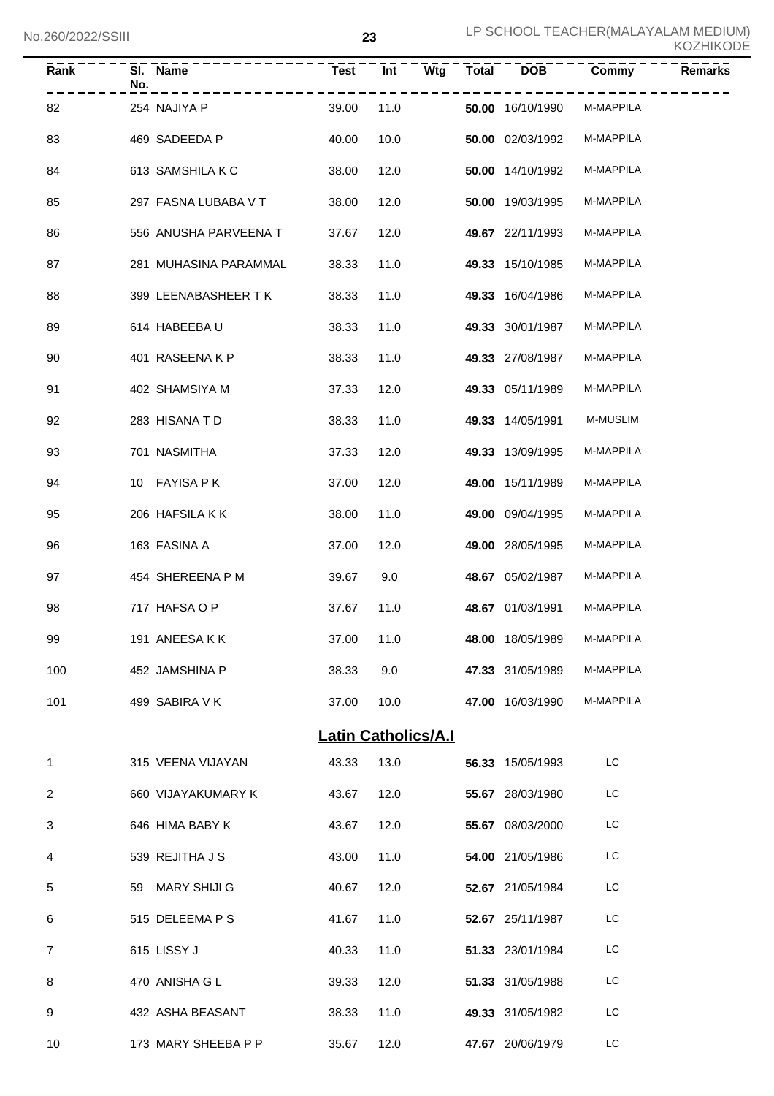| No.260/2022/SSIII | ົດຕ | LP SCHOOL TEACHER (MALAYALAM MEDIUM)<br><b>KOZHIKODE</b> |
|-------------------|-----|----------------------------------------------------------|
|-------------------|-----|----------------------------------------------------------|

| Rank           | SI. Name<br>No.       | <b>Test</b>                | Int  | Wtg<br><b>Total</b> | <b>DOB</b>       | Commy     | <b>Remarks</b> |
|----------------|-----------------------|----------------------------|------|---------------------|------------------|-----------|----------------|
| 82             | 254 NAJIYA P          | 39.00                      | 11.0 |                     | 50.00 16/10/1990 | M-MAPPILA |                |
| 83             | 469 SADEEDA P         | 40.00                      | 10.0 |                     | 50.00 02/03/1992 | M-MAPPILA |                |
| 84             | 613 SAMSHILA K C      | 38.00                      | 12.0 |                     | 50.00 14/10/1992 | M-MAPPILA |                |
| 85             | 297 FASNA LUBABA V T  | 38.00                      | 12.0 |                     | 50.00 19/03/1995 | M-MAPPILA |                |
| 86             | 556 ANUSHA PARVEENA T | 37.67                      | 12.0 |                     | 49.67 22/11/1993 | M-MAPPILA |                |
| 87             | 281 MUHASINA PARAMMAL | 38.33                      | 11.0 |                     | 49.33 15/10/1985 | M-MAPPILA |                |
| 88             | 399 LEENABASHEER T K  | 38.33                      | 11.0 |                     | 49.33 16/04/1986 | M-MAPPILA |                |
| 89             | 614 HABEEBA U         | 38.33                      | 11.0 |                     | 49.33 30/01/1987 | M-MAPPILA |                |
| 90             | 401 RASEENAKP         | 38.33                      | 11.0 |                     | 49.33 27/08/1987 | M-MAPPILA |                |
| 91             | 402 SHAMSIYA M        | 37.33                      | 12.0 |                     | 49.33 05/11/1989 | M-MAPPILA |                |
| 92             | 283 HISANA T D        | 38.33                      | 11.0 |                     | 49.33 14/05/1991 | M-MUSLIM  |                |
| 93             | 701 NASMITHA          | 37.33                      | 12.0 |                     | 49.33 13/09/1995 | M-MAPPILA |                |
| 94             | 10 FAYISA PK          | 37.00                      | 12.0 |                     | 49.00 15/11/1989 | M-MAPPILA |                |
| 95             | 206 HAFSILA KK        | 38.00                      | 11.0 |                     | 49.00 09/04/1995 | M-MAPPILA |                |
| 96             | 163 FASINA A          | 37.00                      | 12.0 |                     | 49.00 28/05/1995 | M-MAPPILA |                |
| 97             | 454 SHEREENA P M      | 39.67                      | 9.0  |                     | 48.67 05/02/1987 | M-MAPPILA |                |
| 98             | 717 HAFSA O P         | 37.67                      | 11.0 |                     | 48.67 01/03/1991 | M-MAPPILA |                |
| 99             | 191 ANEESAKK          | 37.00 11.0                 |      |                     | 48.00 18/05/1989 | M-MAPPILA |                |
| 100            | 452 JAMSHINA P        | 38.33                      | 9.0  |                     | 47.33 31/05/1989 | M-MAPPILA |                |
| 101            | 499 SABIRA V K        | 37.00                      | 10.0 |                     | 47.00 16/03/1990 | M-MAPPILA |                |
|                |                       | <b>Latin Catholics/A.I</b> |      |                     |                  |           |                |
| 1              | 315 VEENA VIJAYAN     | 43.33                      | 13.0 |                     | 56.33 15/05/1993 | LC        |                |
| $\overline{2}$ | 660 VIJAYAKUMARY K    | 43.67                      | 12.0 |                     | 55.67 28/03/1980 | LC        |                |
| 3              | 646 HIMA BABY K       | 43.67                      | 12.0 |                     | 55.67 08/03/2000 | LC        |                |
| 4              | 539 REJITHA J S       | 43.00                      | 11.0 |                     | 54.00 21/05/1986 | LC        |                |
| 5              | 59 MARY SHIJI G       | 40.67                      | 12.0 |                     | 52.67 21/05/1984 | LC        |                |
| 6              | 515 DELEEMA P S       | 41.67                      | 11.0 |                     | 52.67 25/11/1987 | LC        |                |
| $\overline{7}$ | 615 LISSY J           | 40.33                      | 11.0 |                     | 51.33 23/01/1984 | LC        |                |
| 8              | 470 ANISHA G L        | 39.33                      | 12.0 |                     | 51.33 31/05/1988 | LC        |                |
| 9              | 432 ASHA BEASANT      | 38.33                      | 11.0 |                     | 49.33 31/05/1982 | LC        |                |
| 10             | 173 MARY SHEEBA P P   | 35.67                      | 12.0 |                     | 47.67 20/06/1979 | LC        |                |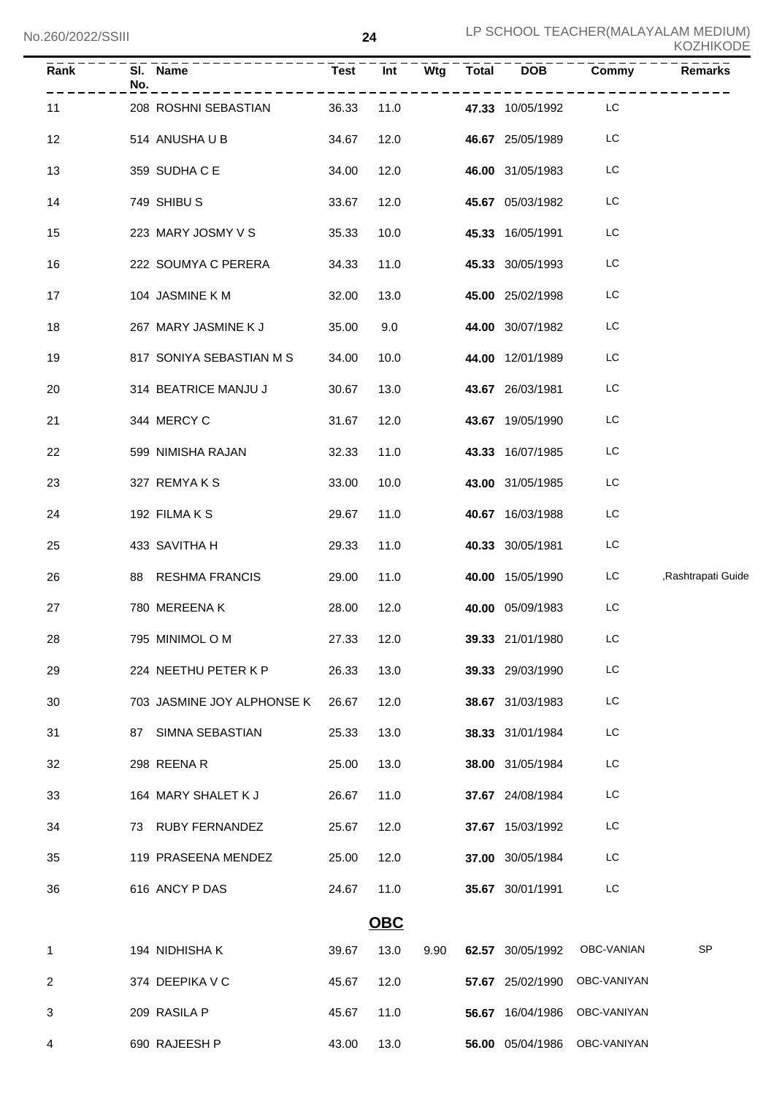| Rank         | No. | SI. Name                   | <b>Test</b> | Int        | Wtg  | Total DOB               | Commy                        | Remarks                    |
|--------------|-----|----------------------------|-------------|------------|------|-------------------------|------------------------------|----------------------------|
| 11           |     | 208 ROSHNI SEBASTIAN       | 36.33       | 11.0       |      | 47.33 10/05/1992        | -------<br>LC                |                            |
| 12           |     | 514 ANUSHA U B             | 34.67       | 12.0       |      | 46.67 25/05/1989        | LC                           |                            |
| 13           |     | 359 SUDHA C E              | 34.00       | 12.0       |      | 46.00 31/05/1983        | LC                           |                            |
| 14           |     | 749 SHIBU S                | 33.67       | 12.0       |      | <b>45.67</b> 05/03/1982 | LC                           |                            |
| 15           |     | 223 MARY JOSMY V S         | 35.33       | 10.0       |      | <b>45.33</b> 16/05/1991 | LC                           |                            |
| 16           |     | 222 SOUMYA C PERERA        | 34.33       | 11.0       |      | <b>45.33</b> 30/05/1993 | LC                           |                            |
| 17           |     | 104 JASMINE K M            | 32.00       | 13.0       |      | 45.00 25/02/1998        | LC                           |                            |
| 18           |     | 267 MARY JASMINE K J       | 35.00       | 9.0        |      | <b>44.00</b> 30/07/1982 | LC                           |                            |
| 19           |     | 817 SONIYA SEBASTIAN M S   | 34.00       | 10.0       |      | 44.00 12/01/1989        | LC                           |                            |
| 20           |     | 314 BEATRICE MANJU J       | 30.67       | 13.0       |      | 43.67 26/03/1981        | LC                           |                            |
| 21           |     | 344 MERCY C                | 31.67       | 12.0       |      | 43.67 19/05/1990        | LC                           |                            |
| 22           |     | 599 NIMISHA RAJAN          | 32.33       | 11.0       |      | 43.33 16/07/1985        | LC                           |                            |
| 23           |     | 327 REMYAKS                | 33.00       | 10.0       |      | 43.00 31/05/1985        | LC                           |                            |
| 24           |     | 192 FILMA K S              | 29.67       | 11.0       |      | 40.67 16/03/1988        | LC                           |                            |
| 25           |     | 433 SAVITHA H              | 29.33       | 11.0       |      | <b>40.33</b> 30/05/1981 | LC                           |                            |
| 26           |     | 88 RESHMA FRANCIS          | 29.00       | 11.0       |      | <b>40.00</b> 15/05/1990 |                              | LC ,Rashtrapati Guide      |
| 27           |     | 780 MEREENA K              | 28.00       | 12.0       |      | 40.00 05/09/1983        | LC                           |                            |
| 28           |     | 795 MINIMOL O M            | 27.33 12.0  |            |      | 39.33 21/01/1980        | LC                           |                            |
| 29           |     | 224 NEETHU PETER K P       | 26.33       | 13.0       |      | 39.33 29/03/1990        | LC                           |                            |
| 30           |     | 703 JASMINE JOY ALPHONSE K | 26.67       | 12.0       |      | 38.67 31/03/1983        | LC                           |                            |
| 31           |     | 87 SIMNA SEBASTIAN         | 25.33       | 13.0       |      | 38.33 31/01/1984        | LC                           |                            |
| 32           |     | 298 REENAR                 | 25.00       | 13.0       |      | 38.00 31/05/1984        | LC                           |                            |
| 33           |     | 164 MARY SHALET K J        | 26.67       | 11.0       |      | 37.67 24/08/1984        | LC                           |                            |
| 34           |     | 73 RUBY FERNANDEZ          | 25.67       | 12.0       |      | 37.67 15/03/1992        | LC                           |                            |
| 35           |     | 119 PRASEENA MENDEZ        | 25.00       | 12.0       |      | 37.00 30/05/1984        | LC                           |                            |
| 36           |     | 616 ANCY P DAS             | 24.67       | 11.0       |      | 35.67 30/01/1991        | LC                           |                            |
|              |     |                            |             | <b>OBC</b> |      |                         |                              |                            |
| $\mathbf{1}$ |     | 194 NIDHISHA K             | 39.67       | 13.0       | 9.90 | 62.57 30/05/1992        | OBC-VANIAN                   | $\ensuremath{\mathsf{SP}}$ |
| 2            |     | 374 DEEPIKA V C            | 45.67       | 12.0       |      | 57.67 25/02/1990        | OBC-VANIYAN                  |                            |
| 3            |     | 209 RASILA P               | 45.67       | 11.0       |      |                         | 56.67 16/04/1986 OBC-VANIYAN |                            |
| 4            |     | 690 RAJEESH P              | 43.00       | 13.0       |      |                         | 56.00 05/04/1986 OBC-VANIYAN |                            |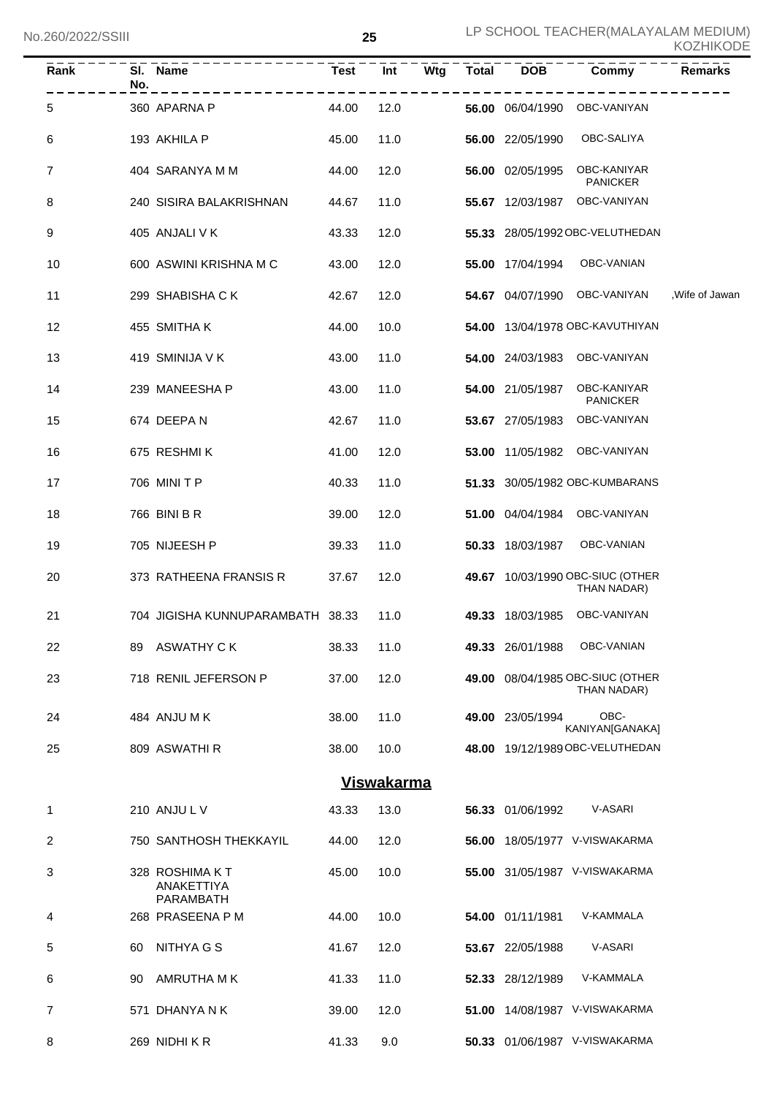| $\bar{R}$ ank | No. | SI. Name                                  | <b>Test</b> | Int               | Wtg | <b>Total</b> | <b>DOB</b>       | Commy                                           | <b>Remarks</b>  |
|---------------|-----|-------------------------------------------|-------------|-------------------|-----|--------------|------------------|-------------------------------------------------|-----------------|
| 5             |     | 360 APARNA P                              | 44.00       | 12.0              |     |              | 56.00 06/04/1990 | OBC-VANIYAN                                     |                 |
| 6             |     | 193 AKHILA P                              | 45.00       | 11.0              |     |              | 56.00 22/05/1990 | OBC-SALIYA                                      |                 |
| 7             |     | 404 SARANYA M M                           | 44.00       | 12.0              |     |              | 56.00 02/05/1995 | OBC-KANIYAR<br><b>PANICKER</b>                  |                 |
| 8             |     | 240 SISIRA BALAKRISHNAN                   | 44.67       | 11.0              |     |              | 55.67 12/03/1987 | OBC-VANIYAN                                     |                 |
| 9             |     | 405 ANJALI V K                            | 43.33       | 12.0              |     |              |                  | 55.33 28/05/1992 OBC-VELUTHEDAN                 |                 |
| 10            |     | 600 ASWINI KRISHNA M C                    | 43.00       | 12.0              |     |              | 55.00 17/04/1994 | OBC-VANIAN                                      |                 |
| 11            |     | 299 SHABISHA CK                           | 42.67       | 12.0              |     |              | 54.67 04/07/1990 | OBC-VANIYAN                                     | , Wife of Jawan |
| 12            |     | 455 SMITHAK                               | 44.00       | 10.0              |     |              |                  | 54.00 13/04/1978 OBC-KAVUTHIYAN                 |                 |
| 13            |     | 419 SMINIJA V K                           | 43.00       | 11.0              |     |              | 54.00 24/03/1983 | OBC-VANIYAN                                     |                 |
| 14            |     | 239 MANEESHA P                            | 43.00       | 11.0              |     |              | 54.00 21/05/1987 | OBC-KANIYAR<br><b>PANICKER</b>                  |                 |
| 15            |     | 674 DEEPAN                                | 42.67       | 11.0              |     |              | 53.67 27/05/1983 | OBC-VANIYAN                                     |                 |
| 16            |     | 675 RESHMIK                               | 41.00       | 12.0              |     |              | 53.00 11/05/1982 | OBC-VANIYAN                                     |                 |
| 17            |     | 706 MINI T P                              | 40.33       | 11.0              |     |              |                  | 51.33 30/05/1982 OBC-KUMBARANS                  |                 |
| 18            |     | 766 BINI B R                              | 39.00       | 12.0              |     |              | 51.00 04/04/1984 | OBC-VANIYAN                                     |                 |
| 19            |     | 705 NIJEESH P                             | 39.33       | 11.0              |     |              | 50.33 18/03/1987 | OBC-VANIAN                                      |                 |
| 20            |     | 373 RATHEENA FRANSIS R                    | 37.67       | 12.0              |     |              |                  | 49.67 10/03/1990 OBC-SIUC (OTHER<br>THAN NADAR) |                 |
| 21            |     | 704 JIGISHA KUNNUPARAMBATH 38.33          |             | 11.0              |     |              | 49.33 18/03/1985 | OBC-VANIYAN                                     |                 |
| 22            | 89. | ASWATHY C K                               | 38.33       | 11.0              |     |              | 49.33 26/01/1988 | OBC-VANIAN                                      |                 |
| 23            |     | 718 RENIL JEFERSON P                      | 37.00       | 12.0              |     |              |                  | 49.00 08/04/1985 OBC-SIUC (OTHER<br>THAN NADAR) |                 |
| 24            |     | 484 ANJU M K                              | 38.00       | 11.0              |     |              | 49.00 23/05/1994 | OBC-<br>KANIYAN[GANAKA]                         |                 |
| 25            |     | 809 ASWATHI R                             | 38.00       | 10.0              |     |              |                  | 48.00 19/12/1989 OBC-VELUTHEDAN                 |                 |
|               |     |                                           |             | <b>Viswakarma</b> |     |              |                  |                                                 |                 |
| 1             |     | 210 ANJUL V                               | 43.33       | 13.0              |     |              | 56.33 01/06/1992 | <b>V-ASARI</b>                                  |                 |
| 2             |     | 750 SANTHOSH THEKKAYIL                    | 44.00       | 12.0              |     |              |                  | 56.00 18/05/1977 V-VISWAKARMA                   |                 |
| 3             |     | 328 ROSHIMA KT<br>ANAKETTIYA<br>PARAMBATH | 45.00       | 10.0              |     |              |                  | 55.00 31/05/1987 V-VISWAKARMA                   |                 |
| 4             |     | 268 PRASEENA P M                          | 44.00       | 10.0              |     |              | 54.00 01/11/1981 | V-KAMMALA                                       |                 |
| 5             | 60  | NITHYA G S                                | 41.67       | 12.0              |     |              | 53.67 22/05/1988 | V-ASARI                                         |                 |
| 6             | 90  | AMRUTHA M K                               | 41.33       | 11.0              |     |              | 52.33 28/12/1989 | V-KAMMALA                                       |                 |
| 7             |     | 571 DHANYA N K                            | 39.00       | 12.0              |     |              |                  | 51.00 14/08/1987 V-VISWAKARMA                   |                 |
| 8             |     | 269 NIDHIKR                               | 41.33       | 9.0               |     |              |                  | 50.33 01/06/1987 V-VISWAKARMA                   |                 |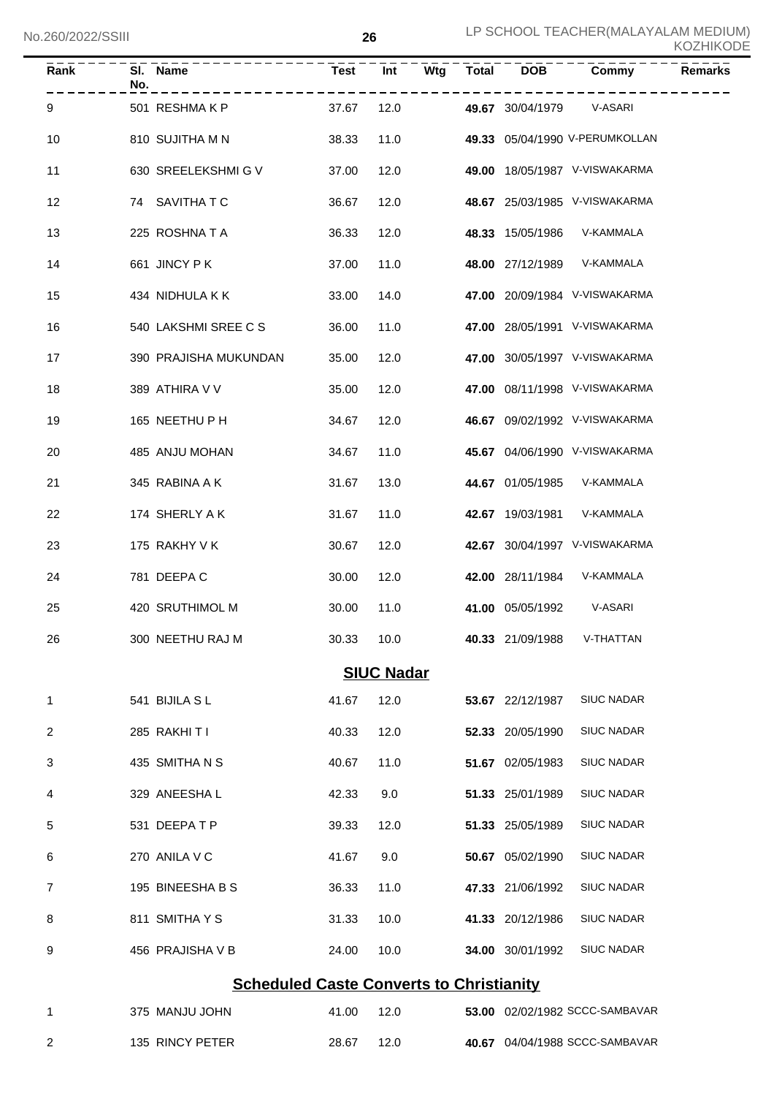| Rank | No. | SI. Name                                        | <b>Test</b> | Int<br>Wtg        | <b>Total</b> | <b>DOB</b>       | <b>Remarks</b><br>Commy        |
|------|-----|-------------------------------------------------|-------------|-------------------|--------------|------------------|--------------------------------|
| 9    |     | 501 RESHMAKP                                    | 37.67       | 12.0              |              | 49.67 30/04/1979 | V-ASARI                        |
| 10   |     | 810 SUJITHA M N                                 | 38.33       | 11.0              |              |                  | 49.33 05/04/1990 V-PERUMKOLLAN |
| 11   |     | 630 SREELEKSHMI G V                             | 37.00       | 12.0              |              |                  | 49.00 18/05/1987 V-VISWAKARMA  |
| 12   |     | 74 SAVITHATC                                    | 36.67       | 12.0              |              |                  | 48.67 25/03/1985 V-VISWAKARMA  |
| 13   |     | 225 ROSHNATA                                    | 36.33       | 12.0              |              | 48.33 15/05/1986 | V-KAMMALA                      |
| 14   |     | 661 JINCY PK                                    | 37.00       | 11.0              |              |                  | 48.00 27/12/1989 V-KAMMALA     |
| 15   |     | 434 NIDHULA K K                                 | 33.00       | 14.0              |              |                  | 47.00 20/09/1984 V-VISWAKARMA  |
| 16   |     | 540 LAKSHMI SREE C S                            | 36.00       | 11.0              |              |                  | 47.00 28/05/1991 V-VISWAKARMA  |
| 17   |     | 390 PRAJISHA MUKUNDAN                           | 35.00       | 12.0              |              |                  | 47.00 30/05/1997 V-VISWAKARMA  |
| 18   |     | 389 ATHIRA V V                                  | 35.00       | 12.0              |              |                  | 47.00 08/11/1998 V-VISWAKARMA  |
| 19   |     | 165 NEETHU P H                                  | 34.67       | 12.0              |              |                  | 46.67 09/02/1992 V-VISWAKARMA  |
| 20   |     | 485 ANJU MOHAN                                  | 34.67       | 11.0              |              |                  | 45.67 04/06/1990 V-VISWAKARMA  |
| 21   |     | 345 RABINA A K                                  | 31.67       | 13.0              |              |                  | 44.67 01/05/1985 V-KAMMALA     |
| 22   |     | 174 SHERLY A K                                  | 31.67       | 11.0              |              | 42.67 19/03/1981 | V-KAMMALA                      |
| 23   |     | 175 RAKHY V K                                   | 30.67       | 12.0              |              |                  | 42.67 30/04/1997 V-VISWAKARMA  |
| 24   |     | 781 DEEPA C                                     | 30.00       | 12.0              |              |                  | 42.00 28/11/1984 V-KAMMALA     |
| 25   |     | 420 SRUTHIMOL M                                 | 30.00       | 11.0              |              |                  | 41.00 05/05/1992 V-ASARI       |
| 26   |     | 300 NEETHU RAJ M                                | 30.33       | 10.0              |              | 40.33 21/09/1988 | V-THATTAN                      |
|      |     |                                                 |             | <b>SIUC Nadar</b> |              |                  |                                |
| 1    |     | 541 BIJILA SL                                   | 41.67       | 12.0              |              | 53.67 22/12/1987 | <b>SIUC NADAR</b>              |
| 2    |     | 285 RAKHITI                                     | 40.33       | 12.0              |              | 52.33 20/05/1990 | <b>SIUC NADAR</b>              |
| 3    |     | 435 SMITHANS                                    | 40.67       | 11.0              |              | 51.67 02/05/1983 | <b>SIUC NADAR</b>              |
| 4    |     | 329 ANEESHAL                                    | 42.33       | 9.0               |              | 51.33 25/01/1989 | <b>SIUC NADAR</b>              |
| 5    |     | 531 DEEPATP                                     | 39.33       | 12.0              |              | 51.33 25/05/1989 | <b>SIUC NADAR</b>              |
| 6    |     | 270 ANILA V C                                   | 41.67       | 9.0               |              | 50.67 05/02/1990 | <b>SIUC NADAR</b>              |
| 7    |     | 195 BINEESHA B S                                | 36.33       | 11.0              |              | 47.33 21/06/1992 | <b>SIUC NADAR</b>              |
| 8    |     | 811 SMITHAYS                                    | 31.33       | 10.0              |              | 41.33 20/12/1986 | <b>SIUC NADAR</b>              |
| 9    |     | 456 PRAJISHA V B                                | 24.00       | 10.0              |              | 34.00 30/01/1992 | <b>SIUC NADAR</b>              |
|      |     | <b>Scheduled Caste Converts to Christianity</b> |             |                   |              |                  |                                |
| 1    |     | 375 MANJU JOHN                                  | 41.00       | 12.0              |              |                  | 53.00 02/02/1982 SCCC-SAMBAVAR |
| 2    |     | 135 RINCY PETER                                 | 28.67       | 12.0              |              |                  | 40.67 04/04/1988 SCCC-SAMBAVAR |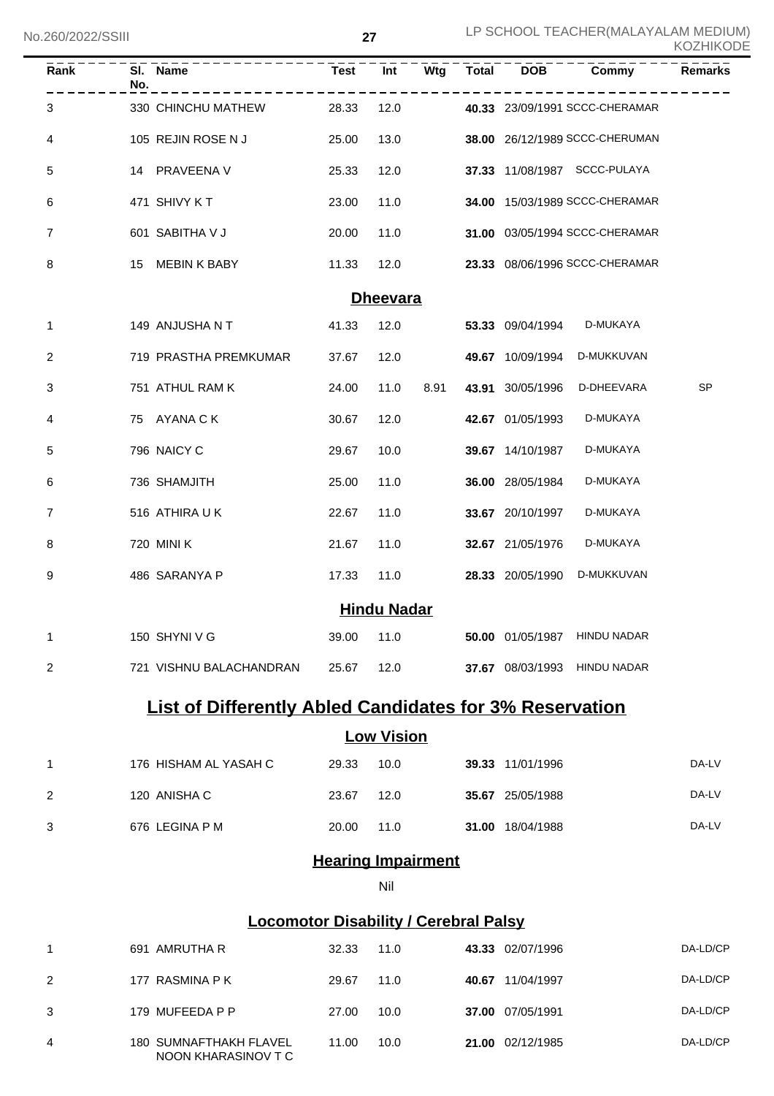| Rank           | No. | SI. Name                | <b>Test</b> | $\overline{Int}$   | $\overline{\mathsf{Wtg}}$ | <b>Total</b> | <b>DOB</b>       | Commy                          | <b>Remarks</b> |
|----------------|-----|-------------------------|-------------|--------------------|---------------------------|--------------|------------------|--------------------------------|----------------|
| 3              |     | 330 CHINCHU MATHEW      | 28.33       | 12.0               |                           |              |                  | 40.33 23/09/1991 SCCC-CHERAMAR |                |
| 4              |     | 105 REJIN ROSE N J      | 25.00       | 13.0               |                           |              |                  | 38.00 26/12/1989 SCCC-CHERUMAN |                |
| 5              |     | 14 PRAVEENA V           | 25.33       | 12.0               |                           |              |                  | 37.33 11/08/1987 SCCC-PULAYA   |                |
| 6              |     | 471 SHIVY KT            | 23.00       | 11.0               |                           |              |                  | 34.00 15/03/1989 SCCC-CHERAMAR |                |
| 7              |     | 601 SABITHA V J         | 20.00       | 11.0               |                           |              |                  | 31.00 03/05/1994 SCCC-CHERAMAR |                |
| 8              |     | 15 MEBIN K BABY         | 11.33       | 12.0               |                           |              |                  | 23.33 08/06/1996 SCCC-CHERAMAR |                |
|                |     |                         |             | <b>Dheevara</b>    |                           |              |                  |                                |                |
| 1              |     | 149 ANJUSHA N T         | 41.33       | 12.0               |                           |              | 53.33 09/04/1994 | D-MUKAYA                       |                |
| 2              |     | 719 PRASTHA PREMKUMAR   | 37.67       | 12.0               |                           |              | 49.67 10/09/1994 | D-MUKKUVAN                     |                |
| 3              |     | 751 ATHUL RAM K         | 24.00       | 11.0               | 8.91                      |              | 43.91 30/05/1996 | D-DHEEVARA                     | SP             |
| 4              |     | 75 AYANA C K            | 30.67       | 12.0               |                           |              | 42.67 01/05/1993 | D-MUKAYA                       |                |
| 5              |     | 796 NAICY C             | 29.67       | 10.0               |                           |              | 39.67 14/10/1987 | D-MUKAYA                       |                |
| 6              |     | 736 SHAMJITH            | 25.00       | 11.0               |                           |              | 36.00 28/05/1984 | D-MUKAYA                       |                |
| 7              |     | 516 ATHIRA UK           | 22.67       | 11.0               |                           |              | 33.67 20/10/1997 | D-MUKAYA                       |                |
| 8              |     | 720 MINI K              | 21.67       | 11.0               |                           |              | 32.67 21/05/1976 | D-MUKAYA                       |                |
| 9              |     | 486 SARANYA P           | 17.33       | 11.0               |                           |              | 28.33 20/05/1990 | D-MUKKUVAN                     |                |
|                |     |                         |             | <b>Hindu Nadar</b> |                           |              |                  |                                |                |
| 1              |     | 150 SHYNI V G           | 39.00       | 11.0               |                           |              |                  | 50.00 01/05/1987 HINDU NADAR   |                |
| $\overline{c}$ |     | 721 VISHNU BALACHANDRAN | 25.67       | 12.0               |                           |              |                  | 37.67 08/03/1993 HINDU NADAR   |                |

# **List of Differently Abled Candidates for 3% Reservation**

### **Low Vision**

| 176 HISHAM AL YASAH C | 29.33 | 10.0 | 39.33 11/01/1996        | DA-LV |
|-----------------------|-------|------|-------------------------|-------|
| 120 ANISHA C          | 23.67 | 12.0 | 35.67 25/05/1988        | DA-LV |
| 676 LEGINA P M        | 20.00 | 11.0 | <b>31.00</b> 18/04/1988 | DA-LV |

#### **Hearing Impairment**

Nil

### **Locomotor Disability / Cerebral Palsy**

|                | 691 AMRUTHA R                                        | 32.33 | 11.0 | 43.33 02/07/1996 | DA-LD/CP |
|----------------|------------------------------------------------------|-------|------|------------------|----------|
| $\overline{2}$ | 177 RASMINA P K                                      | 29.67 | 11.0 | 40.67 11/04/1997 | DA-LD/CP |
|                | 179 MUFEEDA P P                                      | 27.00 | 10.0 | 37.00 07/05/1991 | DA-LD/CP |
| 4              | <b>180 SUMNAFTHAKH FLAVEL</b><br>NOON KHARASINOV T C | 11.00 | 10.0 | 21.00 02/12/1985 | DA-LD/CP |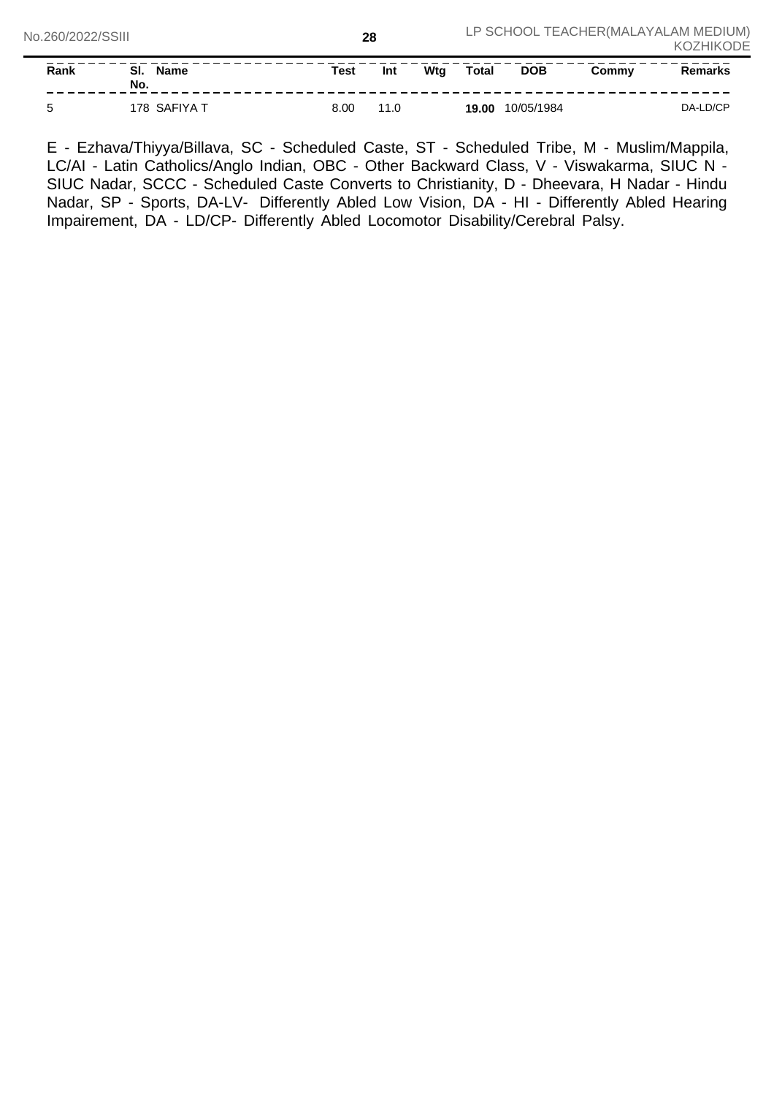| Rank | -SI.<br><b>Name</b><br>No. | Test | <b>Int</b> | Wtg | <b>Total</b> | <b>DOB</b> | Commv | Remarks  |
|------|----------------------------|------|------------|-----|--------------|------------|-------|----------|
| ∽    | SAFIYA<br>78               | 8.00 | 11.0       |     | 19.00        | 10/05/1984 |       | DA-LD/CP |

E - Ezhava/Thiyya/Billava, SC - Scheduled Caste, ST - Scheduled Tribe, M - Muslim/Mappila, LC/AI - Latin Catholics/Anglo Indian, OBC - Other Backward Class, V - Viswakarma, SIUC N -SIUC Nadar, SCCC - Scheduled Caste Converts to Christianity, D - Dheevara, H Nadar - Hindu Nadar, SP - Sports, DA-LV- Differently Abled Low Vision, DA - HI - Differently Abled Hearing Impairement, DA - LD/CP- Differently Abled Locomotor Disability/Cerebral Palsy.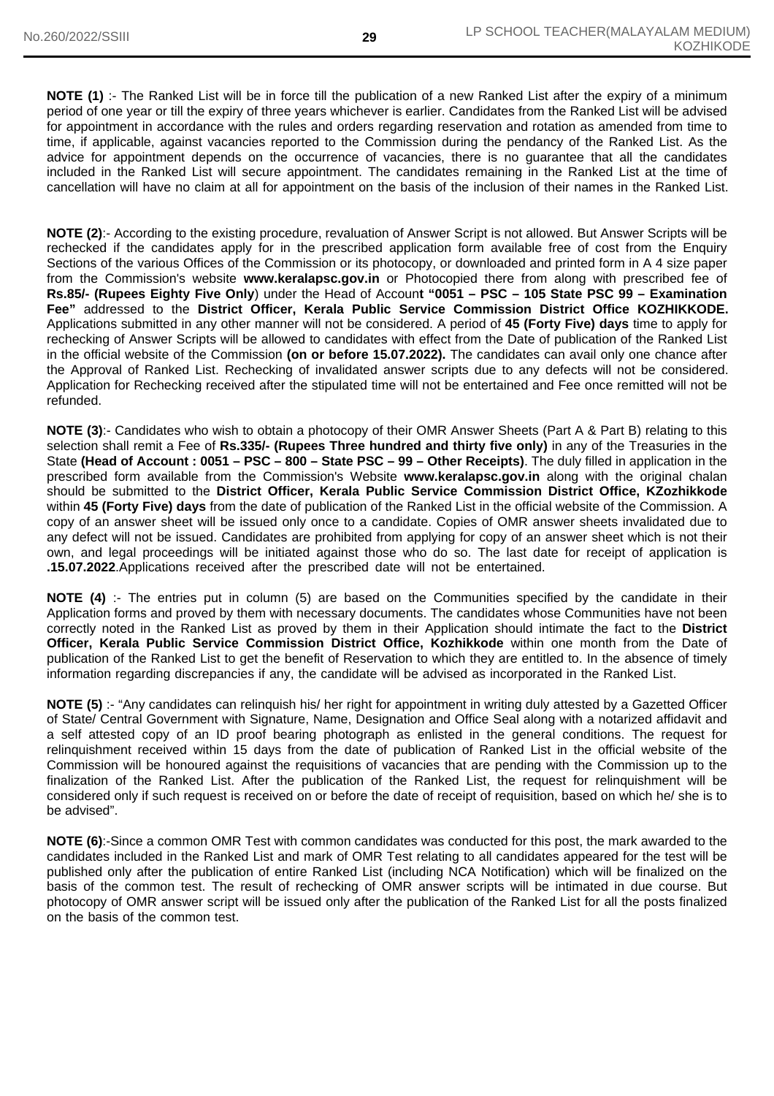**NOTE (1)** :- The Ranked List will be in force till the publication of a new Ranked List after the expiry of a minimum period of one year or till the expiry of three years whichever is earlier. Candidates from the Ranked List will be advised for appointment in accordance with the rules and orders regarding reservation and rotation as amended from time to time, if applicable, against vacancies reported to the Commission during the pendancy of the Ranked List. As the advice for appointment depends on the occurrence of vacancies, there is no guarantee that all the candidates included in the Ranked List will secure appointment. The candidates remaining in the Ranked List at the time of cancellation will have no claim at all for appointment on the basis of the inclusion of their names in the Ranked List.

**NOTE (2)**:- According to the existing procedure, revaluation of Answer Script is not allowed. But Answer Scripts will be rechecked if the candidates apply for in the prescribed application form available free of cost from the Enquiry Sections of the various Offices of the Commission or its photocopy, or downloaded and printed form in A 4 size paper from the Commission's website **www.keralapsc.gov.in** or Photocopied there from along with prescribed fee of **Rs.85/- (Rupees Eighty Five Only**) under the Head of Accoun**t "0051 – PSC – 105 State PSC 99 – Examination Fee"** addressed to the **District Officer, Kerala Public Service Commission District Office KOZHIKKODE.** Applications submitted in any other manner will not be considered. A period of **45 (Forty Five) days** time to apply for rechecking of Answer Scripts will be allowed to candidates with effect from the Date of publication of the Ranked List in the official website of the Commission **(on or before 15.07.2022).** The candidates can avail only one chance after the Approval of Ranked List. Rechecking of invalidated answer scripts due to any defects will not be considered. Application for Rechecking received after the stipulated time will not be entertained and Fee once remitted will not be refunded.

**NOTE (3)**:- Candidates who wish to obtain a photocopy of their OMR Answer Sheets (Part A & Part B) relating to this selection shall remit a Fee of **Rs.335/- (Rupees Three hundred and thirty five only)** in any of the Treasuries in the State **(Head of Account : 0051 – PSC – 800 – State PSC – 99 – Other Receipts)**. The duly filled in application in the prescribed form available from the Commission's Website **www.keralapsc.gov.in** along with the original chalan should be submitted to the **District Officer, Kerala Public Service Commission District Office, KZozhikkode** within **45 (Forty Five) days** from the date of publication of the Ranked List in the official website of the Commission. A copy of an answer sheet will be issued only once to a candidate. Copies of OMR answer sheets invalidated due to any defect will not be issued. Candidates are prohibited from applying for copy of an answer sheet which is not their own, and legal proceedings will be initiated against those who do so. The last date for receipt of application is **.15.07.2022**.Applications received after the prescribed date will not be entertained.

**NOTE (4)** :- The entries put in column (5) are based on the Communities specified by the candidate in their Application forms and proved by them with necessary documents. The candidates whose Communities have not been correctly noted in the Ranked List as proved by them in their Application should intimate the fact to the **District Officer, Kerala Public Service Commission District Office, Kozhikkode** within one month from the Date of publication of the Ranked List to get the benefit of Reservation to which they are entitled to. In the absence of timely information regarding discrepancies if any, the candidate will be advised as incorporated in the Ranked List.

**NOTE (5)** :- "Any candidates can relinquish his/ her right for appointment in writing duly attested by a Gazetted Officer of State/ Central Government with Signature, Name, Designation and Office Seal along with a notarized affidavit and a self attested copy of an ID proof bearing photograph as enlisted in the general conditions. The request for relinquishment received within 15 days from the date of publication of Ranked List in the official website of the Commission will be honoured against the requisitions of vacancies that are pending with the Commission up to the finalization of the Ranked List. After the publication of the Ranked List, the request for relinquishment will be considered only if such request is received on or before the date of receipt of requisition, based on which he/ she is to be advised".

**NOTE (6)**:-Since a common OMR Test with common candidates was conducted for this post, the mark awarded to the candidates included in the Ranked List and mark of OMR Test relating to all candidates appeared for the test will be published only after the publication of entire Ranked List (including NCA Notification) which will be finalized on the basis of the common test. The result of rechecking of OMR answer scripts will be intimated in due course. But photocopy of OMR answer script will be issued only after the publication of the Ranked List for all the posts finalized on the basis of the common test.